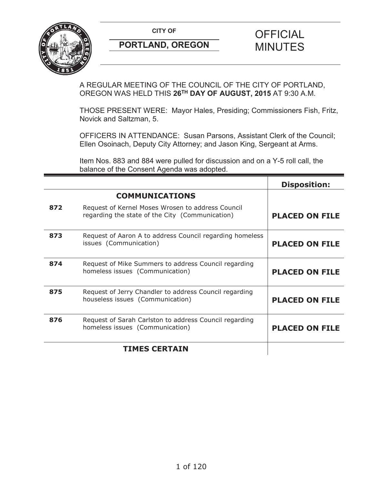

A REGULAR MEETING OF THE COUNCIL OF THE CITY OF PORTLAND, OREGON WAS HELD THIS **26TH DAY OF AUGUST, 2015** AT 9:30 A.M.

THOSE PRESENT WERE: Mayor Hales, Presiding; Commissioners Fish, Fritz, Novick and Saltzman, 5.

OFFICERS IN ATTENDANCE: Susan Parsons, Assistant Clerk of the Council; Ellen Osoinach, Deputy City Attorney; and Jason King, Sergeant at Arms.

Item Nos. 883 and 884 were pulled for discussion and on a Y-5 roll call, the balance of the Consent Agenda was adopted.

|     |                                                                                                      | <b>Disposition:</b>   |
|-----|------------------------------------------------------------------------------------------------------|-----------------------|
|     | <b>COMMUNICATIONS</b>                                                                                |                       |
| 872 | Request of Kernel Moses Wrosen to address Council<br>regarding the state of the City (Communication) | <b>PLACED ON FILE</b> |
| 873 | Request of Aaron A to address Council regarding homeless<br>issues (Communication)                   | <b>PLACED ON FILE</b> |
| 874 | Request of Mike Summers to address Council regarding<br>homeless issues (Communication)              | <b>PLACED ON FILE</b> |
| 875 | Request of Jerry Chandler to address Council regarding<br>houseless issues (Communication)           | <b>PLACED ON FILE</b> |
| 876 | Request of Sarah Carlston to address Council regarding<br>homeless issues (Communication)            | <b>PLACED ON FILE</b> |
|     | <b>TIMES CERTAIN</b>                                                                                 |                       |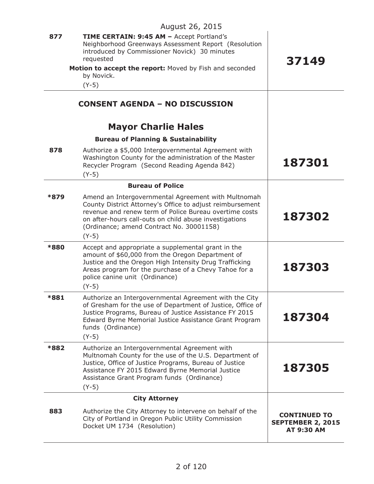| 877  | TIME CERTAIN: 9:45 AM - Accept Portland's<br>Neighborhood Greenways Assessment Report (Resolution<br>introduced by Commissioner Novick) 30 minutes<br>requested<br>Motion to accept the report: Moved by Fish and seconded<br>by Novick.<br>$(Y-5)$                                         | 37149                                                                |
|------|---------------------------------------------------------------------------------------------------------------------------------------------------------------------------------------------------------------------------------------------------------------------------------------------|----------------------------------------------------------------------|
|      | <b>CONSENT AGENDA - NO DISCUSSION</b>                                                                                                                                                                                                                                                       |                                                                      |
|      | <b>Mayor Charlie Hales</b>                                                                                                                                                                                                                                                                  |                                                                      |
|      | <b>Bureau of Planning &amp; Sustainability</b>                                                                                                                                                                                                                                              |                                                                      |
| 878  | Authorize a \$5,000 Intergovernmental Agreement with<br>Washington County for the administration of the Master<br>Recycler Program (Second Reading Agenda 842)<br>$(Y-5)$                                                                                                                   | 187301                                                               |
|      | <b>Bureau of Police</b>                                                                                                                                                                                                                                                                     |                                                                      |
| *879 | Amend an Intergovernmental Agreement with Multnomah<br>County District Attorney's Office to adjust reimbursement<br>revenue and renew term of Police Bureau overtime costs<br>on after-hours call-outs on child abuse investigations<br>(Ordinance; amend Contract No. 30001158)<br>$(Y-5)$ | 187302                                                               |
| *880 | Accept and appropriate a supplemental grant in the<br>amount of \$60,000 from the Oregon Department of<br>Justice and the Oregon High Intensity Drug Trafficking<br>Areas program for the purchase of a Chevy Tahoe for a<br>police canine unit (Ordinance)<br>$(Y-5)$                      | 187303                                                               |
| *881 | Authorize an Intergovernmental Agreement with the City<br>of Gresham for the use of Department of Justice, Office of<br>Justice Programs, Bureau of Justice Assistance FY 2015<br>Edward Byrne Memorial Justice Assistance Grant Program<br>funds (Ordinance)<br>$(Y-5)$                    | 187304                                                               |
| *882 | Authorize an Intergovernmental Agreement with<br>Multnomah County for the use of the U.S. Department of<br>Justice, Office of Justice Programs, Bureau of Justice<br>Assistance FY 2015 Edward Byrne Memorial Justice<br>Assistance Grant Program funds (Ordinance)<br>$(Y-5)$              | 187305                                                               |
|      | <b>City Attorney</b>                                                                                                                                                                                                                                                                        |                                                                      |
| 883  | Authorize the City Attorney to intervene on behalf of the<br>City of Portland in Oregon Public Utility Commission<br>Docket UM 1734 (Resolution)                                                                                                                                            | <b>CONTINUED TO</b><br><b>SEPTEMBER 2, 2015</b><br><b>AT 9:30 AM</b> |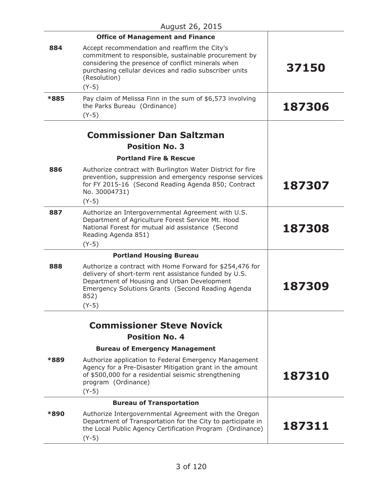| 884                             |                                                                                                                                                                                                                        |               |
|---------------------------------|------------------------------------------------------------------------------------------------------------------------------------------------------------------------------------------------------------------------|---------------|
| (Resolution)<br>$(Y-5)$         | Accept recommendation and reaffirm the City's<br>commitment to responsible, sustainable procurement by<br>considering the presence of conflict minerals when<br>purchasing cellular devices and radio subscriber units | 37150         |
| *885<br>$(Y-5)$                 | Pay claim of Melissa Finn in the sum of \$6,573 involving<br>the Parks Bureau (Ordinance)                                                                                                                              | 187306        |
|                                 | <b>Commissioner Dan Saltzman</b><br><b>Position No. 3</b>                                                                                                                                                              |               |
|                                 | <b>Portland Fire &amp; Rescue</b>                                                                                                                                                                                      |               |
| 886<br>No. 30004731)<br>$(Y-5)$ | Authorize contract with Burlington Water District for fire<br>prevention, suppression and emergency response services<br>for FY 2015-16 (Second Reading Agenda 850; Contract                                           | 187307        |
| 887<br>$(Y-5)$                  | Authorize an Intergovernmental Agreement with U.S.<br>Department of Agriculture Forest Service Mt. Hood<br>National Forest for mutual aid assistance (Second<br>Reading Agenda 851)                                    | 187308        |
|                                 | <b>Portland Housing Bureau</b>                                                                                                                                                                                         |               |
| 888<br>852)<br>$(Y-5)$          | Authorize a contract with Home Forward for \$254,476 for<br>delivery of short-term rent assistance funded by U.S.<br>Department of Housing and Urban Development<br>Emergency Solutions Grants (Second Reading Agenda  | 187309        |
|                                 |                                                                                                                                                                                                                        |               |
|                                 | <b>Commissioner Steve Novick</b>                                                                                                                                                                                       |               |
|                                 | <b>Position No. 4</b>                                                                                                                                                                                                  |               |
|                                 | <b>Bureau of Emergency Management</b>                                                                                                                                                                                  |               |
| *889<br>$(Y-5)$                 | Authorize application to Federal Emergency Management<br>Agency for a Pre-Disaster Mitigation grant in the amount<br>of \$500,000 for a residential seismic strengthening<br>program (Ordinance)                       | <b>187310</b> |
|                                 | <b>Bureau of Transportation</b>                                                                                                                                                                                        |               |
| *890<br>$(Y-5)$                 | Authorize Intergovernmental Agreement with the Oregon<br>Department of Transportation for the City to participate in<br>the Local Public Agency Certification Program (Ordinance)                                      | 187311        |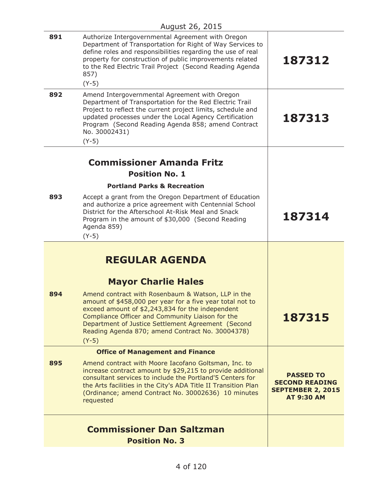| 891 | Authorize Intergovernmental Agreement with Oregon<br>Department of Transportation for Right of Way Services to<br>define roles and responsibilities regarding the use of real<br>property for construction of public improvements related<br>to the Red Electric Trail Project (Second Reading Agenda<br>857)<br>$(Y-5)$                     | 187312                                                                                     |
|-----|----------------------------------------------------------------------------------------------------------------------------------------------------------------------------------------------------------------------------------------------------------------------------------------------------------------------------------------------|--------------------------------------------------------------------------------------------|
| 892 | Amend Intergovernmental Agreement with Oregon<br>Department of Transportation for the Red Electric Trail<br>Project to reflect the current project limits, schedule and<br>updated processes under the Local Agency Certification<br>Program (Second Reading Agenda 858; amend Contract<br>No. 30002431)<br>$(Y-5)$                          | 187313                                                                                     |
|     | <b>Commissioner Amanda Fritz</b>                                                                                                                                                                                                                                                                                                             |                                                                                            |
|     | <b>Position No. 1</b>                                                                                                                                                                                                                                                                                                                        |                                                                                            |
|     | <b>Portland Parks &amp; Recreation</b>                                                                                                                                                                                                                                                                                                       |                                                                                            |
| 893 | Accept a grant from the Oregon Department of Education<br>and authorize a price agreement with Centennial School<br>District for the Afterschool At-Risk Meal and Snack<br>Program in the amount of \$30,000 (Second Reading<br>Agenda 859)<br>$(Y-5)$                                                                                       | 187314                                                                                     |
|     | <b>REGULAR AGENDA</b><br><b>Mayor Charlie Hales</b>                                                                                                                                                                                                                                                                                          |                                                                                            |
| 894 | Amend contract with Rosenbaum & Watson, LLP in the<br>amount of \$458,000 per year for a five year total not to<br>exceed amount of \$2,243,834 for the independent<br>Compliance Officer and Community Liaison for the<br>Department of Justice Settlement Agreement (Second<br>Reading Agenda 870; amend Contract No. 30004378)<br>$(Y-5)$ | 187315                                                                                     |
|     | <b>Office of Management and Finance</b>                                                                                                                                                                                                                                                                                                      |                                                                                            |
| 895 | Amend contract with Moore Iacofano Goltsman, Inc. to<br>increase contract amount by \$29,215 to provide additional<br>consultant services to include the Portland'5 Centers for<br>the Arts facilities in the City's ADA Title II Transition Plan<br>(Ordinance; amend Contract No. 30002636) 10 minutes<br>requested                        | <b>PASSED TO</b><br><b>SECOND READING</b><br><b>SEPTEMBER 2, 2015</b><br><b>AT 9:30 AM</b> |
|     | <b>Commissioner Dan Saltzman</b><br><b>Position No. 3</b>                                                                                                                                                                                                                                                                                    |                                                                                            |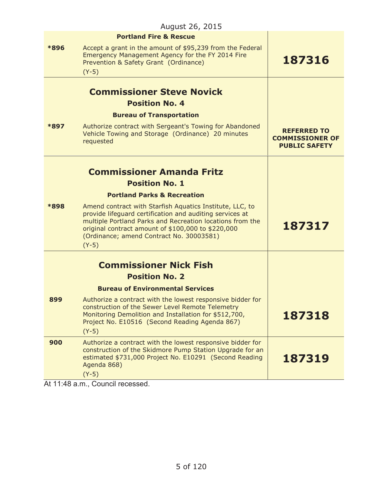|      | August 26, 2015                                                                                                                                                                                                                                                                                |                                                                      |
|------|------------------------------------------------------------------------------------------------------------------------------------------------------------------------------------------------------------------------------------------------------------------------------------------------|----------------------------------------------------------------------|
|      | <b>Portland Fire &amp; Rescue</b>                                                                                                                                                                                                                                                              |                                                                      |
| *896 | Accept a grant in the amount of \$95,239 from the Federal<br>Emergency Management Agency for the FY 2014 Fire<br>Prevention & Safety Grant (Ordinance)<br>$(Y-5)$                                                                                                                              | 187316                                                               |
|      | <b>Commissioner Steve Novick</b>                                                                                                                                                                                                                                                               |                                                                      |
|      | <b>Position No. 4</b>                                                                                                                                                                                                                                                                          |                                                                      |
|      | <b>Bureau of Transportation</b>                                                                                                                                                                                                                                                                |                                                                      |
| *897 | Authorize contract with Sergeant's Towing for Abandoned<br>Vehicle Towing and Storage (Ordinance) 20 minutes<br>requested                                                                                                                                                                      | <b>REFERRED TO</b><br><b>COMMISSIONER OF</b><br><b>PUBLIC SAFETY</b> |
|      | <b>Commissioner Amanda Fritz</b>                                                                                                                                                                                                                                                               |                                                                      |
|      | <b>Position No. 1</b>                                                                                                                                                                                                                                                                          |                                                                      |
|      | <b>Portland Parks &amp; Recreation</b>                                                                                                                                                                                                                                                         |                                                                      |
| *898 | Amend contract with Starfish Aquatics Institute, LLC, to<br>provide lifeguard certification and auditing services at<br>multiple Portland Parks and Recreation locations from the<br>original contract amount of \$100,000 to \$220,000<br>(Ordinance; amend Contract No. 30003581)<br>$(Y-5)$ | 187317                                                               |
|      |                                                                                                                                                                                                                                                                                                |                                                                      |
|      | <b>Commissioner Nick Fish</b>                                                                                                                                                                                                                                                                  |                                                                      |
|      | <b>Position No. 2</b>                                                                                                                                                                                                                                                                          |                                                                      |
|      | <b>Bureau of Environmental Services</b>                                                                                                                                                                                                                                                        |                                                                      |
| 899  | Authorize a contract with the lowest responsive bidder for<br>construction of the Sewer Level Remote Telemetry<br>Monitoring Demolition and Installation for \$512,700,<br>Project No. E10516 (Second Reading Agenda 867)<br>$(Y-5)$                                                           | 187318                                                               |
| 900  | Authorize a contract with the lowest responsive bidder for<br>construction of the Skidmore Pump Station Upgrade for an<br>estimated \$731,000 Project No. E10291 (Second Reading<br>Agenda 868)<br>$(Y-5)$                                                                                     | 187319                                                               |

At 11:48 a.m., Council recessed.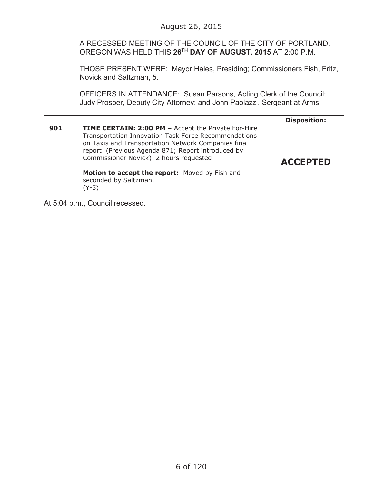A RECESSED MEETING OF THE COUNCIL OF THE CITY OF PORTLAND, OREGON WAS HELD THIS **26TH DAY OF AUGUST, 2015** AT 2:00 P.M.

THOSE PRESENT WERE: Mayor Hales, Presiding; Commissioners Fish, Fritz, Novick and Saltzman, 5.

OFFICERS IN ATTENDANCE: Susan Parsons, Acting Clerk of the Council; Judy Prosper, Deputy City Attorney; and John Paolazzi, Sergeant at Arms.

| 901 | <b>TIME CERTAIN: 2:00 PM - Accept the Private For-Hire</b><br>Transportation Innovation Task Force Recommendations<br>on Taxis and Transportation Network Companies final<br>report (Previous Agenda 871; Report introduced by<br>Commissioner Novick) 2 hours requested | <b>Disposition:</b><br><b>ACCEPTED</b> |
|-----|--------------------------------------------------------------------------------------------------------------------------------------------------------------------------------------------------------------------------------------------------------------------------|----------------------------------------|
|     | Motion to accept the report: Moved by Fish and<br>seconded by Saltzman.<br>$(Y-5)$                                                                                                                                                                                       |                                        |

At 5:04 p.m., Council recessed.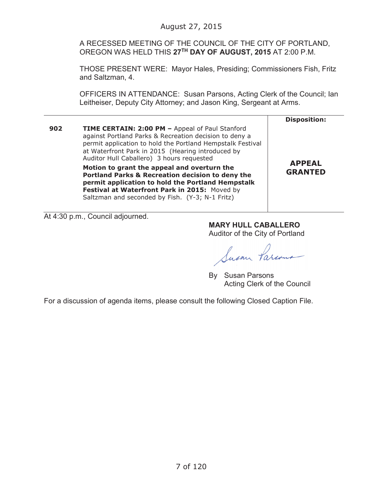# August 27, 2015

A RECESSED MEETING OF THE COUNCIL OF THE CITY OF PORTLAND, OREGON WAS HELD THIS **27TH DAY OF AUGUST, 2015** AT 2:00 P.M.

THOSE PRESENT WERE: Mayor Hales, Presiding; Commissioners Fish, Fritz and Saltzman, 4.

OFFICERS IN ATTENDANCE: Susan Parsons, Acting Clerk of the Council; Ian Leitheiser, Deputy City Attorney; and Jason King, Sergeant at Arms.

**902 TIME CERTAIN: 2:00 PM - Appeal of Paul Stanford** against Portland Parks & Recreation decision to deny a permit application to hold the Portland Hempstalk Festival at Waterfront Park in 2015 (Hearing introduced by Auditor Hull Caballero) 3 hours requested

**Motion to grant the appeal and overturn the Portland Parks & Recreation decision to deny the permit application to hold the Portland Hempstalk Festival at Waterfront Park in 2015:** Moved by Saltzman and seconded by Fish. (Y-3; N-1 Fritz)

**Disposition:**

**APPEAL GRANTED**

At 4:30 p.m., Council adjourned.

**MARY HULL CABALLERO** Auditor of the City of Portland

Susan Parcon

By Susan Parsons Acting Clerk of the Council

For a discussion of agenda items, please consult the following Closed Caption File.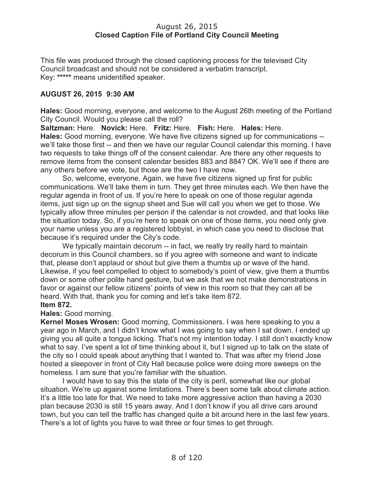#### August 26, 2015 **Closed Caption File of Portland City Council Meeting**

This file was produced through the closed captioning process for the televised City Council broadcast and should not be considered a verbatim transcript. Key: **\*\*\*\*\*** means unidentified speaker.

## **AUGUST 26, 2015 9:30 AM**

**Hales:** Good morning, everyone, and welcome to the August 26th meeting of the Portland City Council. Would you please call the roll?

**Saltzman:** Here. **Novick:** Here. **Fritz:** Here. **Fish:** Here. **Hales:** Here. **Hales:** Good morning, everyone. We have five citizens signed up for communications - we'll take those first -- and then we have our regular Council calendar this morning. I have two requests to take things off of the consent calendar. Are there any other requests to remove items from the consent calendar besides 883 and 884? OK. We'll see if there are any others before we vote, but those are the two I have now.

So, welcome, everyone. Again, we have five citizens signed up first for public communications. We'll take them in turn. They get three minutes each. We then have the regular agenda in front of us. If you're here to speak on one of those regular agenda items, just sign up on the signup sheet and Sue will call you when we get to those. We typically allow three minutes per person if the calendar is not crowded, and that looks like the situation today. So, if you're here to speak on one of those items, you need only give your name unless you are a registered lobbyist, in which case you need to disclose that because it's required under the City's code.

We typically maintain decorum -- in fact, we really try really hard to maintain decorum in this Council chambers, so if you agree with someone and want to indicate that, please don't applaud or shout but give them a thumbs up or wave of the hand. Likewise, if you feel compelled to object to somebody's point of view, give them a thumbs down or some other polite hand gesture, but we ask that we not make demonstrations in favor or against our fellow citizens' points of view in this room so that they can all be heard. With that, thank you for coming and let's take item 872.

#### **Item 872.**

#### **Hales:** Good morning.

**Kernel Moses Wrosen:** Good morning, Commissioners. I was here speaking to you a year ago in March, and I didn't know what I was going to say when I sat down. I ended up giving you all quite a tongue licking. That's not my intention today. I still don't exactly know what to say. I've spent a lot of time thinking about it, but I signed up to talk on the state of the city so I could speak about anything that I wanted to. That was after my friend Jose hosted a sleepover in front of City Hall because police were doing more sweeps on the homeless. I am sure that you're familiar with the situation.

I would have to say this the state of the city is peril, somewhat like our global situation. We're up against some limitations. There's been some talk about climate action. It's a little too late for that. We need to take more aggressive action than having a 2030 plan because 2030 is still 15 years away. And I don't know if you all drive cars around town, but you can tell the traffic has changed quite a bit around here in the last few years. There's a lot of lights you have to wait three or four times to get through.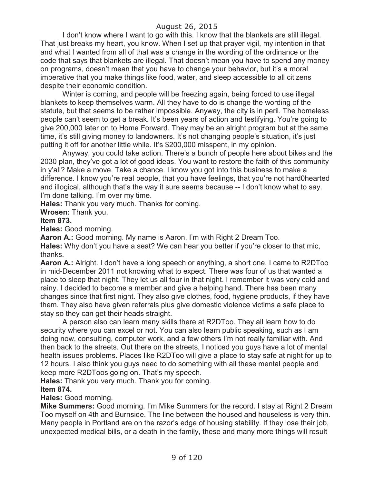I don't know where I want to go with this. I know that the blankets are still illegal. That just breaks my heart, you know. When I set up that prayer vigil, my intention in that and what I wanted from all of that was a change in the wording of the ordinance or the code that says that blankets are illegal. That doesn't mean you have to spend any money on programs, doesn't mean that you have to change your behavior, but it's a moral imperative that you make things like food, water, and sleep accessible to all citizens despite their economic condition.

Winter is coming, and people will be freezing again, being forced to use illegal blankets to keep themselves warm. All they have to do is change the wording of the statute, but that seems to be rather impossible. Anyway, the city is in peril. The homeless people can't seem to get a break. It's been years of action and testifying. You're going to give 200,000 later on to Home Forward. They may be an alright program but at the same time, it's still giving money to landowners. It's not changing people's situation, it's just putting it off for another little while. It's \$200,000 misspent, in my opinion.

Anyway, you could take action. There's a bunch of people here about bikes and the 2030 plan, they've got a lot of good ideas. You want to restore the faith of this community in y'all? Make a move. Take a chance. I know you got into this business to make a difference. I know you're real people, that you have feelings, that you're not hard0hearted and illogical, although that's the way it sure seems because -- I don't know what to say. I'm done talking. I'm over my time.

**Hales:** Thank you very much. Thanks for coming.

**Wrosen:** Thank you.

#### **Item 873.**

**Hales:** Good morning.

**Aaron A.:** Good morning. My name is Aaron, I'm with Right 2 Dream Too. **Hales:** Why don't you have a seat? We can hear you better if you're closer to that mic, thanks.

**Aaron A.:** Alright. I don't have a long speech or anything, a short one. I came to R2DToo in mid-December 2011 not knowing what to expect. There was four of us that wanted a place to sleep that night. They let us all four in that night. I remember it was very cold and rainy. I decided to become a member and give a helping hand. There has been many changes since that first night. They also give clothes, food, hygiene products, if they have them. They also have given referrals plus give domestic violence victims a safe place to stay so they can get their heads straight.

A person also can learn many skills there at R2DToo. They all learn how to do security where you can excel or not. You can also learn public speaking, such as I am doing now, consulting, computer work, and a few others I'm not really familiar with. And then back to the streets. Out there on the streets, I noticed you guys have a lot of mental health issues problems. Places like R2DToo will give a place to stay safe at night for up to 12 hours. I also think you guys need to do something with all these mental people and keep more R2DToos going on. That's my speech.

**Hales:** Thank you very much. Thank you for coming.

# **Item 874.**

**Hales:** Good morning.

**Mike Summers:** Good morning. I'm Mike Summers for the record. I stay at Right 2 Dream Too myself on 4th and Burnside. The line between the housed and houseless is very thin. Many people in Portland are on the razor's edge of housing stability. If they lose their job, unexpected medical bills, or a death in the family, these and many more things will result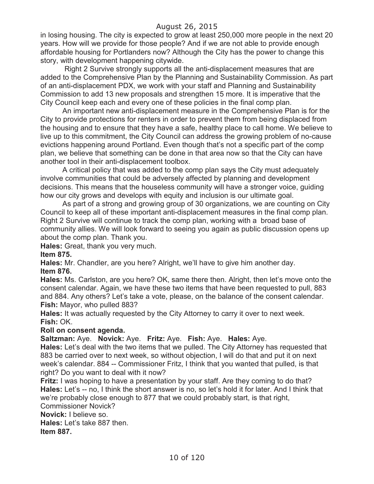in losing housing. The city is expected to grow at least 250,000 more people in the next 20 years. How will we provide for those people? And if we are not able to provide enough affordable housing for Portlanders now? Although the City has the power to change this story, with development happening citywide.

Right 2 Survive strongly supports all the anti-displacement measures that are added to the Comprehensive Plan by the Planning and Sustainability Commission. As part of an anti-displacement PDX, we work with your staff and Planning and Sustainability Commission to add 13 new proposals and strengthen 15 more. It is imperative that the City Council keep each and every one of these policies in the final comp plan.

An important new anti-displacement measure in the Comprehensive Plan is for the City to provide protections for renters in order to prevent them from being displaced from the housing and to ensure that they have a safe, healthy place to call home. We believe to live up to this commitment, the City Council can address the growing problem of no-cause evictions happening around Portland. Even though that's not a specific part of the comp plan, we believe that something can be done in that area now so that the City can have another tool in their anti-displacement toolbox.

A critical policy that was added to the comp plan says the City must adequately involve communities that could be adversely affected by planning and development decisions. This means that the houseless community will have a stronger voice, guiding how our city grows and develops with equity and inclusion is our ultimate goal.

As part of a strong and growing group of 30 organizations, we are counting on City Council to keep all of these important anti-displacement measures in the final comp plan. Right 2 Survive will continue to track the comp plan, working with a broad base of community allies. We will look forward to seeing you again as public discussion opens up about the comp plan. Thank you.

**Hales:** Great, thank you very much.

**Item 875.**

**Hales:** Mr. Chandler, are you here? Alright, we'll have to give him another day. **Item 876.**

**Hales:** Ms. Carlston, are you here? OK, same there then. Alright, then let's move onto the consent calendar. Again, we have these two items that have been requested to pull, 883 and 884. Any others? Let's take a vote, please, on the balance of the consent calendar. **Fish:** Mayor, who pulled 883?

**Hales:** It was actually requested by the City Attorney to carry it over to next week. **Fish:** OK.

#### **Roll on consent agenda.**

**Saltzman:** Aye. **Novick:** Aye. **Fritz:** Aye. **Fish:** Aye. **Hales:** Aye.

**Hales:** Let's deal with the two items that we pulled. The City Attorney has requested that 883 be carried over to next week, so without objection, I will do that and put it on next week's calendar. 884 -- Commissioner Fritz, I think that you wanted that pulled, is that right? Do you want to deal with it now?

**Fritz:** I was hoping to have a presentation by your staff. Are they coming to do that? **Hales:** Let's -- no, I think the short answer is no, so let's hold it for later. And I think that we're probably close enough to 877 that we could probably start, is that right, Commissioner Novick?

**Novick:** I believe so.

**Hales:** Let's take 887 then.

**Item 887.**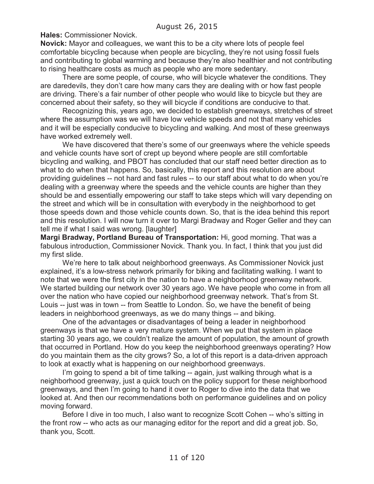**Hales:** Commissioner Novick.

**Novick:** Mayor and colleagues, we want this to be a city where lots of people feel comfortable bicycling because when people are bicycling, they're not using fossil fuels and contributing to global warming and because they're also healthier and not contributing to rising healthcare costs as much as people who are more sedentary.

There are some people, of course, who will bicycle whatever the conditions. They are daredevils, they don't care how many cars they are dealing with or how fast people are driving. There's a fair number of other people who would like to bicycle but they are concerned about their safety, so they will bicycle if conditions are conducive to that.

Recognizing this, years ago, we decided to establish greenways, stretches of street where the assumption was we will have low vehicle speeds and not that many vehicles and it will be especially conducive to bicycling and walking. And most of these greenways have worked extremely well.

We have discovered that there's some of our greenways where the vehicle speeds and vehicle counts have sort of crept up beyond where people are still comfortable bicycling and walking, and PBOT has concluded that our staff need better direction as to what to do when that happens. So, basically, this report and this resolution are about providing guidelines -- not hard and fast rules -- to our staff about what to do when you're dealing with a greenway where the speeds and the vehicle counts are higher than they should be and essentially empowering our staff to take steps which will vary depending on the street and which will be in consultation with everybody in the neighborhood to get those speeds down and those vehicle counts down. So, that is the idea behind this report and this resolution. I will now turn it over to Margi Bradway and Roger Geller and they can tell me if what I said was wrong. [laughter]

**Margi Bradway, Portland Bureau of Transportation:** Hi, good morning. That was a fabulous introduction, Commissioner Novick. Thank you. In fact, I think that you just did my first slide.

We're here to talk about neighborhood greenways. As Commissioner Novick just explained, it's a low-stress network primarily for biking and facilitating walking. I want to note that we were the first city in the nation to have a neighborhood greenway network. We started building our network over 30 years ago. We have people who come in from all over the nation who have copied our neighborhood greenway network. That's from St. Louis -- just was in town -- from Seattle to London. So, we have the benefit of being leaders in neighborhood greenways, as we do many things -- and biking.

One of the advantages or disadvantages of being a leader in neighborhood greenways is that we have a very mature system. When we put that system in place starting 30 years ago, we couldn't realize the amount of population, the amount of growth that occurred in Portland. How do you keep the neighborhood greenways operating? How do you maintain them as the city grows? So, a lot of this report is a data-driven approach to look at exactly what is happening on our neighborhood greenways.

I'm going to spend a bit of time talking -- again, just walking through what is a neighborhood greenway, just a quick touch on the policy support for these neighborhood greenways, and then I'm going to hand it over to Roger to dive into the data that we looked at. And then our recommendations both on performance guidelines and on policy moving forward.

Before I dive in too much, I also want to recognize Scott Cohen -- who's sitting in the front row -- who acts as our managing editor for the report and did a great job. So, thank you, Scott.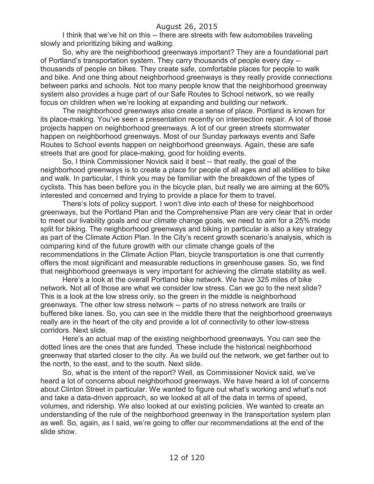I think that we've hit on this -- there are streets with few automobiles traveling slowly and prioritizing biking and walking.

So, why are the neighborhood greenways important? They are a foundational part of Portland's transportation system. They carry thousands of people every day - thousands of people on bikes. They create safe, comfortable places for people to walk and bike. And one thing about neighborhood greenways is they really provide connections between parks and schools. Not too many people know that the neighborhood greenway system also provides a huge part of our Safe Routes to School network, so we really focus on children when we're looking at expanding and building our network.

The neighborhood greenways also create a sense of place. Portland is known for its place-making. You've seen a presentation recently on intersection repair. A lot of those projects happen on neighborhood greenways. A lot of our green streets stormwater happen on neighborhood greenways. Most of our Sunday parkways events and Safe Routes to School events happen on neighborhood greenways. Again, these are safe streets that are good for place-making, good for holding events.

So, I think Commissioner Novick said it best -- that really, the goal of the neighborhood greenways is to create a place for people of all ages and all abilities to bike and walk. In particular, I think you may be familiar with the breakdown of the types of cyclists. This has been before you in the bicycle plan, but really we are aiming at the 60% interested and concerned and trying to provide a place for them to travel.

There's lots of policy support. I won't dive into each of these for neighborhood greenways, but the Portland Plan and the Comprehensive Plan are very clear that in order to meet our livability goals and our climate change goals, we need to aim for a 25% mode split for biking. The neighborhood greenways and biking in particular is also a key strategy as part of the Climate Action Plan. In the City's recent growth scenario's analysis, which is comparing kind of the future growth with our climate change goals of the recommendations in the Climate Action Plan, bicycle transportation is one that currently offers the most significant and measurable reductions in greenhouse gases. So, we find that neighborhood greenways is very important for achieving the climate stability as well.

Here's a look at the overall Portland bike network. We have 325 miles of bike network. Not all of those are what we consider low stress. Can we go to the next slide? This is a look at the low stress only, so the green in the middle is neighborhood greenways. The other low stress network -- parts of no stress network are trails or buffered bike lanes. So, you can see in the middle there that the neighborhood greenways really are in the heart of the city and provide a lot of connectivity to other low-stress corridors. Next slide.

Here's an actual map of the existing neighborhood greenways. You can see the dotted lines are the ones that are funded. These include the historical neighborhood greenway that started closer to the city. As we build out the network, we get farther out to the north, to the east, and to the south. Next slide.

So, what is the intent of the report? Well, as Commissioner Novick said, we've heard a lot of concerns about neighborhood greenways. We have heard a lot of concerns about Clinton Street in particular. We wanted to figure out what's working and what's not and take a data-driven approach, so we looked at all of the data in terms of speed, volumes, and ridership. We also looked at our existing policies. We wanted to create an understanding of the rule of the neighborhood greenway in the transportation system plan as well. So, again, as I said, we're going to offer our recommendations at the end of the slide show.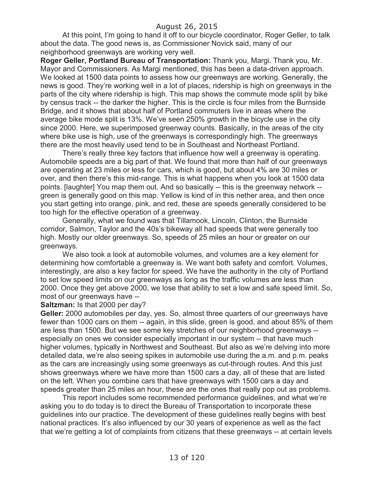At this point, I'm going to hand it off to our bicycle coordinator, Roger Geller, to talk about the data. The good news is, as Commissioner Novick said, many of our neighborhood greenways are working very well.

**Roger Geller, Portland Bureau of Transportation:** Thank you, Margi. Thank you, Mr. Mayor and Commissioners. As Margi mentioned, this has been a data-driven approach. We looked at 1500 data points to assess how our greenways are working. Generally, the news is good. They're working well in a lot of places, ridership is high on greenways in the parts of the city where ridership is high. This map shows the commute mode split by bike by census track -- the darker the higher. This is the circle is four miles from the Burnside Bridge, and it shows that about half of Portland commuters live in areas where the average bike mode split is 13%. We've seen 250% growth in the bicycle use in the city since 2000. Here, we superimposed greenway counts. Basically, in the areas of the city where bike use is high, use of the greenways is correspondingly high. The greenways there are the most heavily used tend to be in Southeast and Northeast Portland.

There's really three key factors that influence how well a greenway is operating. Automobile speeds are a big part of that. We found that more than half of our greenways are operating at 23 miles or less for cars, which is good, but about 4% are 30 miles or over, and then there's this mid-range. This is what happens when you look at 1500 data points. [laughter] You map them out. And so basically -- this is the greenway network - green is generally good on this map. Yellow is kind of in this nether area, and then once you start getting into orange, pink, and red, these are speeds generally considered to be too high for the effective operation of a greenway.

Generally, what we found was that Tillamook, Lincoln, Clinton, the Burnside corridor, Salmon, Taylor and the 40s's bikeway all had speeds that were generally too high. Mostly our older greenways. So, speeds of 25 miles an hour or greater on our greenways.

We also took a look at automobile volumes, and volumes are a key element for determining how comfortable a greenway is. We want both safety and comfort. Volumes, interestingly, are also a key factor for speed. We have the authority in the city of Portland to set low speed limits on our greenways as long as the traffic volumes are less than 2000. Once they get above 2000, we lose that ability to set a low and safe speed limit. So, most of our greenways have --

#### **Saltzman:** Is that 2000 per day?

**Geller:** 2000 automobiles per day, yes. So, almost three quarters of our greenways have fewer than 1000 cars on them -- again, in this slide, green is good, and about 85% of them are less than 1500. But we see some key stretches of our neighborhood greenways - especially on ones we consider especially important in our system -- that have much higher volumes, typically in Northwest and Southeast. But also as we're delving into more detailed data, we're also seeing spikes in automobile use during the a.m. and p.m. peaks as the cars are increasingly using some greenways as cut-through routes. And this just shows greenways where we have more than 1500 cars a day, all of these that are listed on the left. When you combine cars that have greenways with 1500 cars a day and speeds greater than 25 miles an hour, these are the ones that really pop out as problems.

This report includes some recommended performance guidelines, and what we're asking you to do today is to direct the Bureau of Transportation to incorporate these guidelines into our practice. The development of these guidelines really begins with best national practices. It's also influenced by our 30 years of experience as well as the fact that we're getting a lot of complaints from citizens that these greenways -- at certain levels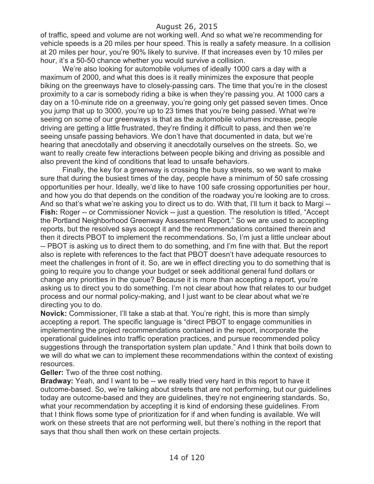of traffic, speed and volume are not working well. And so what we're recommending for vehicle speeds is a 20 miles per hour speed. This is really a safety measure. In a collision at 20 miles per hour, you're 90% likely to survive. If that increases even by 10 miles per hour, it's a 50-50 chance whether you would survive a collision.

We're also looking for automobile volumes of ideally 1000 cars a day with a maximum of 2000, and what this does is it really minimizes the exposure that people biking on the greenways have to closely-passing cars. The time that you're in the closest proximity to a car is somebody riding a bike is when they're passing you. At 1000 cars a day on a 10-minute ride on a greenway, you're going only get passed seven times. Once you jump that up to 3000, you're up to 23 times that you're being passed. What we're seeing on some of our greenways is that as the automobile volumes increase, people driving are getting a little frustrated, they're finding it difficult to pass, and then we're seeing unsafe passing behaviors. We don't have that documented in data, but we're hearing that anecdotally and observing it anecdotally ourselves on the streets. So, we want to really create few interactions between people biking and driving as possible and also prevent the kind of conditions that lead to unsafe behaviors.

Finally, the key for a greenway is crossing the busy streets, so we want to make sure that during the busiest times of the day, people have a minimum of 50 safe crossing opportunities per hour. Ideally, we'd like to have 100 safe crossing opportunities per hour, and how you do that depends on the condition of the roadway you're looking are to cross. And so that's what we're asking you to direct us to do. With that, I'll turn it back to Margi -- **Fish:** Roger -- or Commissioner Novick -- just a question. The resolution is titled, "Accept" the Portland Neighborhood Greenway Assessment Report." So we are used to accepting reports, but the resolved says accept it and the recommendations contained therein and then it directs PBOT to implement the recommendations. So, I'm just a little unclear about -- PBOT is asking us to direct them to do something, and I'm fine with that. But the report also is replete with references to the fact that PBOT doesn't have adequate resources to meet the challenges in front of it. So, are we in effect directing you to do something that is going to require you to change your budget or seek additional general fund dollars or change any priorities in the queue? Because it is more than accepting a report, you're asking us to direct you to do something. I'm not clear about how that relates to our budget process and our normal policy-making, and I just want to be clear about what we're directing you to do.

**Novick:** Commissioner, I'll take a stab at that. You're right, this is more than simply accepting a report. The specific language is "direct PBOT to engage communities in implementing the project recommendations contained in the report, incorporate the operational guidelines into traffic operation practices, and pursue recommended policy suggestions through the transportation system plan update." And I think that boils down to we will do what we can to implement these recommendations within the context of existing resources.

#### **Geller:** Two of the three cost nothing.

**Bradway:** Yeah, and I want to be -- we really tried very hard in this report to have it outcome-based. So, we're talking about streets that are not performing, but our guidelines today are outcome-based and they are guidelines, they're not engineering standards. So, what your recommendation by accepting it is kind of endorsing these guidelines. From that I think flows some type of prioritization for if and when funding is available. We will work on these streets that are not performing well, but there's nothing in the report that says that thou shall then work on these certain projects.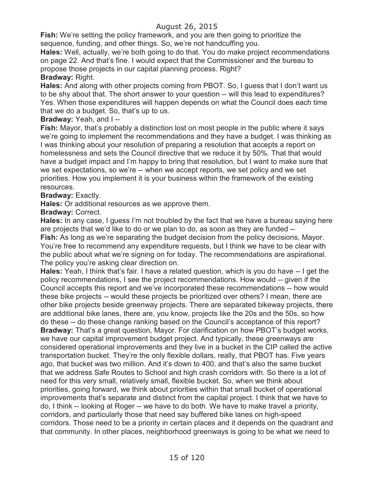**Fish:** We're setting the policy framework, and you are then going to prioritize the sequence, funding, and other things. So, we're not handcuffing you.

**Hales:** Well, actually, we're both going to do that. You do make project recommendations on page 22. And that's fine. I would expect that the Commissioner and the bureau to propose those projects in our capital planning process. Right?

### **Bradway:** Right.

**Hales:** And along with other projects coming from PBOT. So, I guess that I don't want us to be shy about that. The short answer to your question -- will this lead to expenditures? Yes. When those expenditures will happen depends on what the Council does each time that we do a budget. So, that's up to us.

**Bradway:** Yeah, and I --

**Fish:** Mayor, that's probably a distinction lost on most people in the public where it says we're going to implement the recommendations and they have a budget. I was thinking as I was thinking about your resolution of preparing a resolution that accepts a report on homelessness and sets the Council directive that we reduce it by 50%. That that would have a budget impact and I'm happy to bring that resolution, but I want to make sure that we set expectations, so we're -- when we accept reports, we set policy and we set priorities. How you implement it is your business within the framework of the existing resources.

### **Bradway: Exactly.**

**Hales:** Or additional resources as we approve them.

### **Bradway:** Correct.

**Hales:** In any case, I guess I'm not troubled by the fact that we have a bureau saying here are projects that we'd like to do or we plan to do, as soon as they are funded --

**Fish:** As long as we're separating the budget decision from the policy decisions, Mayor. You're free to recommend any expenditure requests, but I think we have to be clear with the public about what we're signing on for today. The recommendations are aspirational. The policy you're asking clear direction on.

**Hales:** Yeah, I think that's fair. I have a related question, which is you do have -- I get the policy recommendations, I see the project recommendations. How would -- given if the Council accepts this report and we've incorporated these recommendations -- how would these bike projects -- would these projects be prioritized over others? I mean, there are other bike projects beside greenway projects. There are separated bikeway projects, there are additional bike lanes, there are, you know, projects like the 20s and the 50s, so how do these -- do these change ranking based on the Council's acceptance of this report? **Bradway:** That's a great question, Mayor. For clarification on how PBOT's budget works, we have our capital improvement budget project. And typically, these greenways are considered operational improvements and they live in a bucket in the CIP called the active transportation bucket. They're the only flexible dollars, really, that PBOT has. Five years ago, that bucket was two million. And it's down to 400, and that's also the same bucket that we address Safe Routes to School and high crash corridors with. So there is a lot of need for this very small, relatively small, flexible bucket. So, when we think about priorities, going forward, we think about priorities within that small bucket of operational improvements that's separate and distinct from the capital project. I think that we have to do, I think -- looking at Roger -- we have to do both. We have to make travel a priority, corridors, and particularly those that need say buffered bike lanes on high-speed corridors. Those need to be a priority in certain places and it depends on the quadrant and that community. In other places, neighborhood greenways is going to be what we need to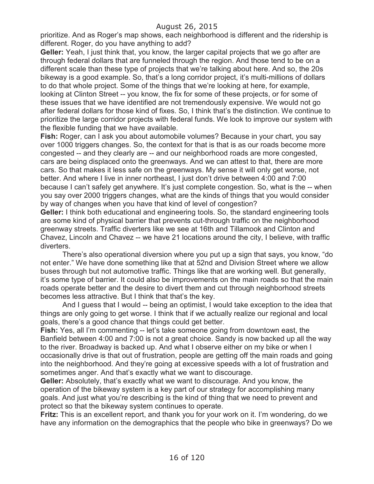prioritize. And as Roger's map shows, each neighborhood is different and the ridership is different. Roger, do you have anything to add?

**Geller:** Yeah, I just think that, you know, the larger capital projects that we go after are through federal dollars that are funneled through the region. And those tend to be on a different scale than these type of projects that we're talking about here. And so, the 20s bikeway is a good example. So, that's a long corridor project, it's multi-millions of dollars to do that whole project. Some of the things that we're looking at here, for example, looking at Clinton Street -- you know, the fix for some of these projects, or for some of these issues that we have identified are not tremendously expensive. We would not go after federal dollars for those kind of fixes. So, I think that's the distinction. We continue to prioritize the large corridor projects with federal funds. We look to improve our system with the flexible funding that we have available.

**Fish:** Roger, can I ask you about automobile volumes? Because in your chart, you say over 1000 triggers changes. So, the context for that is that is as our roads become more congested -- and they clearly are -- and our neighborhood roads are more congested, cars are being displaced onto the greenways. And we can attest to that, there are more cars. So that makes it less safe on the greenways. My sense it will only get worse, not better. And where I live in inner northeast, I just don't drive between 4:00 and 7:00 because I can't safely get anywhere. It's just complete congestion. So, what is the -- when you say over 2000 triggers changes, what are the kinds of things that you would consider by way of changes when you have that kind of level of congestion?

**Geller:** I think both educational and engineering tools. So, the standard engineering tools are some kind of physical barrier that prevents cut-through traffic on the neighborhood greenway streets. Traffic diverters like we see at 16th and Tillamook and Clinton and Chavez, Lincoln and Chavez -- we have 21 locations around the city, I believe, with traffic diverters.

There's also operational diversion where you put up a sign that says, you know, "do not enter." We have done something like that at 52nd and Division Street where we allow buses through but not automotive traffic. Things like that are working well. But generally, it's some type of barrier. It could also be improvements on the main roads so that the main roads operate better and the desire to divert them and cut through neighborhood streets becomes less attractive. But I think that that's the key.

And I guess that I would -- being an optimist, I would take exception to the idea that things are only going to get worse. I think that if we actually realize our regional and local goals, there's a good chance that things could get better.

**Fish:** Yes, all I'm commenting -- let's take someone going from downtown east, the Banfield between 4:00 and 7:00 is not a great choice. Sandy is now backed up all the way to the river. Broadway is backed up. And what I observe either on my bike or when I occasionally drive is that out of frustration, people are getting off the main roads and going into the neighborhood. And they're going at excessive speeds with a lot of frustration and sometimes anger. And that's exactly what we want to discourage.

**Geller:** Absolutely, that's exactly what we want to discourage. And you know, the operation of the bikeway system is a key part of our strategy for accomplishing many goals. And just what you're describing is the kind of thing that we need to prevent and protect so that the bikeway system continues to operate.

**Fritz:** This is an excellent report, and thank you for your work on it. I'm wondering, do we have any information on the demographics that the people who bike in greenways? Do we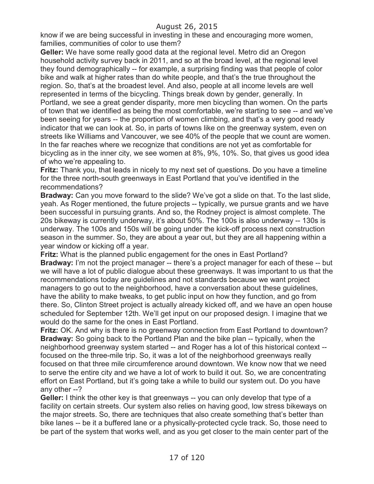know if we are being successful in investing in these and encouraging more women, families, communities of color to use them?

**Geller:** We have some really good data at the regional level. Metro did an Oregon household activity survey back in 2011, and so at the broad level, at the regional level they found demographically -- for example, a surprising finding was that people of color bike and walk at higher rates than do white people, and that's the true throughout the region. So, that's at the broadest level. And also, people at all income levels are well represented in terms of the bicycling. Things break down by gender, generally. In Portland, we see a great gender disparity, more men bicycling than women. On the parts of town that we identified as being the most comfortable, we're starting to see -- and we've been seeing for years -- the proportion of women climbing, and that's a very good ready indicator that we can look at. So, in parts of towns like on the greenway system, even on streets like Williams and Vancouver, we see 40% of the people that we count are women. In the far reaches where we recognize that conditions are not yet as comfortable for bicycling as in the inner city, we see women at 8%, 9%, 10%. So, that gives us good idea of who we're appealing to.

**Fritz:** Thank you, that leads in nicely to my next set of questions. Do you have a timeline for the three north-south greenways in East Portland that you've identified in the recommendations?

**Bradway:** Can you move forward to the slide? We've got a slide on that. To the last slide, yeah. As Roger mentioned, the future projects -- typically, we pursue grants and we have been successful in pursuing grants. And so, the Rodney project is almost complete. The 20s bikeway is currently underway, it's about 50%. The 100s is also underway -- 130s is underway. The 100s and 150s will be going under the kick-off process next construction season in the summer. So, they are about a year out, but they are all happening within a year window or kicking off a year.

**Fritz:** What is the planned public engagement for the ones in East Portland? **Bradway:** I'm not the project manager -- there's a project manager for each of these -- but we will have a lot of public dialogue about these greenways. It was important to us that the recommendations today are guidelines and not standards because we want project managers to go out to the neighborhood, have a conversation about these guidelines, have the ability to make tweaks, to get public input on how they function, and go from there. So, Clinton Street project is actually already kicked off, and we have an open house scheduled for September 12th. We'll get input on our proposed design. I imagine that we would do the same for the ones in East Portland.

**Fritz:** OK. And why is there is no greenway connection from East Portland to downtown? **Bradway:** So going back to the Portland Plan and the bike plan -- typically, when the neighborhood greenway system started -- and Roger has a lot of this historical context - focused on the three-mile trip. So, it was a lot of the neighborhood greenways really focused on that three mile circumference around downtown. We know now that we need to serve the entire city and we have a lot of work to build it out. So, we are concentrating effort on East Portland, but it's going take a while to build our system out. Do you have any other --?

**Geller:** I think the other key is that greenways -- you can only develop that type of a facility on certain streets. Our system also relies on having good, low stress bikeways on the major streets. So, there are techniques that also create something that's better than bike lanes -- be it a buffered lane or a physically-protected cycle track. So, those need to be part of the system that works well, and as you get closer to the main center part of the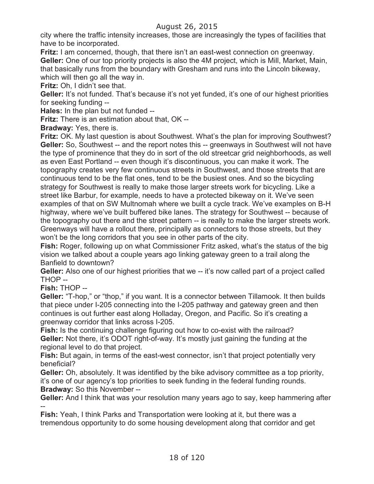city where the traffic intensity increases, those are increasingly the types of facilities that have to be incorporated.

**Fritz:** I am concerned, though, that there isn't an east-west connection on greenway. **Geller:** One of our top priority projects is also the 4M project, which is Mill, Market, Main, that basically runs from the boundary with Gresham and runs into the Lincoln bikeway, which will then go all the way in.

**Fritz:** Oh, I didn't see that.

Geller: It's not funded. That's because it's not yet funded, it's one of our highest priorities for seeking funding --

**Hales:** In the plan but not funded --

**Fritz:** There is an estimation about that, OK --

**Bradway:** Yes, there is.

**Fritz:** OK. My last question is about Southwest. What's the plan for improving Southwest? **Geller:** So, Southwest -- and the report notes this -- greenways in Southwest will not have the type of prominence that they do in sort of the old streetcar grid neighborhoods, as well as even East Portland -- even though it's discontinuous, you can make it work. The topography creates very few continuous streets in Southwest, and those streets that are continuous tend to be the flat ones, tend to be the busiest ones. And so the bicycling strategy for Southwest is really to make those larger streets work for bicycling. Like a street like Barbur, for example, needs to have a protected bikeway on it. We've seen examples of that on SW Multnomah where we built a cycle track. We've examples on B-H highway, where we've built buffered bike lanes. The strategy for Southwest -- because of the topography out there and the street pattern -- is really to make the larger streets work. Greenways will have a rollout there, principally as connectors to those streets, but they won't be the long corridors that you see in other parts of the city.

**Fish:** Roger, following up on what Commissioner Fritz asked, what's the status of the big vision we talked about a couple years ago linking gateway green to a trail along the Banfield to downtown?

**Geller:** Also one of our highest priorities that we -- it's now called part of a project called THOP --

**Fish:** THOP --

**Geller:** "T-hop," or "thop," if you want. It is a connector between Tillamook. It then builds that piece under I-205 connecting into the I-205 pathway and gateway green and then continues is out further east along Holladay, Oregon, and Pacific. So it's creating a greenway corridor that links across I-205.

**Fish:** Is the continuing challenge figuring out how to co-exist with the railroad? **Geller:** Not there, it's ODOT right-of-way. It's mostly just gaining the funding at the regional level to do that project.

**Fish:** But again, in terms of the east-west connector, isn't that project potentially very beneficial?

**Geller:** Oh, absolutely. It was identified by the bike advisory committee as a top priority, it's one of our agency's top priorities to seek funding in the federal funding rounds. **Bradway:** So this November --

**Geller:** And I think that was your resolution many years ago to say, keep hammering after --

**Fish:** Yeah, I think Parks and Transportation were looking at it, but there was a tremendous opportunity to do some housing development along that corridor and get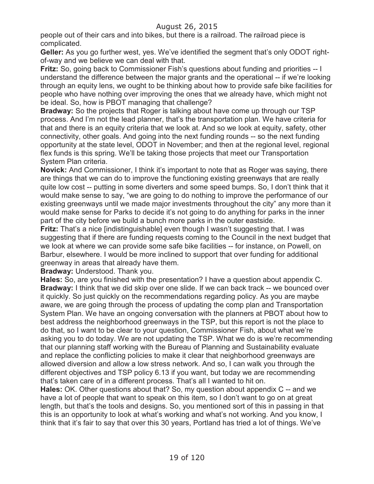people out of their cars and into bikes, but there is a railroad. The railroad piece is complicated.

**Geller:** As you go further west, yes. We've identified the segment that's only ODOT rightof-way and we believe we can deal with that.

**Fritz:** So, going back to Commissioner Fish's questions about funding and priorities -- I understand the difference between the major grants and the operational -- if we're looking through an equity lens, we ought to be thinking about how to provide safe bike facilities for people who have nothing over improving the ones that we already have, which might not be ideal. So, how is PBOT managing that challenge?

**Bradway:** So the projects that Roger is talking about have come up through our TSP process. And I'm not the lead planner, that's the transportation plan. We have criteria for that and there is an equity criteria that we look at. And so we look at equity, safety, other connectivity, other goals. And going into the next funding rounds -- so the next funding opportunity at the state level, ODOT in November; and then at the regional level, regional flex funds is this spring. We'll be taking those projects that meet our Transportation System Plan criteria.

**Novick:** And Commissioner, I think it's important to note that as Roger was saying, there are things that we can do to improve the functioning existing greenways that are really quite low cost -- putting in some diverters and some speed bumps. So, I don't think that it would make sense to say, "we are going to do nothing to improve the performance of our existing greenways until we made major investments throughout the city" any more than it would make sense for Parks to decide it's not going to do anything for parks in the inner part of the city before we build a bunch more parks in the outer eastside.

**Fritz:** That's a nice [indistinguishable] even though I wasn't suggesting that. I was suggesting that if there are funding requests coming to the Council in the next budget that we look at where we can provide some safe bike facilities -- for instance, on Powell, on Barbur, elsewhere. I would be more inclined to support that over funding for additional greenway in areas that already have them.

**Bradway:** Understood. Thank you.

**Hales:** So, are you finished with the presentation? I have a question about appendix C. **Bradway:** I think that we did skip over one slide. If we can back track -- we bounced over it quickly. So just quickly on the recommendations regarding policy. As you are maybe aware, we are going through the process of updating the comp plan and Transportation System Plan. We have an ongoing conversation with the planners at PBOT about how to best address the neighborhood greenways in the TSP, but this report is not the place to do that, so I want to be clear to your question, Commissioner Fish, about what we're asking you to do today. We are not updating the TSP. What we do is we're recommending that our planning staff working with the Bureau of Planning and Sustainability evaluate and replace the conflicting policies to make it clear that neighborhood greenways are allowed diversion and allow a low stress network. And so, I can walk you through the different objectives and TSP policy 6.13 if you want, but today we are recommending that's taken care of in a different process. That's all I wanted to hit on.

**Hales:** OK. Other questions about that? So, my question about appendix C -- and we have a lot of people that want to speak on this item, so I don't want to go on at great length, but that's the tools and designs. So, you mentioned sort of this in passing in that this is an opportunity to look at what's working and what's not working. And you know, I think that it's fair to say that over this 30 years, Portland has tried a lot of things. We've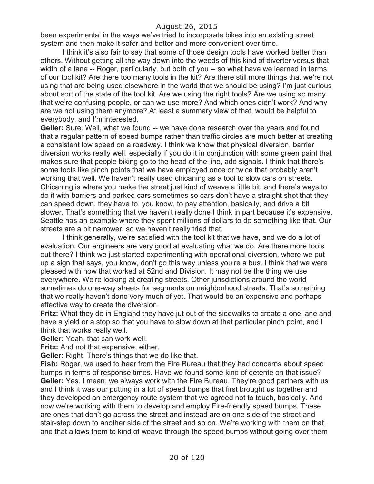been experimental in the ways we've tried to incorporate bikes into an existing street system and then make it safer and better and more convenient over time.

I think it's also fair to say that some of those design tools have worked better than others. Without getting all the way down into the weeds of this kind of diverter versus that width of a lane -- Roger, particularly, but both of you -- so what have we learned in terms of our tool kit? Are there too many tools in the kit? Are there still more things that we're not using that are being used elsewhere in the world that we should be using? I'm just curious about sort of the state of the tool kit. Are we using the right tools? Are we using so many that we're confusing people, or can we use more? And which ones didn't work? And why are we not using them anymore? At least a summary view of that, would be helpful to everybody, and I'm interested.

**Geller:** Sure. Well, what we found -- we have done research over the years and found that a regular pattern of speed bumps rather than traffic circles are much better at creating a consistent low speed on a roadway. I think we know that physical diversion, barrier diversion works really well, especially if you do it in conjunction with some green paint that makes sure that people biking go to the head of the line, add signals. I think that there's some tools like pinch points that we have employed once or twice that probably aren't working that well. We haven't really used chicaning as a tool to slow cars on streets. Chicaning is where you make the street just kind of weave a little bit, and there's ways to do it with barriers and parked cars sometimes so cars don't have a straight shot that they can speed down, they have to, you know, to pay attention, basically, and drive a bit slower. That's something that we haven't really done I think in part because it's expensive. Seattle has an example where they spent millions of dollars to do something like that. Our streets are a bit narrower, so we haven't really tried that.

I think generally, we're satisfied with the tool kit that we have, and we do a lot of evaluation. Our engineers are very good at evaluating what we do. Are there more tools out there? I think we just started experimenting with operational diversion, where we put up a sign that says, you know, don't go this way unless you're a bus. I think that we were pleased with how that worked at 52nd and Division. It may not be the thing we use everywhere. We're looking at creating streets. Other jurisdictions around the world sometimes do one-way streets for segments on neighborhood streets. That's something that we really haven't done very much of yet. That would be an expensive and perhaps effective way to create the diversion.

**Fritz:** What they do in England they have jut out of the sidewalks to create a one lane and have a yield or a stop so that you have to slow down at that particular pinch point, and I think that works really well.

**Geller:** Yeah, that can work well.

**Fritz:** And not that expensive, either.

**Geller:** Right. There's things that we do like that.

**Fish:** Roger, we used to hear from the Fire Bureau that they had concerns about speed bumps in terms of response times. Have we found some kind of detente on that issue? **Geller:** Yes. I mean, we always work with the Fire Bureau. They're good partners with us and I think it was our putting in a lot of speed bumps that first brought us together and they developed an emergency route system that we agreed not to touch, basically. And now we're working with them to develop and employ Fire-friendly speed bumps. These are ones that don't go across the street and instead are on one side of the street and stair-step down to another side of the street and so on. We're working with them on that, and that allows them to kind of weave through the speed bumps without going over them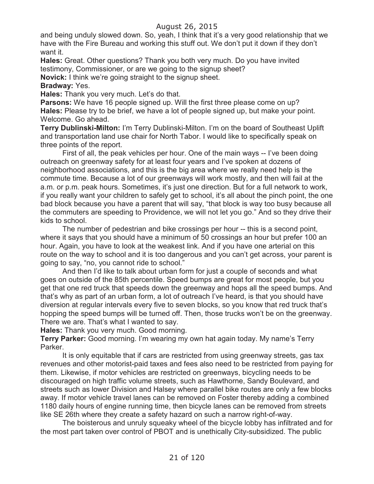and being unduly slowed down. So, yeah, I think that it's a very good relationship that we have with the Fire Bureau and working this stuff out. We don't put it down if they don't want it.

**Hales:** Great. Other questions? Thank you both very much. Do you have invited testimony, Commissioner, or are we going to the signup sheet?

**Novick:** I think we're going straight to the signup sheet.

### **Bradway:** Yes.

**Hales:** Thank you very much. Let's do that.

**Parsons:** We have 16 people signed up. Will the first three please come on up? **Hales:** Please try to be brief, we have a lot of people signed up, but make your point. Welcome. Go ahead.

**Terry Dublinski-Milton:** I'm Terry Dublinski-Milton. I'm on the board of Southeast Uplift and transportation land use chair for North Tabor. I would like to specifically speak on three points of the report.

First of all, the peak vehicles per hour. One of the main ways -- I've been doing outreach on greenway safety for at least four years and I've spoken at dozens of neighborhood associations, and this is the big area where we really need help is the commute time. Because a lot of our greenways will work mostly, and then will fail at the a.m. or p.m. peak hours. Sometimes, it's just one direction. But for a full network to work, if you really want your children to safely get to school, it's all about the pinch point, the one bad block because you have a parent that will say, "that block is way too busy because all the commuters are speeding to Providence, we will not let you go." And so they drive their kids to school.

The number of pedestrian and bike crossings per hour -- this is a second point, where it says that you should have a minimum of 50 crossings an hour but prefer 100 an hour. Again, you have to look at the weakest link. And if you have one arterial on this route on the way to school and it is too dangerous and you can't get across, your parent is going to say, "no, you cannot ride to school."

And then I'd like to talk about urban form for just a couple of seconds and what goes on outside of the 85th percentile. Speed bumps are great for most people, but you get that one red truck that speeds down the greenway and hops all the speed bumps. And that's why as part of an urban form, a lot of outreach I've heard, is that you should have diversion at regular intervals every five to seven blocks, so you know that red truck that's hopping the speed bumps will be turned off. Then, those trucks won't be on the greenway. There we are. That's what I wanted to say.

**Hales:** Thank you very much. Good morning.

**Terry Parker:** Good morning. I'm wearing my own hat again today. My name's Terry Parker.

It is only equitable that if cars are restricted from using greenway streets, gas tax revenues and other motorist-paid taxes and fees also need to be restricted from paying for them. Likewise, if motor vehicles are restricted on greenways, bicycling needs to be discouraged on high traffic volume streets, such as Hawthorne, Sandy Boulevard, and streets such as lower Division and Halsey where parallel bike routes are only a few blocks away. If motor vehicle travel lanes can be removed on Foster thereby adding a combined 1180 daily hours of engine running time, then bicycle lanes can be removed from streets like SE 26th where they create a safety hazard on such a narrow right-of-way.

The boisterous and unruly squeaky wheel of the bicycle lobby has infiltrated and for the most part taken over control of PBOT and is unethically City-subsidized. The public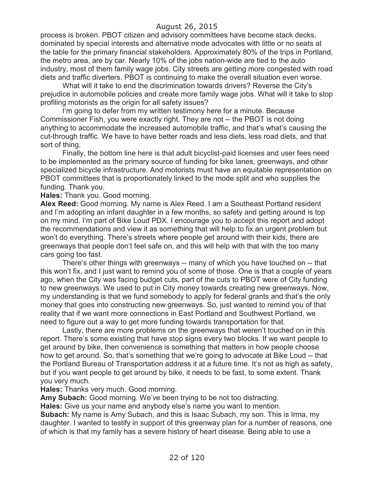process is broken. PBOT citizen and advisory committees have become stack decks, dominated by special interests and alternative mode advocates with little or no seats at the table for the primary financial stakeholders. Approximately 80% of the trips in Portland, the metro area, are by car. Nearly 10% of the jobs nation-wide are tied to the auto industry, most of them family wage jobs. City streets are getting more congested with road diets and traffic diverters. PBOT is continuing to make the overall situation even worse.

What will it take to end the discrimination towards drivers? Reverse the City's prejudice in automobile policies and create more family wage jobs. What will it take to stop profiling motorists as the origin for all safety issues?

I'm going to defer from my written testimony here for a minute. Because Commissioner Fish, you were exactly right. They are not -- the PBOT is not doing anything to accommodate the increased automobile traffic, and that's what's causing the cut-through traffic. We have to have better roads and less diets, less road diets, and that sort of thing.

Finally, the bottom line here is that adult bicyclist-paid licenses and user fees need to be implemented as the primary source of funding for bike lanes, greenways, and other specialized bicycle infrastructure. And motorists must have an equitable representation on PBOT committees that is proportionately linked to the mode split and who supplies the funding. Thank you.

**Hales:** Thank you. Good morning.

**Alex Reed:** Good morning. My name is Alex Reed. I am a Southeast Portland resident and I'm adopting an infant daughter in a few months, so safety and getting around is top on my mind. I'm part of Bike Loud PDX. I encourage you to accept this report and adopt the recommendations and view it as something that will help to fix an urgent problem but won't do everything. There's streets where people get around with their kids, there are greenways that people don't feel safe on, and this will help with that with the too many cars going too fast.

There's other things with greenways -- many of which you have touched on -- that this won't fix, and I just want to remind you of some of those. One is that a couple of years ago, when the City was facing budget cuts, part of the cuts to PBOT were of City funding to new greenways. We used to put in City money towards creating new greenways. Now, my understanding is that we fund somebody to apply for federal grants and that's the only money that goes into constructing new greenways. So, just wanted to remind you of that reality that if we want more connections in East Portland and Southwest Portland, we need to figure out a way to get more funding towards transportation for that.

Lastly, there are more problems on the greenways that weren't touched on in this report. There's some existing that have stop signs every two blocks. If we want people to get around by bike, then convenience is something that matters in how people choose how to get around. So, that's something that we're going to advocate at Bike Loud -- that the Portland Bureau of Transportation address it at a future time. It's not as high as safety, but if you want people to get around by bike, it needs to be fast, to some extent. Thank you very much.

**Hales:** Thanks very much. Good morning.

**Amy Subach:** Good morning. We've been trying to be not too distracting.

**Hales:** Give us your name and anybody else's name you want to mention.

**Subach:** My name is Amy Subach, and this is Isaac Subach, my son. This is Irma, my daughter. I wanted to testify in support of this greenway plan for a number of reasons, one of which is that my family has a severe history of heart disease. Being able to use a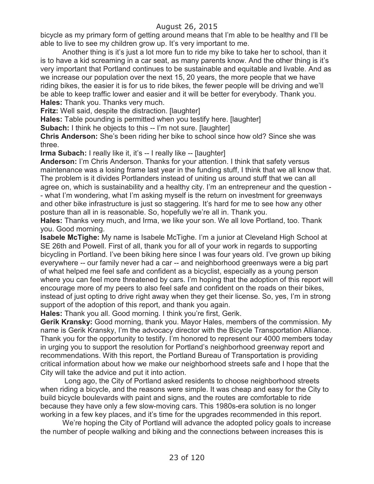bicycle as my primary form of getting around means that I'm able to be healthy and I'll be able to live to see my children grow up. It's very important to me.

Another thing is it's just a lot more fun to ride my bike to take her to school, than it is to have a kid screaming in a car seat, as many parents know. And the other thing is it's very important that Portland continues to be sustainable and equitable and livable. And as we increase our population over the next 15, 20 years, the more people that we have riding bikes, the easier it is for us to ride bikes, the fewer people will be driving and we'll be able to keep traffic lower and easier and it will be better for everybody. Thank you. **Hales:** Thank you. Thanks very much.

**Fritz:** Well said, despite the distraction. [laughter]

**Hales:** Table pounding is permitted when you testify here. [laughter]

**Subach:** I think he objects to this -- I'm not sure. [laughter]

**Chris Anderson:** She's been riding her bike to school since how old? Since she was three.

**Irma Subach:** I really like it, it's -- I really like -- [laughter]

**Anderson:** I'm Chris Anderson. Thanks for your attention. I think that safety versus maintenance was a losing frame last year in the funding stuff, I think that we all know that. The problem is it divides Portlanders instead of uniting us around stuff that we can all agree on, which is sustainability and a healthy city. I'm an entrepreneur and the question - - what I'm wondering, what I'm asking myself is the return on investment for greenways and other bike infrastructure is just so staggering. It's hard for me to see how any other posture than all in is reasonable. So, hopefully we're all in. Thank you.

**Hales:** Thanks very much, and Irma, we like your son. We all love Portland, too. Thank you. Good morning.

**Isabele McTighe:** My name is Isabele McTighe. I'm a junior at Cleveland High School at SE 26th and Powell. First of all, thank you for all of your work in regards to supporting bicycling in Portland. I've been biking here since I was four years old. I've grown up biking everywhere -- our family never had a car -- and neighborhood greenways were a big part of what helped me feel safe and confident as a bicyclist, especially as a young person where you can feel more threatened by cars. I'm hoping that the adoption of this report will encourage more of my peers to also feel safe and confident on the roads on their bikes, instead of just opting to drive right away when they get their license. So, yes, I'm in strong support of the adoption of this report, and thank you again.

**Hales:** Thank you all. Good morning. I think you're first, Gerik.

**Gerik Kransky:** Good morning, thank you. Mayor Hales, members of the commission. My name is Gerik Kransky, I'm the advocacy director with the Bicycle Transportation Alliance. Thank you for the opportunity to testify. I'm honored to represent our 4000 members today in urging you to support the resolution for Portland's neighborhood greenway report and recommendations. With this report, the Portland Bureau of Transportation is providing critical information about how we make our neighborhood streets safe and I hope that the City will take the advice and put it into action.

Long ago, the City of Portland asked residents to choose neighborhood streets when riding a bicycle, and the reasons were simple. It was cheap and easy for the City to build bicycle boulevards with paint and signs, and the routes are comfortable to ride because they have only a few slow-moving cars. This 1980s-era solution is no longer working in a few key places, and it's time for the upgrades recommended in this report.

We're hoping the City of Portland will advance the adopted policy goals to increase the number of people walking and biking and the connections between increases this is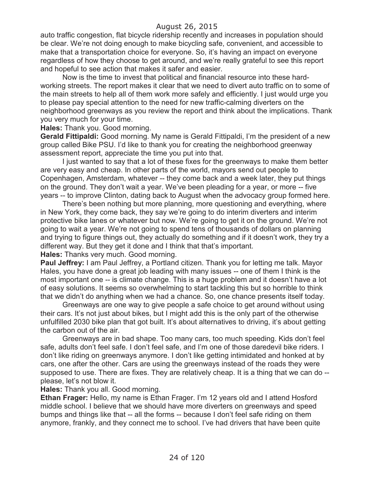auto traffic congestion, flat bicycle ridership recently and increases in population should be clear. We're not doing enough to make bicycling safe, convenient, and accessible to make that a transportation choice for everyone. So, it's having an impact on everyone regardless of how they choose to get around, and we're really grateful to see this report and hopeful to see action that makes it safer and easier.

Now is the time to invest that political and financial resource into these hardworking streets. The report makes it clear that we need to divert auto traffic on to some of the main streets to help all of them work more safely and efficiently. I just would urge you to please pay special attention to the need for new traffic-calming diverters on the neighborhood greenways as you review the report and think about the implications. Thank you very much for your time.

**Hales:** Thank you. Good morning.

**Gerald Fittipaldi:** Good morning. My name is Gerald Fittipaldi, I'm the president of a new group called Bike PSU. I'd like to thank you for creating the neighborhood greenway assessment report, appreciate the time you put into that.

I just wanted to say that a lot of these fixes for the greenways to make them better are very easy and cheap. In other parts of the world, mayors send out people to Copenhagen, Amsterdam, whatever -- they come back and a week later, they put things on the ground. They don't wait a year. We've been pleading for a year, or more -- five years -- to improve Clinton, dating back to August when the advocacy group formed here.

There's been nothing but more planning, more questioning and everything, where in New York, they come back, they say we're going to do interim diverters and interim protective bike lanes or whatever but now. We're going to get it on the ground. We're not going to wait a year. We're not going to spend tens of thousands of dollars on planning and trying to figure things out, they actually do something and if it doesn't work, they try a different way. But they get it done and I think that that's important.

**Hales:** Thanks very much. Good morning.

**Paul Jeffrey:** I am Paul Jeffrey, a Portland citizen. Thank you for letting me talk. Mayor Hales, you have done a great job leading with many issues -- one of them I think is the most important one -- is climate change. This is a huge problem and it doesn't have a lot of easy solutions. It seems so overwhelming to start tackling this but so horrible to think that we didn't do anything when we had a chance. So, one chance presents itself today.

Greenways are one way to give people a safe choice to get around without using their cars. It's not just about bikes, but I might add this is the only part of the otherwise unfulfilled 2030 bike plan that got built. It's about alternatives to driving, it's about getting the carbon out of the air.

Greenways are in bad shape. Too many cars, too much speeding. Kids don't feel safe, adults don't feel safe. I don't feel safe, and I'm one of those daredevil bike riders. I don't like riding on greenways anymore. I don't like getting intimidated and honked at by cars, one after the other. Cars are using the greenways instead of the roads they were supposed to use. There are fixes. They are relatively cheap. It is a thing that we can do - please, let's not blow it.

**Hales:** Thank you all. Good morning.

**Ethan Frager:** Hello, my name is Ethan Frager. I'm 12 years old and I attend Hosford middle school. I believe that we should have more diverters on greenways and speed bumps and things like that -- all the forms -- because I don't feel safe riding on them anymore, frankly, and they connect me to school. I've had drivers that have been quite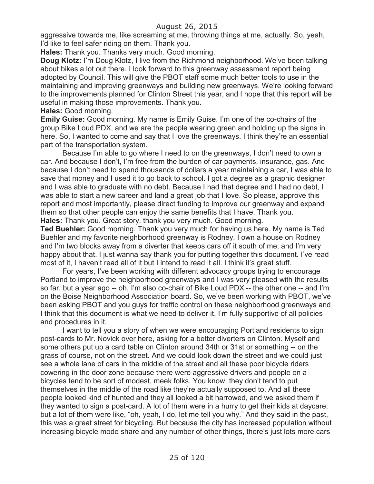aggressive towards me, like screaming at me, throwing things at me, actually. So, yeah, I'd like to feel safer riding on them. Thank you.

**Hales:** Thank you. Thanks very much. Good morning.

**Doug Klotz:** I'm Doug Klotz, I live from the Richmond neighborhood. We've been talking about bikes a lot out there. I look forward to this greenway assessment report being adopted by Council. This will give the PBOT staff some much better tools to use in the maintaining and improving greenways and building new greenways. We're looking forward to the improvements planned for Clinton Street this year, and I hope that this report will be useful in making those improvements. Thank you.

#### **Hales:** Good morning.

**Emily Guise:** Good morning. My name is Emily Guise. I'm one of the co-chairs of the group Bike Loud PDX, and we are the people wearing green and holding up the signs in here. So, I wanted to come and say that I love the greenways. I think they're an essential part of the transportation system.

Because I'm able to go where I need to on the greenways, I don't need to own a car. And because I don't, I'm free from the burden of car payments, insurance, gas. And because I don't need to spend thousands of dollars a year maintaining a car, I was able to save that money and I used it to go back to school. I got a degree as a graphic designer and I was able to graduate with no debt. Because I had that degree and I had no debt, I was able to start a new career and land a great job that I love. So please, approve this report and most importantly, please direct funding to improve our greenway and expand them so that other people can enjoy the same benefits that I have. Thank you. **Hales:** Thank you. Great story, thank you very much. Good morning.

**Ted Buehler:** Good morning. Thank you very much for having us here. My name is Ted Buehler and my favorite neighborhood greenway is Rodney. I own a house on Rodney and I'm two blocks away from a diverter that keeps cars off it south of me, and I'm very happy about that. I just wanna say thank you for putting together this document. I've read most of it, I haven't read all of it but I intend to read it all. I think it's great stuff.

For years, I've been working with different advocacy groups trying to encourage Portland to improve the neighborhood greenways and I was very pleased with the results so far, but a year ago -- oh, I'm also co-chair of Bike Loud PDX -- the other one -- and I'm on the Boise Neighborhood Association board. So, we've been working with PBOT, we've been asking PBOT and you guys for traffic control on these neighborhood greenways and I think that this document is what we need to deliver it. I'm fully supportive of all policies and procedures in it.

I want to tell you a story of when we were encouraging Portland residents to sign post-cards to Mr. Novick over here, asking for a better diverters on Clinton. Myself and some others put up a card table on Clinton around 34th or 31st or something -- on the grass of course, not on the street. And we could look down the street and we could just see a whole lane of cars in the middle of the street and all these poor bicycle riders cowering in the door zone because there were aggressive drivers and people on a bicycles tend to be sort of modest, meek folks. You know, they don't tend to put themselves in the middle of the road like they're actually supposed to. And all these people looked kind of hunted and they all looked a bit harrowed, and we asked them if they wanted to sign a post-card. A lot of them were in a hurry to get their kids at daycare, but a lot of them were like, "oh, yeah, I do, let me tell you why." And they said in the past, this was a great street for bicycling. But because the city has increased population without increasing bicycle mode share and any number of other things, there's just lots more cars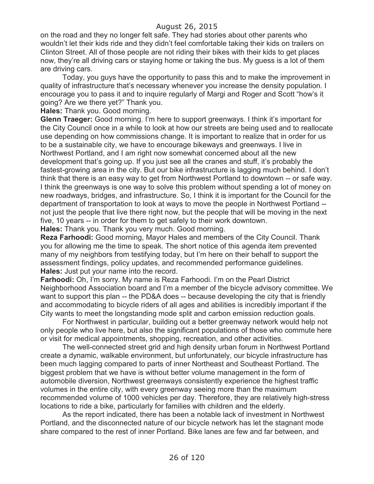on the road and they no longer felt safe. They had stories about other parents who wouldn't let their kids ride and they didn't feel comfortable taking their kids on trailers on Clinton Street. All of those people are not riding their bikes with their kids to get places now, they're all driving cars or staying home or taking the bus. My guess is a lot of them are driving cars.

Today, you guys have the opportunity to pass this and to make the improvement in quality of infrastructure that's necessary whenever you increase the density population. I encourage you to pass it and to inquire regularly of Margi and Roger and Scott "how's it going? Are we there yet?" Thank you.

**Hales:** Thank you. Good morning.

**Glenn Traeger:** Good morning. I'm here to support greenways. I think it's important for the City Council once in a while to look at how our streets are being used and to reallocate use depending on how commissions change. It is important to realize that in order for us to be a sustainable city, we have to encourage bikeways and greenways. I live in Northwest Portland, and I am right now somewhat concerned about all the new development that's going up. If you just see all the cranes and stuff, it's probably the fastest-growing area in the city. But our bike infrastructure is lagging much behind. I don't think that there is an easy way to get from Northwest Portland to downtown -- or safe way. I think the greenways is one way to solve this problem without spending a lot of money on new roadways, bridges, and infrastructure. So, I think it is important for the Council for the department of transportation to look at ways to move the people in Northwest Portland - not just the people that live there right now, but the people that will be moving in the next five, 10 years -- in order for them to get safely to their work downtown.

**Hales:** Thank you. Thank you very much. Good morning.

**Reza Farhoodi:** Good morning, Mayor Hales and members of the City Council. Thank you for allowing me the time to speak. The short notice of this agenda item prevented many of my neighbors from testifying today, but I'm here on their behalf to support the assessment findings, policy updates, and recommended performance guidelines. **Hales:** Just put your name into the record.

**Farhoodi:** Oh, I'm sorry. My name is Reza Farhoodi. I'm on the Pearl District Neighborhood Association board and I'm a member of the bicycle advisory committee. We want to support this plan -- the PD&A does -- because developing the city that is friendly and accommodating to bicycle riders of all ages and abilities is incredibly important if the City wants to meet the longstanding mode split and carbon emission reduction goals.

For Northwest in particular, building out a better greenway network would help not only people who live here, but also the significant populations of those who commute here or visit for medical appointments, shopping, recreation, and other activities.

The well-connected street grid and high density urban forum in Northwest Portland create a dynamic, walkable environment, but unfortunately, our bicycle infrastructure has been much lagging compared to parts of inner Northeast and Southeast Portland. The biggest problem that we have is without better volume management in the form of automobile diversion, Northwest greenways consistently experience the highest traffic volumes in the entire city, with every greenway seeing more than the maximum recommended volume of 1000 vehicles per day. Therefore, they are relatively high-stress locations to ride a bike, particularly for families with children and the elderly.

As the report indicated, there has been a notable lack of investment in Northwest Portland, and the disconnected nature of our bicycle network has let the stagnant mode share compared to the rest of inner Portland. Bike lanes are few and far between, and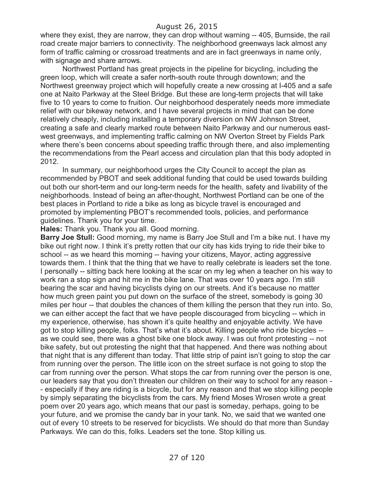where they exist, they are narrow, they can drop without warning -- 405, Burnside, the rail road create major barriers to connectivity. The neighborhood greenways lack almost any form of traffic calming or crossroad treatments and are in fact greenways in name only, with signage and share arrows.

Northwest Portland has great projects in the pipeline for bicycling, including the green loop, which will create a safer north-south route through downtown; and the Northwest greenway project which will hopefully create a new crossing at I-405 and a safe one at Naito Parkway at the Steel Bridge. But these are long-term projects that will take five to 10 years to come to fruition. Our neighborhood desperately needs more immediate relief with our bikeway network, and I have several projects in mind that can be done relatively cheaply, including installing a temporary diversion on NW Johnson Street, creating a safe and clearly marked route between Naito Parkway and our numerous eastwest greenways, and implementing traffic calming on NW Overton Street by Fields Park where there's been concerns about speeding traffic through there, and also implementing the recommendations from the Pearl access and circulation plan that this body adopted in 2012.

In summary, our neighborhood urges the City Council to accept the plan as recommended by PBOT and seek additional funding that could be used towards building out both our short-term and our long-term needs for the health, safety and livability of the neighborhoods. Instead of being an after-thought, Northwest Portland can be one of the best places in Portland to ride a bike as long as bicycle travel is encouraged and promoted by implementing PBOT's recommended tools, policies, and performance guidelines. Thank you for your time.

**Hales:** Thank you. Thank you all. Good morning.

**Barry Joe Stull:** Good morning, my name is Barry Joe Stull and I'm a bike nut. I have my bike out right now. I think it's pretty rotten that our city has kids trying to ride their bike to school -- as we heard this morning -- having your citizens, Mayor, acting aggressive towards them. I think that the thing that we have to really celebrate is leaders set the tone. I personally -- sitting back here looking at the scar on my leg when a teacher on his way to work ran a stop sign and hit me in the bike lane. That was over 10 years ago. I'm still bearing the scar and having bicyclists dying on our streets. And it's because no matter how much green paint you put down on the surface of the street, somebody is going 30 miles per hour -- that doubles the chances of them killing the person that they run into. So, we can either accept the fact that we have people discouraged from bicycling -- which in my experience, otherwise, has shown it's quite healthy and enjoyable activity. We have got to stop killing people, folks. That's what it's about. Killing people who ride bicycles - as we could see, there was a ghost bike one block away. I was out front protesting -- not bike safety, but out protesting the night that that happened. And there was nothing about that night that is any different than today. That little strip of paint isn't going to stop the car from running over the person. The little icon on the street surface is not going to stop the car from running over the person. What stops the car from running over the person is one, our leaders say that you don't threaten our children on their way to school for any reason - - especially if they are riding is a bicycle, but for any reason and that we stop killing people by simply separating the bicyclists from the cars. My friend Moses Wrosen wrote a great poem over 20 years ago, which means that our past is someday, perhaps, going to be your future, and we promise the candy bar in your tank. No, we said that we wanted one out of every 10 streets to be reserved for bicyclists. We should do that more than Sunday Parkways. We can do this, folks. Leaders set the tone. Stop killing us.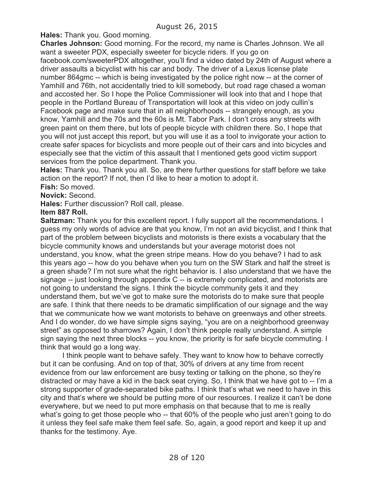**Hales:** Thank you. Good morning.

**Charles Johnson:** Good morning. For the record, my name is Charles Johnson. We all want a sweeter PDX, especially sweeter for bicycle riders. If you go on facebook.com/sweeterPDX altogether, you'll find a video dated by 24th of August where a driver assaults a bicyclist with his car and body. The driver of a Lexus license plate number 864gmc -- which is being investigated by the police right now -- at the corner of Yamhill and 76th, not accidentally tried to kill somebody, but road rage chased a woman and accosted her. So I hope the Police Commissioner will look into that and I hope that people in the Portland Bureau of Transportation will look at this video on jody cullin's Facebook page and make sure that in all neighborhoods -- strangely enough, as you know, Yamhill and the 70s and the 60s is Mt. Tabor Park. I don't cross any streets with green paint on them there, but lots of people bicycle with children there. So, I hope that you will not just accept this report, but you will use it as a tool to invigorate your action to create safer spaces for bicyclists and more people out of their cars and into bicycles and especially see that the victim of this assault that I mentioned gets good victim support services from the police department. Thank you.

**Hales:** Thank you. Thank you all. So, are there further questions for staff before we take action on the report? If not, then I'd like to hear a motion to adopt it.

**Fish:** So moved.

**Novick:** Second.

**Hales:** Further discussion? Roll call, please.

#### **Item 887 Roll.**

**Saltzman:** Thank you for this excellent report. I fully support all the recommendations. I guess my only words of advice are that you know, I'm not an avid bicyclist, and I think that part of the problem between bicyclists and motorists is there exists a vocabulary that the bicycle community knows and understands but your average motorist does not understand, you know, what the green stripe means. How do you behave? I had to ask this years ago -- how do you behave when you turn on the SW Stark and half the street is a green shade? I'm not sure what the right behavior is. I also understand that we have the signage -- just looking through appendix C -- is extremely complicated, and motorists are not going to understand the signs. I think the bicycle community gets it and they understand them, but we've got to make sure the motorists do to make sure that people are safe. I think that there needs to be dramatic simplification of our signage and the way that we communicate how we want motorists to behave on greenways and other streets. And I do wonder, do we have simple signs saying, "you are on a neighborhood greenway street" as opposed to sharrows? Again, I don't think people really understand. A simple sign saying the next three blocks -- you know, the priority is for safe bicycle commuting. I think that would go a long way.

I think people want to behave safely. They want to know how to behave correctly but it can be confusing. And on top of that, 30% of drivers at any time from recent evidence from our law enforcement are busy texting or talking on the phone, so they're distracted or may have a kid in the back seat crying. So, I think that we have got to -- I'm a strong supporter of grade-separated bike paths. I think that's what we need to have in this city and that's where we should be putting more of our resources. I realize it can't be done everywhere, but we need to put more emphasis on that because that to me is really what's going to get those people who -- that 60% of the people who just aren't going to do it unless they feel safe make them feel safe. So, again, a good report and keep it up and thanks for the testimony. Aye.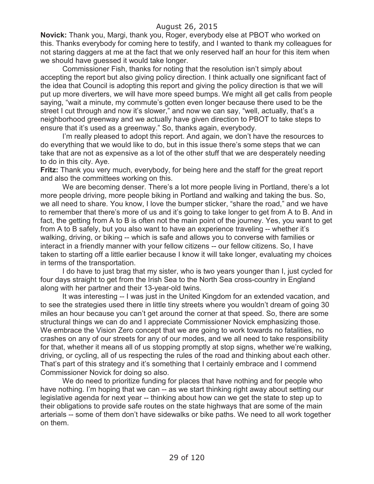**Novick:** Thank you, Margi, thank you, Roger, everybody else at PBOT who worked on this. Thanks everybody for coming here to testify, and I wanted to thank my colleagues for not staring daggers at me at the fact that we only reserved half an hour for this item when we should have guessed it would take longer.

Commissioner Fish, thanks for noting that the resolution isn't simply about accepting the report but also giving policy direction. I think actually one significant fact of the idea that Council is adopting this report and giving the policy direction is that we will put up more diverters, we will have more speed bumps. We might all get calls from people saying, "wait a minute, my commute's gotten even longer because there used to be the street I cut through and now it's slower," and now we can say, "well, actually, that's a neighborhood greenway and we actually have given direction to PBOT to take steps to ensure that it's used as a greenway." So, thanks again, everybody.

I'm really pleased to adopt this report. And again, we don't have the resources to do everything that we would like to do, but in this issue there's some steps that we can take that are not as expensive as a lot of the other stuff that we are desperately needing to do in this city. Aye.

**Fritz:** Thank you very much, everybody, for being here and the staff for the great report and also the committees working on this.

We are becoming denser. There's a lot more people living in Portland, there's a lot more people driving, more people biking in Portland and walking and taking the bus. So, we all need to share. You know, I love the bumper sticker, "share the road," and we have to remember that there's more of us and it's going to take longer to get from A to B. And in fact, the getting from A to B is often not the main point of the journey. Yes, you want to get from A to B safely, but you also want to have an experience traveling -- whether it's walking, driving, or biking -- which is safe and allows you to converse with families or interact in a friendly manner with your fellow citizens -- our fellow citizens. So, I have taken to starting off a little earlier because I know it will take longer, evaluating my choices in terms of the transportation.

I do have to just brag that my sister, who is two years younger than I, just cycled for four days straight to get from the Irish Sea to the North Sea cross-country in England along with her partner and their 13-year-old twins.

It was interesting -- I was just in the United Kingdom for an extended vacation, and to see the strategies used there in little tiny streets where you wouldn't dream of going 30 miles an hour because you can't get around the corner at that speed. So, there are some structural things we can do and I appreciate Commissioner Novick emphasizing those. We embrace the Vision Zero concept that we are going to work towards no fatalities, no crashes on any of our streets for any of our modes, and we all need to take responsibility for that, whether it means all of us stopping promptly at stop signs, whether we're walking, driving, or cycling, all of us respecting the rules of the road and thinking about each other. That's part of this strategy and it's something that I certainly embrace and I commend Commissioner Novick for doing so also.

We do need to prioritize funding for places that have nothing and for people who have nothing. I'm hoping that we can -- as we start thinking right away about setting our legislative agenda for next year -- thinking about how can we get the state to step up to their obligations to provide safe routes on the state highways that are some of the main arterials -- some of them don't have sidewalks or bike paths. We need to all work together on them.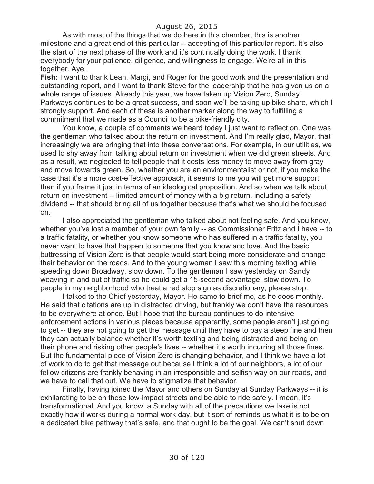As with most of the things that we do here in this chamber, this is another milestone and a great end of this particular -- accepting of this particular report. It's also the start of the next phase of the work and it's continually doing the work. I thank everybody for your patience, diligence, and willingness to engage. We're all in this together. Aye.

**Fish:** I want to thank Leah, Margi, and Roger for the good work and the presentation and outstanding report, and I want to thank Steve for the leadership that he has given us on a whole range of issues. Already this year, we have taken up Vision Zero, Sunday Parkways continues to be a great success, and soon we'll be taking up bike share, which I strongly support. And each of these is another marker along the way to fulfilling a commitment that we made as a Council to be a bike-friendly city.

You know, a couple of comments we heard today I just want to reflect on. One was the gentleman who talked about the return on investment. And I'm really glad, Mayor, that increasingly we are bringing that into these conversations. For example, in our utilities, we used to shy away from talking about return on investment when we did green streets. And as a result, we neglected to tell people that it costs less money to move away from gray and move towards green. So, whether you are an environmentalist or not, if you make the case that it's a more cost-effective approach, it seems to me you will get more support than if you frame it just in terms of an ideological proposition. And so when we talk about return on investment -- limited amount of money with a big return, including a safety dividend -- that should bring all of us together because that's what we should be focused on.

I also appreciated the gentleman who talked about not feeling safe. And you know, whether you've lost a member of your own family -- as Commissioner Fritz and I have -- to a traffic fatality, or whether you know someone who has suffered in a traffic fatality, you never want to have that happen to someone that you know and love. And the basic buttressing of Vision Zero is that people would start being more considerate and change their behavior on the roads. And to the young woman I saw this morning texting while speeding down Broadway, slow down. To the gentleman I saw yesterday on Sandy weaving in and out of traffic so he could get a 15-second advantage, slow down. To people in my neighborhood who treat a red stop sign as discretionary, please stop.

I talked to the Chief yesterday, Mayor. He came to brief me, as he does monthly. He said that citations are up in distracted driving, but frankly we don't have the resources to be everywhere at once. But I hope that the bureau continues to do intensive enforcement actions in various places because apparently, some people aren't just going to get -- they are not going to get the message until they have to pay a steep fine and then they can actually balance whether it's worth texting and being distracted and being on their phone and risking other people's lives -- whether it's worth incurring all those fines. But the fundamental piece of Vision Zero is changing behavior, and I think we have a lot of work to do to get that message out because I think a lot of our neighbors, a lot of our fellow citizens are frankly behaving in an irresponsible and selfish way on our roads, and we have to call that out. We have to stigmatize that behavior.

Finally, having joined the Mayor and others on Sunday at Sunday Parkways -- it is exhilarating to be on these low-impact streets and be able to ride safely. I mean, it's transformational. And you know, a Sunday with all of the precautions we take is not exactly how it works during a normal work day, but it sort of reminds us what it is to be on a dedicated bike pathway that's safe, and that ought to be the goal. We can't shut down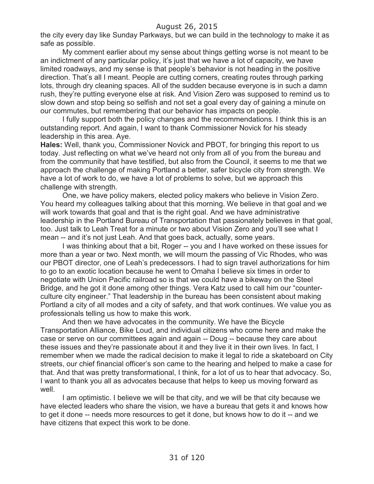the city every day like Sunday Parkways, but we can build in the technology to make it as safe as possible.

My comment earlier about my sense about things getting worse is not meant to be an indictment of any particular policy, it's just that we have a lot of capacity, we have limited roadways, and my sense is that people's behavior is not heading in the positive direction. That's all I meant. People are cutting corners, creating routes through parking lots, through dry cleaning spaces. All of the sudden because everyone is in such a damn rush, they're putting everyone else at risk. And Vision Zero was supposed to remind us to slow down and stop being so selfish and not set a goal every day of gaining a minute on our commutes, but remembering that our behavior has impacts on people.

I fully support both the policy changes and the recommendations. I think this is an outstanding report. And again, I want to thank Commissioner Novick for his steady leadership in this area. Aye.

**Hales:** Well, thank you, Commissioner Novick and PBOT, for bringing this report to us today. Just reflecting on what we've heard not only from all of you from the bureau and from the community that have testified, but also from the Council, it seems to me that we approach the challenge of making Portland a better, safer bicycle city from strength. We have a lot of work to do, we have a lot of problems to solve, but we approach this challenge with strength.

One, we have policy makers, elected policy makers who believe in Vision Zero. You heard my colleagues talking about that this morning. We believe in that goal and we will work towards that goal and that is the right goal. And we have administrative leadership in the Portland Bureau of Transportation that passionately believes in that goal, too. Just talk to Leah Treat for a minute or two about Vision Zero and you'll see what I mean -- and it's not just Leah. And that goes back, actually, some years.

I was thinking about that a bit, Roger -- you and I have worked on these issues for more than a year or two. Next month, we will mourn the passing of Vic Rhodes, who was our PBOT director, one of Leah's predecessors. I had to sign travel authorizations for him to go to an exotic location because he went to Omaha I believe six times in order to negotiate with Union Pacific railroad so is that we could have a bikeway on the Steel Bridge, and he got it done among other things. Vera Katz used to call him our "counterculture city engineer." That leadership in the bureau has been consistent about making Portland a city of all modes and a city of safety, and that work continues. We value you as professionals telling us how to make this work.

And then we have advocates in the community. We have the Bicycle Transportation Alliance, Bike Loud, and individual citizens who come here and make the case or serve on our committees again and again -- Doug -- because they care about these issues and they're passionate about it and they live it in their own lives. In fact, I remember when we made the radical decision to make it legal to ride a skateboard on City streets, our chief financial officer's son came to the hearing and helped to make a case for that. And that was pretty transformational, I think, for a lot of us to hear that advocacy. So, I want to thank you all as advocates because that helps to keep us moving forward as well.

I am optimistic. I believe we will be that city, and we will be that city because we have elected leaders who share the vision, we have a bureau that gets it and knows how to get it done -- needs more resources to get it done, but knows how to do it -- and we have citizens that expect this work to be done.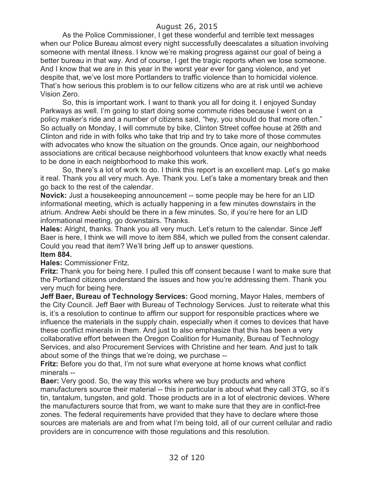As the Police Commissioner, I get these wonderful and terrible text messages when our Police Bureau almost every night successfully deescalates a situation involving someone with mental illness. I know we're making progress against our goal of being a better bureau in that way. And of course, I get the tragic reports when we lose someone. And I know that we are in this year in the worst year ever for gang violence, and yet despite that, we've lost more Portlanders to traffic violence than to homicidal violence. That's how serious this problem is to our fellow citizens who are at risk until we achieve Vision Zero.

So, this is important work. I want to thank you all for doing it. I enjoyed Sunday Parkways as well. I'm going to start doing some commute rides because I went on a policy maker's ride and a number of citizens said, "hey, you should do that more often." So actually on Monday, I will commute by bike, Clinton Street coffee house at 26th and Clinton and ride in with folks who take that trip and try to take more of those commutes with advocates who know the situation on the grounds. Once again, our neighborhood associations are critical because neighborhood volunteers that know exactly what needs to be done in each neighborhood to make this work.

So, there's a lot of work to do. I think this report is an excellent map. Let's go make it real. Thank you all very much. Aye. Thank you. Let's take a momentary break and then go back to the rest of the calendar.

**Novick:** Just a housekeeping announcement -- some people may be here for an LID informational meeting, which is actually happening in a few minutes downstairs in the atrium. Andrew Aebi should be there in a few minutes. So, if you're here for an LID informational meeting, go downstairs. Thanks.

**Hales:** Alright, thanks. Thank you all very much. Let's return to the calendar. Since Jeff Baer is here, I think we will move to item 884, which we pulled from the consent calendar. Could you read that item? We'll bring Jeff up to answer questions.

#### **Item 884.**

**Hales:** Commissioner Fritz.

**Fritz:** Thank you for being here. I pulled this off consent because I want to make sure that the Portland citizens understand the issues and how you're addressing them. Thank you very much for being here.

**Jeff Baer, Bureau of Technology Services:** Good morning, Mayor Hales, members of the City Council. Jeff Baer with Bureau of Technology Services. Just to reiterate what this is, it's a resolution to continue to affirm our support for responsible practices where we influence the materials in the supply chain, especially when it comes to devices that have these conflict minerals in them. And just to also emphasize that this has been a very collaborative effort between the Oregon Coalition for Humanity, Bureau of Technology Services, and also Procurement Services with Christine and her team. And just to talk about some of the things that we're doing, we purchase --

**Fritz:** Before you do that, I'm not sure what everyone at home knows what conflict minerals --

**Baer:** Very good. So, the way this works where we buy products and where manufacturers source their material -- this in particular is about what they call 3TG, so it's tin, tantalum, tungsten, and gold. Those products are in a lot of electronic devices. Where the manufacturers source that from, we want to make sure that they are in conflict-free zones. The federal requirements have provided that they have to declare where those sources are materials are and from what I'm being told, all of our current cellular and radio providers are in concurrence with those regulations and this resolution.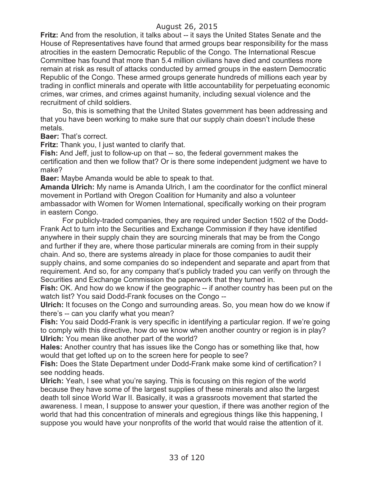**Fritz:** And from the resolution, it talks about -- it says the United States Senate and the House of Representatives have found that armed groups bear responsibility for the mass atrocities in the eastern Democratic Republic of the Congo. The International Rescue Committee has found that more than 5.4 million civilians have died and countless more remain at risk as result of attacks conducted by armed groups in the eastern Democratic Republic of the Congo. These armed groups generate hundreds of millions each year by trading in conflict minerals and operate with little accountability for perpetuating economic crimes, war crimes, and crimes against humanity, including sexual violence and the recruitment of child soldiers.

So, this is something that the United States government has been addressing and that you have been working to make sure that our supply chain doesn't include these metals.

**Baer:** That's correct.

**Fritz:** Thank you, I just wanted to clarify that.

**Fish:** And Jeff, just to follow-up on that -- so, the federal government makes the certification and then we follow that? Or is there some independent judgment we have to make?

**Baer:** Maybe Amanda would be able to speak to that.

**Amanda Ulrich:** My name is Amanda Ulrich, I am the coordinator for the conflict mineral movement in Portland with Oregon Coalition for Humanity and also a volunteer ambassador with Women for Women International, specifically working on their program in eastern Congo.

For publicly-traded companies, they are required under Section 1502 of the Dodd-Frank Act to turn into the Securities and Exchange Commission if they have identified anywhere in their supply chain they are sourcing minerals that may be from the Congo and further if they are, where those particular minerals are coming from in their supply chain. And so, there are systems already in place for those companies to audit their supply chains, and some companies do so independent and separate and apart from that requirement. And so, for any company that's publicly traded you can verify on through the Securities and Exchange Commission the paperwork that they turned in.

**Fish:** OK. And how do we know if the geographic -- if another country has been put on the watch list? You said Dodd-Frank focuses on the Congo --

**Ulrich:** It focuses on the Congo and surrounding areas. So, you mean how do we know if there's -- can you clarify what you mean?

**Fish:** You said Dodd-Frank is very specific in identifying a particular region. If we're going to comply with this directive, how do we know when another country or region is in play? **Ulrich:** You mean like another part of the world?

**Hales:** Another country that has issues like the Congo has or something like that, how would that get lofted up on to the screen here for people to see?

**Fish:** Does the State Department under Dodd-Frank make some kind of certification? I see nodding heads.

**Ulrich:** Yeah, I see what you're saying. This is focusing on this region of the world because they have some of the largest supplies of these minerals and also the largest death toll since World War II. Basically, it was a grassroots movement that started the awareness. I mean, I suppose to answer your question, if there was another region of the world that had this concentration of minerals and egregious things like this happening, I suppose you would have your nonprofits of the world that would raise the attention of it.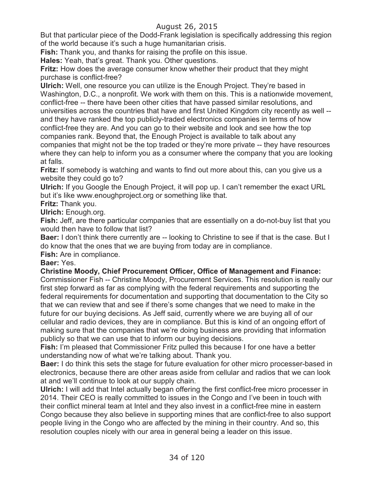But that particular piece of the Dodd-Frank legislation is specifically addressing this region of the world because it's such a huge humanitarian crisis.

**Fish:** Thank you, and thanks for raising the profile on this issue.

**Hales:** Yeah, that's great. Thank you. Other questions.

**Fritz:** How does the average consumer know whether their product that they might purchase is conflict-free?

**Ulrich:** Well, one resource you can utilize is the Enough Project. They're based in Washington, D.C., a nonprofit. We work with them on this. This is a nationwide movement, conflict-free -- there have been other cities that have passed similar resolutions, and universities across the countries that have and first United Kingdom city recently as well - and they have ranked the top publicly-traded electronics companies in terms of how conflict-free they are. And you can go to their website and look and see how the top companies rank. Beyond that, the Enough Project is available to talk about any companies that might not be the top traded or they're more private -- they have resources where they can help to inform you as a consumer where the company that you are looking at falls.

**Fritz:** If somebody is watching and wants to find out more about this, can you give us a website they could go to?

**Ulrich:** If you Google the Enough Project, it will pop up. I can't remember the exact URL but it's like www.enoughproject.org or something like that.

**Fritz:** Thank you.

**Ulrich:** Enough.org.

**Fish:** Jeff, are there particular companies that are essentially on a do-not-buy list that you would then have to follow that list?

**Baer:** I don't think there currently are -- looking to Christine to see if that is the case. But I do know that the ones that we are buying from today are in compliance.

**Fish:** Are in compliance.

#### **Baer:** Yes.

**Christine Moody, Chief Procurement Officer, Office of Management and Finance:** 

Commissioner Fish -- Christine Moody, Procurement Services. This resolution is really our first step forward as far as complying with the federal requirements and supporting the federal requirements for documentation and supporting that documentation to the City so that we can review that and see if there's some changes that we need to make in the future for our buying decisions. As Jeff said, currently where we are buying all of our cellular and radio devices, they are in compliance. But this is kind of an ongoing effort of making sure that the companies that we're doing business are providing that information publicly so that we can use that to inform our buying decisions.

**Fish:** I'm pleased that Commissioner Fritz pulled this because I for one have a better understanding now of what we're talking about. Thank you.

**Baer:** I do think this sets the stage for future evaluation for other micro processer-based in electronics, because there are other areas aside from cellular and radios that we can look at and we'll continue to look at our supply chain.

**Ulrich:** I will add that Intel actually began offering the first conflict-free micro processer in 2014. Their CEO is really committed to issues in the Congo and I've been in touch with their conflict mineral team at Intel and they also invest in a conflict-free mine in eastern Congo because they also believe in supporting mines that are conflict-free to also support people living in the Congo who are affected by the mining in their country. And so, this resolution couples nicely with our area in general being a leader on this issue.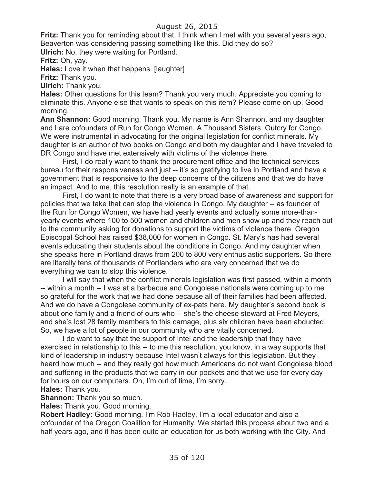**Fritz:** Thank you for reminding about that. I think when I met with you several years ago, Beaverton was considering passing something like this. Did they do so?

**Ulrich:** No, they were waiting for Portland.

**Fritz:** Oh, yay.

**Hales:** Love it when that happens. [laughter]

**Fritz:** Thank you.

**Ulrich:** Thank you.

**Hales:** Other questions for this team? Thank you very much. Appreciate you coming to eliminate this. Anyone else that wants to speak on this item? Please come on up. Good morning.

**Ann Shannon:** Good morning. Thank you. My name is Ann Shannon, and my daughter and I are cofounders of Run for Congo Women, A Thousand Sisters, Outcry for Congo. We were instrumental in advocating for the original legislation for conflict minerals. My daughter is an author of two books on Congo and both my daughter and I have traveled to DR Congo and have met extensively with victims of the violence there.

First, I do really want to thank the procurement office and the technical services bureau for their responsiveness and just -- it's so gratifying to live in Portland and have a government that is responsive to the deep concerns of the citizens and that we do have an impact. And to me, this resolution really is an example of that.

First, I do want to note that there is a very broad base of awareness and support for policies that we take that can stop the violence in Congo. My daughter -- as founder of the Run for Congo Women, we have had yearly events and actually some more-thanyearly events where 100 to 500 women and children and men show up and they reach out to the community asking for donations to support the victims of violence there. Oregon Episcopal School has raised \$38,000 for women in Congo. St. Mary's has had several events educating their students about the conditions in Congo. And my daughter when she speaks here in Portland draws from 200 to 800 very enthusiastic supporters. So there are literally tens of thousands of Portlanders who are very concerned that we do everything we can to stop this violence.

I will say that when the conflict minerals legislation was first passed, within a month -- within a month -- I was at a barbecue and Congolese nationals were coming up to me so grateful for the work that we had done because all of their families had been affected. And we do have a Congolese community of ex-pats here. My daughter's second book is about one family and a friend of ours who -- she's the cheese steward at Fred Meyers, and she's lost 28 family members to this carnage, plus six children have been abducted. So, we have a lot of people in our community who are vitally concerned.

I do want to say that the support of Intel and the leadership that they have exercised in relationship to this -- to me this resolution, you know, in a way supports that kind of leadership in industry because Intel wasn't always for this legislation. But they heard how much -- and they really got how much Americans do not want Congolese blood and suffering in the products that we carry in our pockets and that we use for every day for hours on our computers. Oh, I'm out of time, I'm sorry.

**Hales:** Thank you.

**Shannon:** Thank you so much.

**Hales:** Thank you. Good morning.

**Robert Hadley:** Good morning. I'm Rob Hadley, I'm a local educator and also a cofounder of the Oregon Coalition for Humanity. We started this process about two and a half years ago, and it has been quite an education for us both working with the City. And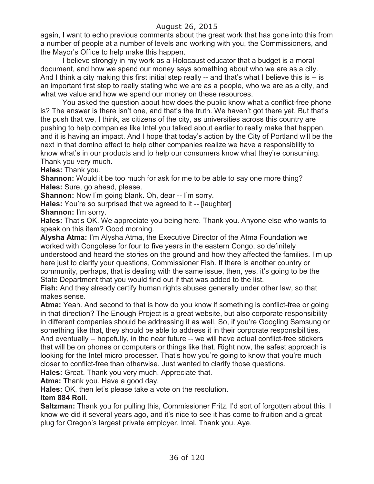again, I want to echo previous comments about the great work that has gone into this from a number of people at a number of levels and working with you, the Commissioners, and the Mayor's Office to help make this happen.

I believe strongly in my work as a Holocaust educator that a budget is a moral document, and how we spend our money says something about who we are as a city. And I think a city making this first initial step really -- and that's what I believe this is -- is an important first step to really stating who we are as a people, who we are as a city, and what we value and how we spend our money on these resources.

You asked the question about how does the public know what a conflict-free phone is? The answer is there isn't one, and that's the truth. We haven't got there yet. But that's the push that we, I think, as citizens of the city, as universities across this country are pushing to help companies like Intel you talked about earlier to really make that happen, and it is having an impact. And I hope that today's action by the City of Portland will be the next in that domino effect to help other companies realize we have a responsibility to know what's in our products and to help our consumers know what they're consuming. Thank you very much.

**Hales:** Thank you.

**Shannon:** Would it be too much for ask for me to be able to say one more thing? **Hales:** Sure, go ahead, please.

**Shannon:** Now I'm going blank. Oh, dear -- I'm sorry.

**Hales:** You're so surprised that we agreed to it -- [laughter]

**Shannon:** I'm sorry.

**Hales:** That's OK. We appreciate you being here. Thank you. Anyone else who wants to speak on this item? Good morning.

**Alysha Atma:** I'm Alysha Atma, the Executive Director of the Atma Foundation we worked with Congolese for four to five years in the eastern Congo, so definitely understood and heard the stories on the ground and how they affected the families. I'm up here just to clarify your questions, Commissioner Fish. If there is another country or community, perhaps, that is dealing with the same issue, then, yes, it's going to be the State Department that you would find out if that was added to the list.

**Fish:** And they already certify human rights abuses generally under other law, so that makes sense.

**Atma:** Yeah. And second to that is how do you know if something is conflict-free or going in that direction? The Enough Project is a great website, but also corporate responsibility in different companies should be addressing it as well. So, if you're Googling Samsung or something like that, they should be able to address it in their corporate responsibilities. And eventually -- hopefully, in the near future -- we will have actual conflict-free stickers that will be on phones or computers or things like that. Right now, the safest approach is looking for the Intel micro processer. That's how you're going to know that you're much closer to conflict-free than otherwise. Just wanted to clarify those questions.

**Hales:** Great. Thank you very much. Appreciate that.

**Atma:** Thank you. Have a good day.

**Hales:** OK, then let's please take a vote on the resolution.

#### **Item 884 Roll.**

**Saltzman:** Thank you for pulling this, Commissioner Fritz. I'd sort of forgotten about this. I know we did it several years ago, and it's nice to see it has come to fruition and a great plug for Oregon's largest private employer, Intel. Thank you. Aye.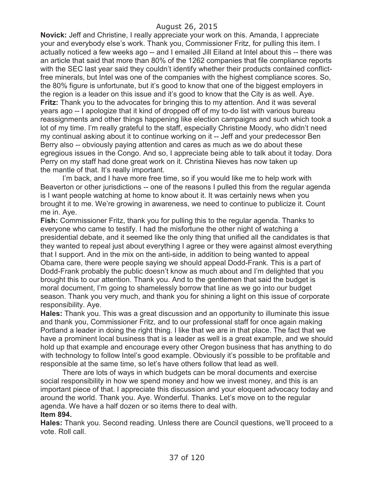**Novick:** Jeff and Christine, I really appreciate your work on this. Amanda, I appreciate your and everybody else's work. Thank you, Commissioner Fritz, for pulling this item. I actually noticed a few weeks ago -- and I emailed Jill Eiland at Intel about this -- there was an article that said that more than 80% of the 1262 companies that file compliance reports with the SEC last year said they couldn't identify whether their products contained conflictfree minerals, but Intel was one of the companies with the highest compliance scores. So, the 80% figure is unfortunate, but it's good to know that one of the biggest employers in the region is a leader on this issue and it's good to know that the City is as well. Aye. **Fritz:** Thank you to the advocates for bringing this to my attention. And it was several years ago -- I apologize that it kind of dropped off of my to-do list with various bureau reassignments and other things happening like election campaigns and such which took a lot of my time. I'm really grateful to the staff, especially Christine Moody, who didn't need my continual asking about it to continue working on it -- Jeff and your predecessor Ben Berry also -- obviously paying attention and cares as much as we do about these egregious issues in the Congo. And so, I appreciate being able to talk about it today. Dora Perry on my staff had done great work on it. Christina Nieves has now taken up the mantle of that. It's really important.

I'm back, and I have more free time, so if you would like me to help work with Beaverton or other jurisdictions -- one of the reasons I pulled this from the regular agenda is I want people watching at home to know about it. It was certainly news when you brought it to me. We're growing in awareness, we need to continue to publicize it. Count me in. Aye.

**Fish:** Commissioner Fritz, thank you for pulling this to the regular agenda. Thanks to everyone who came to testify. I had the misfortune the other night of watching a presidential debate, and it seemed like the only thing that unified all the candidates is that they wanted to repeal just about everything I agree or they were against almost everything that I support. And in the mix on the anti-side, in addition to being wanted to appeal Obama care, there were people saying we should appeal Dodd-Frank. This is a part of Dodd-Frank probably the public doesn't know as much about and I'm delighted that you brought this to our attention. Thank you. And to the gentlemen that said the budget is moral document, I'm going to shamelessly borrow that line as we go into our budget season. Thank you very much, and thank you for shining a light on this issue of corporate responsibility. Aye.

**Hales:** Thank you. This was a great discussion and an opportunity to illuminate this issue and thank you, Commissioner Fritz, and to our professional staff for once again making Portland a leader in doing the right thing. I like that we are in that place. The fact that we have a prominent local business that is a leader as well is a great example, and we should hold up that example and encourage every other Oregon business that has anything to do with technology to follow Intel's good example. Obviously it's possible to be profitable and responsible at the same time, so let's have others follow that lead as well.

There are lots of ways in which budgets can be moral documents and exercise social responsibility in how we spend money and how we invest money, and this is an important piece of that. I appreciate this discussion and your eloquent advocacy today and around the world. Thank you. Aye. Wonderful. Thanks. Let's move on to the regular agenda. We have a half dozen or so items there to deal with. **Item 894.**

**Hales:** Thank you. Second reading. Unless there are Council questions, we'll proceed to a vote. Roll call.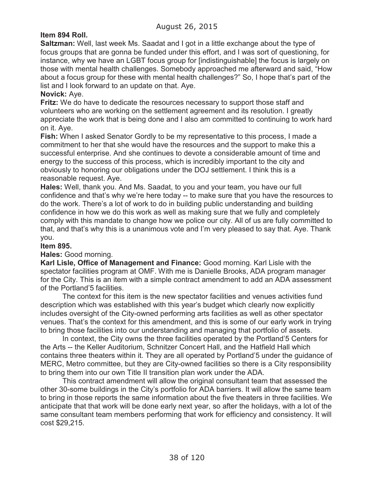# **Item 894 Roll.**

**Saltzman:** Well, last week Ms. Saadat and I got in a little exchange about the type of focus groups that are gonna be funded under this effort, and I was sort of questioning, for instance, why we have an LGBT focus group for [indistinguishable] the focus is largely on those with mental health challenges. Somebody approached me afterward and said, "How about a focus group for these with mental health challenges?" So, I hope that's part of the list and I look forward to an update on that. Aye.

### **Novick:** Aye.

**Fritz:** We do have to dedicate the resources necessary to support those staff and volunteers who are working on the settlement agreement and its resolution. I greatly appreciate the work that is being done and I also am committed to continuing to work hard on it. Aye.

**Fish:** When I asked Senator Gordly to be my representative to this process, I made a commitment to her that she would have the resources and the support to make this a successful enterprise. And she continues to devote a considerable amount of time and energy to the success of this process, which is incredibly important to the city and obviously to honoring our obligations under the DOJ settlement. I think this is a reasonable request. Aye.

**Hales:** Well, thank you. And Ms. Saadat, to you and your team, you have our full confidence and that's why we're here today -- to make sure that you have the resources to do the work. There's a lot of work to do in building public understanding and building confidence in how we do this work as well as making sure that we fully and completely comply with this mandate to change how we police our city. All of us are fully committed to that, and that's why this is a unanimous vote and I'm very pleased to say that. Aye. Thank you.

#### **Item 895.**

#### **Hales:** Good morning.

**Karl Lisle, Office of Management and Finance:** Good morning. Karl Lisle with the spectator facilities program at OMF. With me is Danielle Brooks, ADA program manager for the City. This is an item with a simple contract amendment to add an ADA assessment of the Portland'5 facilities.

The context for this item is the new spectator facilities and venues activities fund description which was established with this year's budget which clearly now explicitly includes oversight of the City-owned performing arts facilities as well as other spectator venues. That's the context for this amendment, and this is some of our early work in trying to bring those facilities into our understanding and managing that portfolio of assets.

In context, the City owns the three facilities operated by the Portland'5 Centers for the Arts -- the Keller Auditorium, Schnitzer Concert Hall, and the Hatfield Hall which contains three theaters within it. They are all operated by Portland'5 under the guidance of MERC, Metro committee, but they are City-owned facilities so there is a City responsibility to bring them into our own Title II transition plan work under the ADA.

This contract amendment will allow the original consultant team that assessed the other 30-some buildings in the City's portfolio for ADA barriers. It will allow the same team to bring in those reports the same information about the five theaters in three facilities. We anticipate that that work will be done early next year, so after the holidays, with a lot of the same consultant team members performing that work for efficiency and consistency. It will cost \$29,215.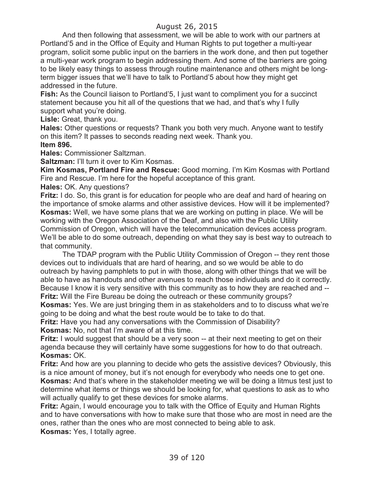And then following that assessment, we will be able to work with our partners at Portland'5 and in the Office of Equity and Human Rights to put together a multi-year program, solicit some public input on the barriers in the work done, and then put together a multi-year work program to begin addressing them. And some of the barriers are going to be likely easy things to assess through routine maintenance and others might be longterm bigger issues that we'll have to talk to Portland'5 about how they might get addressed in the future.

**Fish:** As the Council liaison to Portland'5, I just want to compliment you for a succinct statement because you hit all of the questions that we had, and that's why I fully support what you're doing.

**Lisle:** Great, thank you.

**Hales:** Other questions or requests? Thank you both very much. Anyone want to testify on this item? It passes to seconds reading next week. Thank you.

### **Item 896.**

**Hales:** Commissioner Saltzman.

**Saltzman:** I'll turn it over to Kim Kosmas.

**Kim Kosmas, Portland Fire and Rescue:** Good morning. I'm Kim Kosmas with Portland Fire and Rescue. I'm here for the hopeful acceptance of this grant.

**Hales:** OK. Any questions?

**Fritz:** I do. So, this grant is for education for people who are deaf and hard of hearing on the importance of smoke alarms and other assistive devices. How will it be implemented? **Kosmas:** Well, we have some plans that we are working on putting in place. We will be working with the Oregon Association of the Deaf, and also with the Public Utility Commission of Oregon, which will have the telecommunication devices access program. We'll be able to do some outreach, depending on what they say is best way to outreach to that community.

The TDAP program with the Public Utility Commission of Oregon -- they rent those devices out to individuals that are hard of hearing, and so we would be able to do outreach by having pamphlets to put in with those, along with other things that we will be able to have as handouts and other avenues to reach those individuals and do it correctly. Because I know it is very sensitive with this community as to how they are reached and -- **Fritz:** Will the Fire Bureau be doing the outreach or these community groups?

**Kosmas:** Yes. We are just bringing them in as stakeholders and to to discuss what we're going to be doing and what the best route would be to take to do that.

**Fritz:** Have you had any conversations with the Commission of Disability? **Kosmas:** No, not that I'm aware of at this time.

**Fritz:** I would suggest that should be a very soon -- at their next meeting to get on their agenda because they will certainly have some suggestions for how to do that outreach. **Kosmas:** OK.

**Fritz:** And how are you planning to decide who gets the assistive devices? Obviously, this is a nice amount of money, but it's not enough for everybody who needs one to get one. **Kosmas:** And that's where in the stakeholder meeting we will be doing a litmus test just to determine what items or things we should be looking for, what questions to ask as to who will actually qualify to get these devices for smoke alarms.

**Fritz:** Again, I would encourage you to talk with the Office of Equity and Human Rights and to have conversations with how to make sure that those who are most in need are the ones, rather than the ones who are most connected to being able to ask. **Kosmas:** Yes, I totally agree.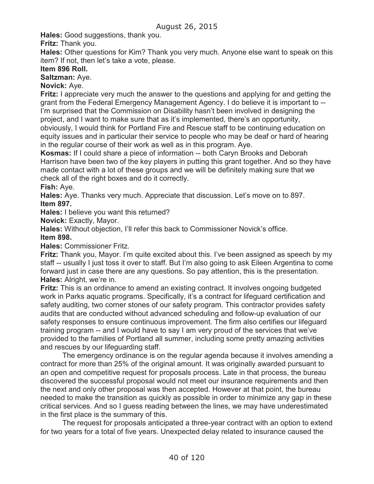**Hales:** Good suggestions, thank you.

**Fritz:** Thank you.

**Hales:** Other questions for Kim? Thank you very much. Anyone else want to speak on this item? If not, then let's take a vote, please.

### **Item 896 Roll.**

**Saltzman:** Aye.

**Novick:** Aye.

**Fritz:** I appreciate very much the answer to the questions and applying for and getting the grant from the Federal Emergency Management Agency. I do believe it is important to -- I'm surprised that the Commission on Disability hasn't been involved in designing the project, and I want to make sure that as it's implemented, there's an opportunity, obviously, I would think for Portland Fire and Rescue staff to be continuing education on equity issues and in particular their service to people who may be deaf or hard of hearing in the regular course of their work as well as in this program. Aye.

**Kosmas:** If I could share a piece of information -- both Caryn Brooks and Deborah Harrison have been two of the key players in putting this grant together. And so they have made contact with a lot of these groups and we will be definitely making sure that we check all of the right boxes and do it correctly.

**Fish:** Aye.

**Hales:** Aye. Thanks very much. Appreciate that discussion. Let's move on to 897. **Item 897.**

**Hales:** I believe you want this returned?

**Novick:** Exactly, Mayor.

**Hales:** Without objection, I'll refer this back to Commissioner Novick's office.

**Item 898.**

**Hales:** Commissioner Fritz.

**Fritz:** Thank you, Mayor. I'm quite excited about this. I've been assigned as speech by my staff -- usually I just toss it over to staff. But I'm also going to ask Eileen Argentina to come forward just in case there are any questions. So pay attention, this is the presentation. **Hales:** Alright, we're in.

**Fritz:** This is an ordinance to amend an existing contract. It involves ongoing budgeted work in Parks aquatic programs. Specifically, it's a contract for lifeguard certification and safety auditing, two corner stones of our safety program. This contractor provides safety audits that are conducted without advanced scheduling and follow-up evaluation of our safety responses to ensure continuous improvement. The firm also certifies our lifeguard training program -- and I would have to say I am very proud of the services that we've provided to the families of Portland all summer, including some pretty amazing activities and rescues by our lifeguarding staff.

The emergency ordinance is on the regular agenda because it involves amending a contract for more than 25% of the original amount. It was originally awarded pursuant to an open and competitive request for proposals process. Late in that process, the bureau discovered the successful proposal would not meet our insurance requirements and then the next and only other proposal was then accepted. However at that point, the bureau needed to make the transition as quickly as possible in order to minimize any gap in these critical services. And so I guess reading between the lines, we may have underestimated in the first place is the summary of this.

The request for proposals anticipated a three-year contract with an option to extend for two years for a total of five years. Unexpected delay related to insurance caused the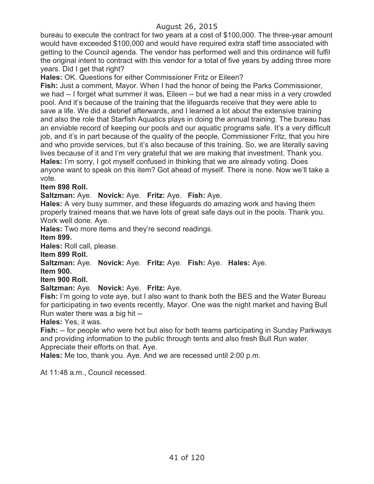bureau to execute the contract for two years at a cost of \$100,000. The three-year amount would have exceeded \$100,000 and would have required extra staff time associated with getting to the Council agenda. The vendor has performed well and this ordinance will fulfil the original intent to contract with this vendor for a total of five years by adding three more years. Did I get that right?

**Hales:** OK. Questions for either Commissioner Fritz or Eileen?

**Fish:** Just a comment, Mayor. When I had the honor of being the Parks Commissioner, we had -- I forget what summer it was, Eileen -- but we had a near miss in a very crowded pool. And it's because of the training that the lifeguards receive that they were able to save a life. We did a debrief afterwards, and I learned a lot about the extensive training and also the role that Starfish Aquatics plays in doing the annual training. The bureau has an enviable record of keeping our pools and our aquatic programs safe. It's a very difficult job, and it's in part because of the quality of the people, Commissioner Fritz, that you hire and who provide services, but it's also because of this training. So, we are literally saving lives because of it and I'm very grateful that we are making that investment. Thank you. **Hales:** I'm sorry, I got myself confused in thinking that we are already voting. Does anyone want to speak on this item? Got ahead of myself. There is none. Now we'll take a vote.

#### **Item 898 Roll.**

**Saltzman:** Aye. **Novick:** Aye. **Fritz:** Aye. **Fish:** Aye.

**Hales:** A very busy summer, and these lifeguards do amazing work and having them properly trained means that we have lots of great safe days out in the pools. Thank you. Work well done. Aye.

**Hales:** Two more items and they're second readings.

#### **Item 899.**

**Hales:** Roll call, please.

**Item 899 Roll.**

**Saltzman:** Aye. **Novick:** Aye. **Fritz:** Aye. **Fish:** Aye. **Hales:** Aye.

**Item 900.**

#### **Item 900 Roll.**

**Saltzman:** Aye. **Novick:** Aye. **Fritz:** Aye.

**Fish:** I'm going to vote aye, but I also want to thank both the BES and the Water Bureau for participating in two events recently, Mayor. One was the night market and having Bull Run water there was a big hit --

**Hales:** Yes, it was.

**Fish:** -- for people who were hot but also for both teams participating in Sunday Parkways and providing information to the public through tents and also fresh Bull Run water. Appreciate their efforts on that. Aye.

**Hales:** Me too, thank you. Aye. And we are recessed until 2:00 p.m.

At 11:48 a.m., Council recessed.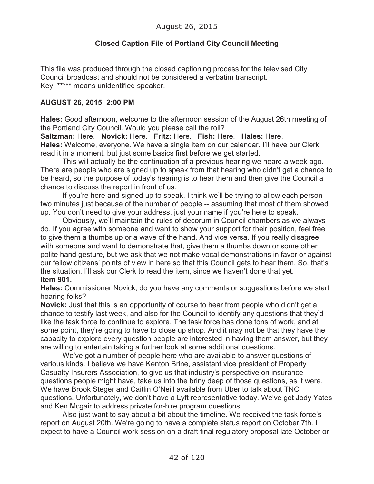# **Closed Caption File of Portland City Council Meeting**

This file was produced through the closed captioning process for the televised City Council broadcast and should not be considered a verbatim transcript. Key: **\*\*\*\*\*** means unidentified speaker.

### **AUGUST 26, 2015 2:00 PM**

**Hales:** Good afternoon, welcome to the afternoon session of the August 26th meeting of the Portland City Council. Would you please call the roll?

**Saltzman:** Here. **Novick:** Here. **Fritz:** Here. **Fish:** Here. **Hales:** Here. **Hales:** Welcome, everyone. We have a single item on our calendar. I'll have our Clerk read it in a moment, but just some basics first before we get started.

This will actually be the continuation of a previous hearing we heard a week ago. There are people who are signed up to speak from that hearing who didn't get a chance to be heard, so the purpose of today's hearing is to hear them and then give the Council a chance to discuss the report in front of us.

If you're here and signed up to speak, I think we'll be trying to allow each person two minutes just because of the number of people -- assuming that most of them showed up. You don't need to give your address, just your name if you're here to speak.

Obviously, we'll maintain the rules of decorum in Council chambers as we always do. If you agree with someone and want to show your support for their position, feel free to give them a thumbs up or a wave of the hand. And vice versa. If you really disagree with someone and want to demonstrate that, give them a thumbs down or some other polite hand gesture, but we ask that we not make vocal demonstrations in favor or against our fellow citizens' points of view in here so that this Council gets to hear them. So, that's the situation. I'll ask our Clerk to read the item, since we haven't done that yet.

#### **Item 901.**

**Hales:** Commissioner Novick, do you have any comments or suggestions before we start hearing folks?

**Novick:** Just that this is an opportunity of course to hear from people who didn't get a chance to testify last week, and also for the Council to identify any questions that they'd like the task force to continue to explore. The task force has done tons of work, and at some point, they're going to have to close up shop. And it may not be that they have the capacity to explore every question people are interested in having them answer, but they are willing to entertain taking a further look at some additional questions.

We've got a number of people here who are available to answer questions of various kinds. I believe we have Kenton Brine, assistant vice president of Property Casualty Insurers Association, to give us that industry's perspective on insurance questions people might have, take us into the briny deep of those questions, as it were. We have Brook Steger and Caitlin O'Neill available from Uber to talk about TNC questions. Unfortunately, we don't have a Lyft representative today. We've got Jody Yates and Ken Mcgair to address private for-hire program questions.

Also just want to say about a bit about the timeline. We received the task force's report on August 20th. We're going to have a complete status report on October 7th. I expect to have a Council work session on a draft final regulatory proposal late October or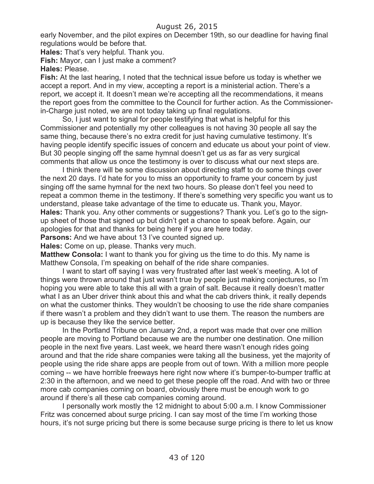early November, and the pilot expires on December 19th, so our deadline for having final regulations would be before that.

**Hales:** That's very helpful. Thank you.

**Fish:** Mayor, can I just make a comment?

**Hales:** Please.

**Fish:** At the last hearing, I noted that the technical issue before us today is whether we accept a report. And in my view, accepting a report is a ministerial action. There's a report, we accept it. It doesn't mean we're accepting all the recommendations, it means the report goes from the committee to the Council for further action. As the Commissionerin-Charge just noted, we are not today taking up final regulations.

So, I just want to signal for people testifying that what is helpful for this Commissioner and potentially my other colleagues is not having 30 people all say the same thing, because there's no extra credit for just having cumulative testimony. It's having people identify specific issues of concern and educate us about your point of view. But 30 people singing off the same hymnal doesn't get us as far as very surgical comments that allow us once the testimony is over to discuss what our next steps are.

I think there will be some discussion about directing staff to do some things over the next 20 days. I'd hate for you to miss an opportunity to frame your concern by just singing off the same hymnal for the next two hours. So please don't feel you need to repeat a common theme in the testimony. If there's something very specific you want us to understand, please take advantage of the time to educate us. Thank you, Mayor. **Hales:** Thank you. Any other comments or suggestions? Thank you. Let's go to the signup sheet of those that signed up but didn't get a chance to speak before. Again, our apologies for that and thanks for being here if you are here today.

**Parsons:** And we have about 13 I've counted signed up.

**Hales:** Come on up, please. Thanks very much.

**Matthew Consola:** I want to thank you for giving us the time to do this. My name is Matthew Consola, I'm speaking on behalf of the ride share companies.

I want to start off saying I was very frustrated after last week's meeting. A lot of things were thrown around that just wasn't true by people just making conjectures, so I'm hoping you were able to take this all with a grain of salt. Because it really doesn't matter what I as an Uber driver think about this and what the cab drivers think, it really depends on what the customer thinks. They wouldn't be choosing to use the ride share companies if there wasn't a problem and they didn't want to use them. The reason the numbers are up is because they like the service better.

In the Portland Tribune on January 2nd, a report was made that over one million people are moving to Portland because we are the number one destination. One million people in the next five years. Last week, we heard there wasn't enough rides going around and that the ride share companies were taking all the business, yet the majority of people using the ride share apps are people from out of town. With a million more people coming -- we have horrible freeways here right now where it's bumper-to-bumper traffic at 2:30 in the afternoon, and we need to get these people off the road. And with two or three more cab companies coming on board, obviously there must be enough work to go around if there's all these cab companies coming around.

I personally work mostly the 12 midnight to about 5:00 a.m. I know Commissioner Fritz was concerned about surge pricing. I can say most of the time I'm working those hours, it's not surge pricing but there is some because surge pricing is there to let us know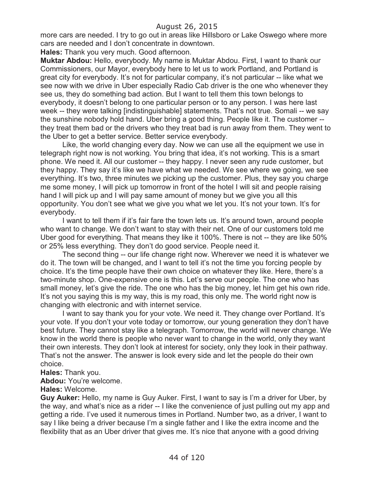more cars are needed. I try to go out in areas like Hillsboro or Lake Oswego where more cars are needed and I don't concentrate in downtown.

**Hales:** Thank you very much. Good afternoon.

**Muktar Abdou:** Hello, everybody. My name is Muktar Abdou. First, I want to thank our Commissioners, our Mayor, everybody here to let us to work Portland, and Portland is great city for everybody. It's not for particular company, it's not particular -- like what we see now with we drive in Uber especially Radio Cab driver is the one who whenever they see us, they do something bad action. But I want to tell them this town belongs to everybody, it doesn't belong to one particular person or to any person. I was here last week -- they were talking [indistinguishable] statements. That's not true. Somali -- we say the sunshine nobody hold hand. Uber bring a good thing. People like it. The customer - they treat them bad or the drivers who they treat bad is run away from them. They went to the Uber to get a better service. Better service everybody.

Like, the world changing every day. Now we can use all the equipment we use in telegraph right now is not working. You bring that idea, it's not working. This is a smart phone. We need it. All our customer -- they happy. I never seen any rude customer, but they happy. They say it's like we have what we needed. We see where we going, we see everything. It's two, three minutes we picking up the customer. Plus, they say you charge me some money, I will pick up tomorrow in front of the hotel I will sit and people raising hand I will pick up and I will pay same amount of money but we give you all this opportunity. You don't see what we give you what we let you. It's not your town. It's for everybody.

I want to tell them if it's fair fare the town lets us. It's around town, around people who want to change. We don't want to stay with their net. One of our customers told me Uber good for everything. That means they like it 100%. There is not -- they are like 50% or 25% less everything. They don't do good service. People need it.

The second thing -- our life change right now. Wherever we need it is whatever we do it. The town will be changed, and I want to tell it's not the time you forcing people by choice. It's the time people have their own choice on whatever they like. Here, there's a two-minute shop. One-expensive one is this. Let's serve our people. The one who has small money, let's give the ride. The one who has the big money, let him get his own ride. It's not you saying this is my way, this is my road, this only me. The world right now is changing with electronic and with internet service.

I want to say thank you for your vote. We need it. They change over Portland. It's your vote. If you don't your vote today or tomorrow, our young generation they don't have best future. They cannot stay like a telegraph. Tomorrow, the world will never change. We know in the world there is people who never want to change in the world, only they want their own interests. They don't look at interest for society, only they look in their pathway. That's not the answer. The answer is look every side and let the people do their own choice.

#### **Hales:** Thank you.

**Abdou:** You're welcome.

**Hales:** Welcome.

**Guy Auker:** Hello, my name is Guy Auker. First, I want to say is I'm a driver for Uber, by the way, and what's nice as a rider -- I like the convenience of just pulling out my app and getting a ride. I've used it numerous times in Portland. Number two, as a driver, I want to say I like being a driver because I'm a single father and I like the extra income and the flexibility that as an Uber driver that gives me. It's nice that anyone with a good driving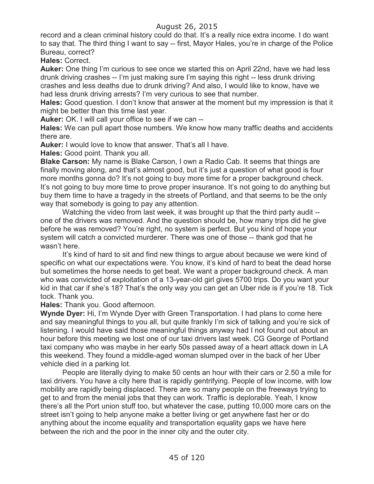record and a clean criminal history could do that. It's a really nice extra income. I do want to say that. The third thing I want to say -- first, Mayor Hales, you're in charge of the Police Bureau, correct?

**Hales:** Correct.

**Auker:** One thing I'm curious to see once we started this on April 22nd, have we had less drunk driving crashes -- I'm just making sure I'm saying this right -- less drunk driving crashes and less deaths due to drunk driving? And also, I would like to know, have we had less drunk driving arrests? I'm very curious to see that number.

**Hales:** Good question. I don't know that answer at the moment but my impression is that it might be better than this time last year.

**Auker:** OK. I will call your office to see if we can --

**Hales:** We can pull apart those numbers. We know how many traffic deaths and accidents there are.

**Auker:** I would love to know that answer. That's all I have.

**Hales:** Good point. Thank you all.

**Blake Carson:** My name is Blake Carson, I own a Radio Cab. It seems that things are finally moving along, and that's almost good, but it's just a question of what good is four more months gonna do? It's not going to buy more time for a proper background check. It's not going to buy more time to prove proper insurance. It's not going to do anything but buy them time to have a tragedy in the streets of Portland, and that seems to be the only way that somebody is going to pay any attention.

Watching the video from last week, it was brought up that the third party audit -one of the drivers was removed. And the question should be, how many trips did he give before he was removed? You're right, no system is perfect. But you kind of hope your system will catch a convicted murderer. There was one of those -- thank god that he wasn't here.

It's kind of hard to sit and find new things to argue about because we were kind of specific on what our expectations were. You know, it's kind of hard to beat the dead horse but sometimes the horse needs to get beat. We want a proper background check. A man who was convicted of exploitation of a 13-year-old girl gives 5700 trips. Do you want your kid in that car if she's 18? That's the only way you can get an Uber ride is if you're 18. Tick tock. Thank you.

**Hales:** Thank you. Good afternoon.

**Wynde Dyer:** Hi, I'm Wynde Dyer with Green Transportation. I had plans to come here and say meaningful things to you all, but quite frankly I'm sick of talking and you're sick of listening. I would have said those meaningful things anyway had I not found out about an hour before this meeting we lost one of our taxi drivers last week. CG George of Portland taxi company who was maybe in her early 50s passed away of a heart attack down in LA this weekend. They found a middle-aged woman slumped over in the back of her Uber vehicle died in a parking lot.

People are literally dying to make 50 cents an hour with their cars or 2.50 a mile for taxi drivers. You have a city here that is rapidly gentrifying. People of low income, with low mobility are rapidly being displaced. There are so many people on the freeways trying to get to and from the menial jobs that they can work. Traffic is deplorable. Yeah, I know there's all the Port union stuff too, but whatever the case, putting 10,000 more cars on the street isn't going to help anyone make a better living or get anywhere fast her or do anything about the income equality and transportation equality gaps we have here between the rich and the poor in the inner city and the outer city.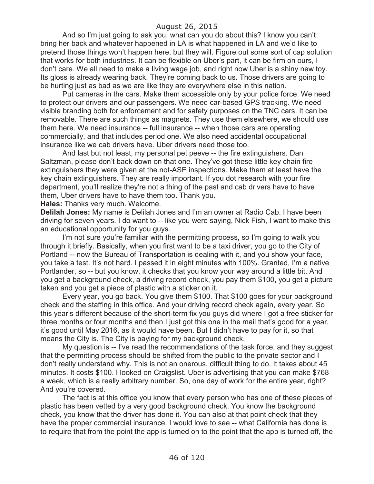And so I'm just going to ask you, what can you do about this? I know you can't bring her back and whatever happened in LA is what happened in LA and we'd like to pretend those things won't happen here, but they will. Figure out some sort of cap solution that works for both industries. It can be flexible on Uber's part, it can be firm on ours, I don't care. We all need to make a living wage job, and right now Uber is a shiny new toy. Its gloss is already wearing back. They're coming back to us. Those drivers are going to be hurting just as bad as we are like they are everywhere else in this nation.

Put cameras in the cars. Make them accessible only by your police force. We need to protect our drivers and our passengers. We need car-based GPS tracking. We need visible branding both for enforcement and for safety purposes on the TNC cars. It can be removable. There are such things as magnets. They use them elsewhere, we should use them here. We need insurance -- full insurance -- when those cars are operating commercially, and that includes period one. We also need accidental occupational insurance like we cab drivers have. Uber drivers need those too.

And last but not least, my personal pet peeve -- the fire extinguishers. Dan Saltzman, please don't back down on that one. They've got these little key chain fire extinguishers they were given at the not-ASE inspections. Make them at least have the key chain extinguishers. They are really important. If you dot research with your fire department, you'll realize they're not a thing of the past and cab drivers have to have them, Uber drivers have to have them too. Thank you.

**Hales:** Thanks very much. Welcome.

**Delilah Jones:** My name is Delilah Jones and I'm an owner at Radio Cab. I have been driving for seven years. I do want to -- like you were saying, Nick Fish, I want to make this an educational opportunity for you guys.

I'm not sure you're familiar with the permitting process, so I'm going to walk you through it briefly. Basically, when you first want to be a taxi driver, you go to the City of Portland -- now the Bureau of Transportation is dealing with it, and you show your face, you take a test. It's not hard. I passed it in eight minutes with 100%. Granted, I'm a native Portlander, so -- but you know, it checks that you know your way around a little bit. And you get a background check, a driving record check, you pay them \$100, you get a picture taken and you get a piece of plastic with a sticker on it.

Every year, you go back. You give them \$100. That \$100 goes for your background check and the staffing in this office. And your driving record check again, every year. So this year's different because of the short-term fix you guys did where I got a free sticker for three months or four months and then I just got this one in the mail that's good for a year, it's good until May 2016, as it would have been. But I didn't have to pay for it, so that means the City is. The City is paying for my background check.

My question is -- I've read the recommendations of the task force, and they suggest that the permitting process should be shifted from the public to the private sector and I don't really understand why. This is not an onerous, difficult thing to do. It takes about 45 minutes. It costs \$100. I looked on Craigslist. Uber is advertising that you can make \$768 a week, which is a really arbitrary number. So, one day of work for the entire year, right? And you're covered.

The fact is at this office you know that every person who has one of these pieces of plastic has been vetted by a very good background check. You know the background check, you know that the driver has done it. You can also at that point check that they have the proper commercial insurance. I would love to see -- what California has done is to require that from the point the app is turned on to the point that the app is turned off, the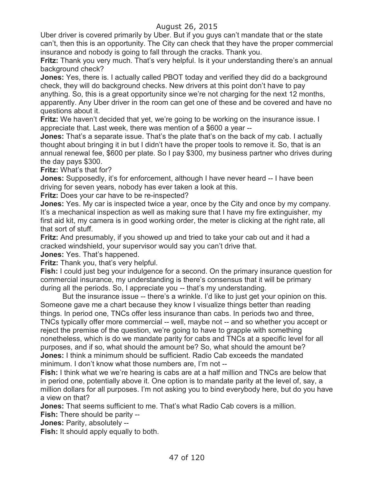Uber driver is covered primarily by Uber. But if you guys can't mandate that or the state can't, then this is an opportunity. The City can check that they have the proper commercial insurance and nobody is going to fall through the cracks. Thank you.

**Fritz:** Thank you very much. That's very helpful. Is it your understanding there's an annual background check?

**Jones:** Yes, there is. I actually called PBOT today and verified they did do a background check, they will do background checks. New drivers at this point don't have to pay anything. So, this is a great opportunity since we're not charging for the next 12 months, apparently. Any Uber driver in the room can get one of these and be covered and have no questions about it.

**Fritz:** We haven't decided that yet, we're going to be working on the insurance issue. I appreciate that. Last week, there was mention of a \$600 a year --

**Jones:** That's a separate issue. That's the plate that's on the back of my cab. I actually thought about bringing it in but I didn't have the proper tools to remove it. So, that is an annual renewal fee, \$600 per plate. So I pay \$300, my business partner who drives during the day pays \$300.

**Fritz:** What's that for?

**Jones:** Supposedly, it's for enforcement, although I have never heard -- I have been driving for seven years, nobody has ever taken a look at this.

**Fritz:** Does your car have to be re-inspected?

**Jones:** Yes. My car is inspected twice a year, once by the City and once by my company. It's a mechanical inspection as well as making sure that I have my fire extinguisher, my first aid kit, my camera is in good working order, the meter is clicking at the right rate, all that sort of stuff.

**Fritz:** And presumably, if you showed up and tried to take your cab out and it had a cracked windshield, your supervisor would say you can't drive that.

**Jones:** Yes. That's happened.

**Fritz:** Thank you, that's very helpful.

**Fish:** I could just beg your indulgence for a second. On the primary insurance question for commercial insurance, my understanding is there's consensus that it will be primary during all the periods. So, I appreciate you -- that's my understanding.

But the insurance issue -- there's a wrinkle. I'd like to just get your opinion on this. Someone gave me a chart because they know I visualize things better than reading things. In period one, TNCs offer less insurance than cabs. In periods two and three, TNCs typically offer more commercial -- well, maybe not -- and so whether you accept or reject the premise of the question, we're going to have to grapple with something nonetheless, which is do we mandate parity for cabs and TNCs at a specific level for all purposes, and if so, what should the amount be? So, what should the amount be? **Jones:** I think a minimum should be sufficient. Radio Cab exceeds the mandated minimum. I don't know what those numbers are, I'm not --

**Fish:** I think what we we're hearing is cabs are at a half million and TNCs are below that in period one, potentially above it. One option is to mandate parity at the level of, say, a million dollars for all purposes. I'm not asking you to bind everybody here, but do you have a view on that?

**Jones:** That seems sufficient to me. That's what Radio Cab covers is a million.

**Fish:** There should be parity --

**Jones:** Parity, absolutely --

**Fish:** It should apply equally to both.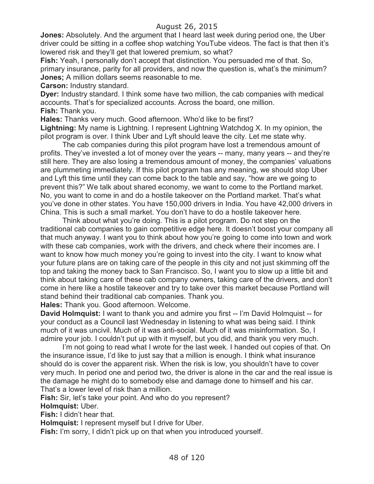**Jones:** Absolutely. And the argument that I heard last week during period one, the Uber driver could be sitting in a coffee shop watching YouTube videos. The fact is that then it's lowered risk and they'll get that lowered premium, so what?

**Fish:** Yeah, I personally don't accept that distinction. You persuaded me of that. So, primary insurance, parity for all providers, and now the question is, what's the minimum? **Jones;** A million dollars seems reasonable to me.

**Carson:** Industry standard.

**Dyer:** Industry standard. I think some have two million, the cab companies with medical accounts. That's for specialized accounts. Across the board, one million. **Fish:** Thank you.

**Hales:** Thanks very much. Good afternoon. Who'd like to be first?

**Lightning:** My name is Lightning. I represent Lightning Watchdog X. In my opinion, the pilot program is over. I think Uber and Lyft should leave the city. Let me state why.

The cab companies during this pilot program have lost a tremendous amount of profits. They've invested a lot of money over the years -- many, many years -- and they're still here. They are also losing a tremendous amount of money, the companies' valuations are plummeting immediately. If this pilot program has any meaning, we should stop Uber and Lyft this time until they can come back to the table and say, "how are we going to prevent this?" We talk about shared economy, we want to come to the Portland market. No, you want to come in and do a hostile takeover on the Portland market. That's what you've done in other states. You have 150,000 drivers in India. You have 42,000 drivers in China. This is such a small market. You don't have to do a hostile takeover here.

Think about what you're doing. This is a pilot program. Do not step on the traditional cab companies to gain competitive edge here. It doesn't boost your company all that much anyway. I want you to think about how you're going to come into town and work with these cab companies, work with the drivers, and check where their incomes are. I want to know how much money you're going to invest into the city. I want to know what your future plans are on taking care of the people in this city and not just skimming off the top and taking the money back to San Francisco. So, I want you to slow up a little bit and think about taking care of these cab company owners, taking care of the drivers, and don't come in here like a hostile takeover and try to take over this market because Portland will stand behind their traditional cab companies. Thank you.

**Hales:** Thank you. Good afternoon. Welcome.

**David Holmquist:** I want to thank you and admire you first -- I'm David Holmquist -- for your conduct as a Council last Wednesday in listening to what was being said. I think much of it was uncivil. Much of it was anti-social. Much of it was misinformation. So, I admire your job. I couldn't put up with it myself, but you did, and thank you very much.

I'm not going to read what I wrote for the last week. I handed out copies of that. On the insurance issue, I'd like to just say that a million is enough. I think what insurance should do is cover the apparent risk. When the risk is low, you shouldn't have to cover very much. In period one and period two, the driver is alone in the car and the real issue is the damage he might do to somebody else and damage done to himself and his car. That's a lower level of risk than a million.

**Fish:** Sir, let's take your point. And who do you represent?

**Holmquist:** Uber. **Fish:** I didn't hear that.

**Holmquist:** I represent myself but I drive for Uber.

**Fish:** I'm sorry, I didn't pick up on that when you introduced yourself.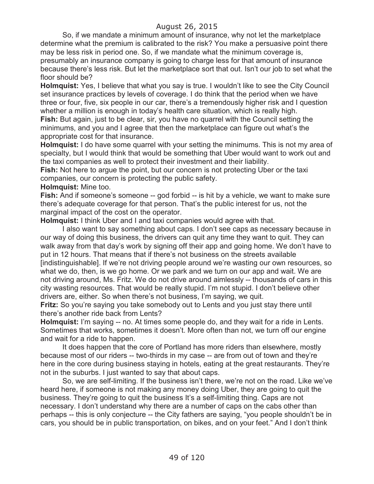So, if we mandate a minimum amount of insurance, why not let the marketplace determine what the premium is calibrated to the risk? You make a persuasive point there may be less risk in period one. So, if we mandate what the minimum coverage is, presumably an insurance company is going to charge less for that amount of insurance because there's less risk. But let the marketplace sort that out. Isn't our job to set what the floor should be?

**Holmquist:** Yes, I believe that what you say is true. I wouldn't like to see the City Council set insurance practices by levels of coverage. I do think that the period when we have three or four, five, six people in our car, there's a tremendously higher risk and I question whether a million is enough in today's health care situation, which is really high.

**Fish:** But again, just to be clear, sir, you have no quarrel with the Council setting the minimums, and you and I agree that then the marketplace can figure out what's the appropriate cost for that insurance.

**Holmquist:** I do have some quarrel with your setting the minimums. This is not my area of specialty, but I would think that would be something that Uber would want to work out and the taxi companies as well to protect their investment and their liability.

**Fish:** Not here to argue the point, but our concern is not protecting Uber or the taxi companies, our concern is protecting the public safety.

**Holmquist:** Mine too.

**Fish:** And if someone's someone -- god forbid -- is hit by a vehicle, we want to make sure there's adequate coverage for that person. That's the public interest for us, not the marginal impact of the cost on the operator.

**Holmquist:** I think Uber and I and taxi companies would agree with that.

I also want to say something about caps. I don't see caps as necessary because in our way of doing this business, the drivers can quit any time they want to quit. They can walk away from that day's work by signing off their app and going home. We don't have to put in 12 hours. That means that if there's not business on the streets available [indistinguishable]. If we're not driving people around we're wasting our own resources, so what we do, then, is we go home. Or we park and we turn on our app and wait. We are not driving around, Ms. Fritz. We do not drive around aimlessly -- thousands of cars in this city wasting resources. That would be really stupid. I'm not stupid. I don't believe other drivers are, either. So when there's not business, I'm saying, we quit.

**Fritz:** So you're saying you take somebody out to Lents and you just stay there until there's another ride back from Lents?

**Holmquist:** I'm saying -- no. At times some people do, and they wait for a ride in Lents. Sometimes that works, sometimes it doesn't. More often than not, we turn off our engine and wait for a ride to happen.

It does happen that the core of Portland has more riders than elsewhere, mostly because most of our riders -- two-thirds in my case -- are from out of town and they're here in the core during business staying in hotels, eating at the great restaurants. They're not in the suburbs. I just wanted to say that about caps.

So, we are self-limiting. If the business isn't there, we're not on the road. Like we've heard here, if someone is not making any money doing Uber, they are going to quit the business. They're going to quit the business It's a self-limiting thing. Caps are not necessary. I don't understand why there are a number of caps on the cabs other than perhaps -- this is only conjecture -- the City fathers are saying, "you people shouldn't be in cars, you should be in public transportation, on bikes, and on your feet." And I don't think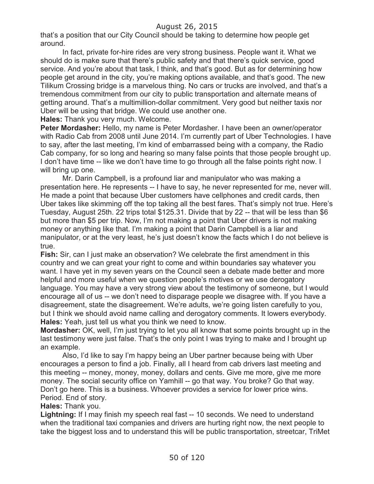that's a position that our City Council should be taking to determine how people get around.

In fact, private for-hire rides are very strong business. People want it. What we should do is make sure that there's public safety and that there's quick service, good service. And you're about that task, I think, and that's good. But as for determining how people get around in the city, you're making options available, and that's good. The new Tilikum Crossing bridge is a marvelous thing. No cars or trucks are involved, and that's a tremendous commitment from our city to public transportation and alternate means of getting around. That's a multimillion-dollar commitment. Very good but neither taxis nor Uber will be using that bridge. We could use another one.

**Hales:** Thank you very much. Welcome.

**Peter Mordasher:** Hello, my name is Peter Mordasher. I have been an owner/operator with Radio Cab from 2008 until June 2014. I'm currently part of Uber Technologies. I have to say, after the last meeting, I'm kind of embarrassed being with a company, the Radio Cab company, for so long and hearing so many false points that those people brought up. I don't have time -- like we don't have time to go through all the false points right now. I will bring up one.

Mr. Darin Campbell, is a profound liar and manipulator who was making a presentation here. He represents -- I have to say, he never represented for me, never will. He made a point that because Uber customers have cellphones and credit cards, then Uber takes like skimming off the top taking all the best fares. That's simply not true. Here's Tuesday, August 25th. 22 trips total \$125.31. Divide that by 22 -- that will be less than \$6 but more than \$5 per trip. Now, I'm not making a point that Uber drivers is not making money or anything like that. I'm making a point that Darin Campbell is a liar and manipulator, or at the very least, he's just doesn't know the facts which I do not believe is true.

**Fish:** Sir, can I just make an observation? We celebrate the first amendment in this country and we can great your right to come and within boundaries say whatever you want. I have yet in my seven years on the Council seen a debate made better and more helpful and more useful when we question people's motives or we use derogatory language. You may have a very strong view about the testimony of someone, but I would encourage all of us -- we don't need to disparage people we disagree with. If you have a disagreement, state the disagreement. We're adults, we're going listen carefully to you, but I think we should avoid name calling and derogatory comments. It lowers everybody. **Hales:** Yeah, just tell us what you think we need to know.

**Mordasher:** OK, well, I'm just trying to let you all know that some points brought up in the last testimony were just false. That's the only point I was trying to make and I brought up an example.

Also, I'd like to say I'm happy being an Uber partner because being with Uber encourages a person to find a job. Finally, all I heard from cab drivers last meeting and this meeting -- money, money, money, dollars and cents. Give me more, give me more money. The social security office on Yamhill -- go that way. You broke? Go that way. Don't go here. This is a business. Whoever provides a service for lower price wins. Period. End of story.

**Hales:** Thank you.

**Lightning:** If I may finish my speech real fast -- 10 seconds. We need to understand when the traditional taxi companies and drivers are hurting right now, the next people to take the biggest loss and to understand this will be public transportation, streetcar, TriMet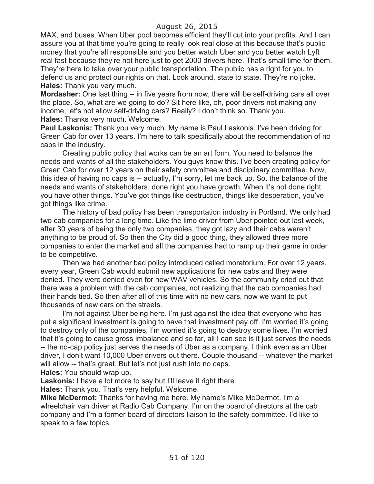MAX, and buses. When Uber pool becomes efficient they'll cut into your profits. And I can assure you at that time you're going to really look real close at this because that's public money that you're all responsible and you better watch Uber and you better watch Lyft real fast because they're not here just to get 2000 drivers here. That's small time for them. They're here to take over your public transportation. The public has a right for you to defend us and protect our rights on that. Look around, state to state. They're no joke. **Hales:** Thank you very much.

**Mordasher:** One last thing -- in five years from now, there will be self-driving cars all over the place. So, what are we going to do? Sit here like, oh, poor drivers not making any income, let's not allow self-driving cars? Really? I don't think so. Thank you. **Hales:** Thanks very much. Welcome.

**Paul Laskonis:** Thank you very much. My name is Paul Laskonis. I've been driving for Green Cab for over 13 years. I'm here to talk specifically about the recommendation of no caps in the industry.

Creating public policy that works can be an art form. You need to balance the needs and wants of all the stakeholders. You guys know this. I've been creating policy for Green Cab for over 12 years on their safety committee and disciplinary committee. Now, this idea of having no caps is -- actually, I'm sorry, let me back up. So, the balance of the needs and wants of stakeholders, done right you have growth. When it's not done right you have other things. You've got things like destruction, things like desperation, you've got things like crime.

The history of bad policy has been transportation industry in Portland. We only had two cab companies for a long time. Like the limo driver from Uber pointed out last week, after 30 years of being the only two companies, they got lazy and their cabs weren't anything to be proud of. So then the City did a good thing, they allowed three more companies to enter the market and all the companies had to ramp up their game in order to be competitive.

Then we had another bad policy introduced called moratorium. For over 12 years, every year, Green Cab would submit new applications for new cabs and they were denied. They were denied even for new WAV vehicles. So the community cried out that there was a problem with the cab companies, not realizing that the cab companies had their hands tied. So then after all of this time with no new cars, now we want to put thousands of new cars on the streets.

I'm not against Uber being here. I'm just against the idea that everyone who has put a significant investment is going to have that investment pay off. I'm worried it's going to destroy only of the companies, I'm worried it's going to destroy some lives. I'm worried that it's going to cause gross imbalance and so far, all I can see is it just serves the needs -- the no-cap policy just serves the needs of Uber as a company. I think even as an Uber driver, I don't want 10,000 Uber drivers out there. Couple thousand -- whatever the market will allow -- that's great. But let's not just rush into no caps.

**Hales:** You should wrap up.

**Laskonis:** I have a lot more to say but I'll leave it right there.

**Hales:** Thank you. That's very helpful. Welcome.

**Mike McDermot:** Thanks for having me here. My name's Mike McDermot. I'm a wheelchair van driver at Radio Cab Company. I'm on the board of directors at the cab company and I'm a former board of directors liaison to the safety committee. I'd like to speak to a few topics.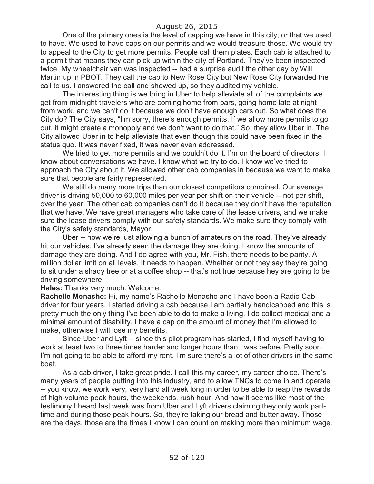One of the primary ones is the level of capping we have in this city, or that we used to have. We used to have caps on our permits and we would treasure those. We would try to appeal to the City to get more permits. People call them plates. Each cab is attached to a permit that means they can pick up within the city of Portland. They've been inspected twice. My wheelchair van was inspected -- had a surprise audit the other day by Will Martin up in PBOT. They call the cab to New Rose City but New Rose City forwarded the call to us. I answered the call and showed up, so they audited my vehicle.

The interesting thing is we bring in Uber to help alleviate all of the complaints we get from midnight travelers who are coming home from bars, going home late at night from work, and we can't do it because we don't have enough cars out. So what does the City do? The City says, "I'm sorry, there's enough permits. If we allow more permits to go out, it might create a monopoly and we don't want to do that." So, they allow Uber in. The City allowed Uber in to help alleviate that even though this could have been fixed in the status quo. It was never fixed, it was never even addressed.

We tried to get more permits and we couldn't do it. I'm on the board of directors. I know about conversations we have. I know what we try to do. I know we've tried to approach the City about it. We allowed other cab companies in because we want to make sure that people are fairly represented.

We still do many more trips than our closest competitors combined. Our average driver is driving 50,000 to 60,000 miles per year per shift on their vehicle -- not per shift, over the year. The other cab companies can't do it because they don't have the reputation that we have. We have great managers who take care of the lease drivers, and we make sure the lease drivers comply with our safety standards. We make sure they comply with the City's safety standards, Mayor.

Uber -- now we're just allowing a bunch of amateurs on the road. They've already hit our vehicles. I've already seen the damage they are doing. I know the amounts of damage they are doing. And I do agree with you, Mr. Fish, there needs to be parity. A million dollar limit on all levels. It needs to happen. Whether or not they say they're going to sit under a shady tree or at a coffee shop -- that's not true because hey are going to be driving somewhere.

**Hales:** Thanks very much. Welcome.

**Rachelle Menashe:** Hi, my name's Rachelle Menashe and I have been a Radio Cab driver for four years. I started driving a cab because I am partially handicapped and this is pretty much the only thing I've been able to do to make a living. I do collect medical and a minimal amount of disability. I have a cap on the amount of money that I'm allowed to make, otherwise I will lose my benefits.

Since Uber and Lyft -- since this pilot program has started, I find myself having to work at least two to three times harder and longer hours than I was before. Pretty soon, I'm not going to be able to afford my rent. I'm sure there's a lot of other drivers in the same boat.

As a cab driver, I take great pride. I call this my career, my career choice. There's many years of people putting into this industry, and to allow TNCs to come in and operate -- you know, we work very, very hard all week long in order to be able to reap the rewards of high-volume peak hours, the weekends, rush hour. And now it seems like most of the testimony I heard last week was from Uber and Lyft drivers claiming they only work parttime and during those peak hours. So, they're taking our bread and butter away. Those are the days, those are the times I know I can count on making more than minimum wage.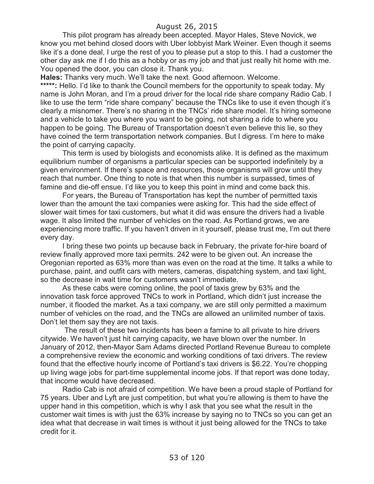This pilot program has already been accepted. Mayor Hales, Steve Novick, we know you met behind closed doors with Uber lobbyist Mark Weiner. Even though it seems like it's a done deal, I urge the rest of you to please put a stop to this. I had a customer the other day ask me if I do this as a hobby or as my job and that just really hit home with me. You opened the door, you can close it. Thank you.

**Hales:** Thanks very much. We'll take the next. Good afternoon. Welcome.

\*\*\*\*\*: Hello. I'd like to thank the Council members for the opportunity to speak today. My name is John Moran, and I'm a proud driver for the local ride share company Radio Cab. I like to use the term "ride share company" because the TNCs like to use it even though it's clearly a misnomer. There's no sharing in the TNCs' ride share model. It's hiring someone and a vehicle to take you where you want to be going, not sharing a ride to where you happen to be going. The Bureau of Transportation doesn't even believe this lie, so they have coined the term transportation network companies. But I digress. I'm here to make the point of carrying capacity.

This term is used by biologists and economists alike. It is defined as the maximum equilibrium number of organisms a particular species can be supported indefinitely by a given environment. If there's space and resources, those organisms will grow until they reach that number. One thing to note is that when this number is surpassed, times of famine and die-off ensue. I'd like you to keep this point in mind and come back this.

For years, the Bureau of Transportation has kept the number of permitted taxis lower than the amount the taxi companies were asking for. This had the side effect of slower wait times for taxi customers, but what it did was ensure the drivers had a livable wage. It also limited the number of vehicles on the road. As Portland grows, we are experiencing more traffic. If you haven't driven in it yourself, please trust me, I'm out there every day.

I bring these two points up because back in February, the private for-hire board of review finally approved more taxi permits. 242 were to be given out. An increase the Oregonian reported as 63% more than was even on the road at the time. It talks a while to purchase, paint, and outfit cars with meters, cameras, dispatching system, and taxi light, so the decrease in wait time for customers wasn't immediate.

As these cabs were coming online, the pool of taxis grew by 63% and the innovation task force approved TNCs to work in Portland, which didn't just increase the number, it flooded the market. As a taxi company, we are still only permitted a maximum number of vehicles on the road, and the TNCs are allowed an unlimited number of taxis. Don't let them say they are not taxis.

The result of these two incidents has been a famine to all private to hire drivers citywide. We haven't just hit carrying capacity, we have blown over the number. In January of 2012, then-Mayor Sam Adams directed Portland Revenue Bureau to complete a comprehensive review the economic and working conditions of taxi drivers. The review found that the effective hourly income of Portland's taxi drivers is \$6.22. You're chopping up living wage jobs for part-time supplemental income jobs. If that report was done today, that income would have decreased.

Radio Cab is not afraid of competition. We have been a proud staple of Portland for 75 years. Uber and Lyft are just competition, but what you're allowing is them to have the upper hand in this competition, which is why I ask that you see what the result in the customer wait times is with just the 63% increase by saying no to TNCs so you can get an idea what that decrease in wait times is without it just being allowed for the TNCs to take credit for it.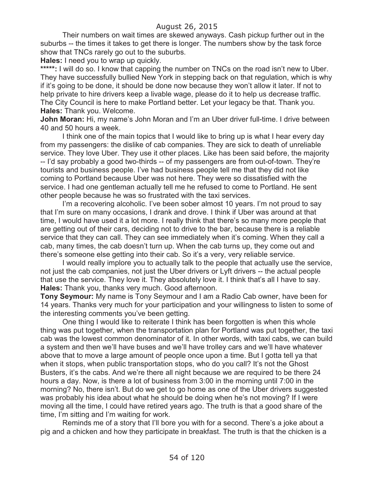Their numbers on wait times are skewed anyways. Cash pickup further out in the suburbs -- the times it takes to get there is longer. The numbers show by the task force show that TNCs rarely go out to the suburbs.

**Hales:** I need you to wrap up quickly.

\*\*\*\*\*: I will do so. I know that capping the number on TNCs on the road isn't new to Uber. They have successfully bullied New York in stepping back on that regulation, which is why if it's going to be done, it should be done now because they won't allow it later. If not to help private to hire drivers keep a livable wage, please do it to help us decrease traffic. The City Council is here to make Portland better. Let your legacy be that. Thank you. **Hales:** Thank you. Welcome.

**John Moran:** Hi, my name's John Moran and I'm an Uber driver full-time. I drive between 40 and 50 hours a week.

I think one of the main topics that I would like to bring up is what I hear every day from my passengers: the dislike of cab companies. They are sick to death of unreliable service. They love Uber. They use it other places. Like has been said before, the majority -- I'd say probably a good two-thirds -- of my passengers are from out-of-town. They're tourists and business people. I've had business people tell me that they did not like coming to Portland because Uber was not here. They were so dissatisfied with the service. I had one gentleman actually tell me he refused to come to Portland. He sent other people because he was so frustrated with the taxi services.

I'm a recovering alcoholic. I've been sober almost 10 years. I'm not proud to say that I'm sure on many occasions, I drank and drove. I think if Uber was around at that time, I would have used it a lot more. I really think that there's so many more people that are getting out of their cars, deciding not to drive to the bar, because there is a reliable service that they can call. They can see immediately when it's coming. When they call a cab, many times, the cab doesn't turn up. When the cab turns up, they come out and there's someone else getting into their cab. So it's a very, very reliable service.

I would really implore you to actually talk to the people that actually use the service, not just the cab companies, not just the Uber drivers or Lyft drivers -- the actual people that use the service. They love it. They absolutely love it. I think that's all I have to say. **Hales:** Thank you, thanks very much. Good afternoon.

**Tony Seymour:** My name is Tony Seymour and I am a Radio Cab owner, have been for 14 years. Thanks very much for your participation and your willingness to listen to some of the interesting comments you've been getting.

One thing I would like to reiterate I think has been forgotten is when this whole thing was put together, when the transportation plan for Portland was put together, the taxi cab was the lowest common denominator of it. In other words, with taxi cabs, we can build a system and then we'll have buses and we'll have trolley cars and we'll have whatever above that to move a large amount of people once upon a time. But I gotta tell ya that when it stops, when public transportation stops, who do you call? It's not the Ghost Busters, it's the cabs. And we're there all night because we are required to be there 24 hours a day. Now, is there a lot of business from 3:00 in the morning until 7:00 in the morning? No, there isn't. But do we get to go home as one of the Uber drivers suggested was probably his idea about what he should be doing when he's not moving? If I were moving all the time, I could have retired years ago. The truth is that a good share of the time, I'm sitting and I'm waiting for work.

Reminds me of a story that I'll bore you with for a second. There's a joke about a pig and a chicken and how they participate in breakfast. The truth is that the chicken is a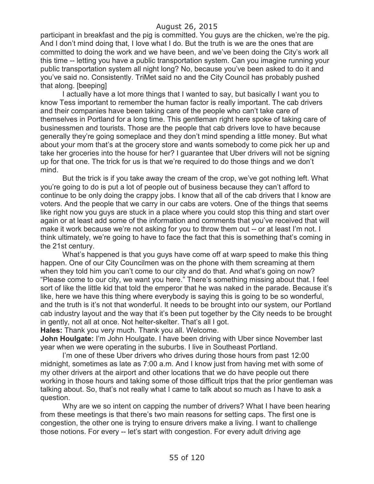participant in breakfast and the pig is committed. You guys are the chicken, we're the pig. And I don't mind doing that, I love what I do. But the truth is we are the ones that are committed to doing the work and we have been, and we've been doing the City's work all this time -- letting you have a public transportation system. Can you imagine running your public transportation system all night long? No, because you've been asked to do it and you've said no. Consistently. TriMet said no and the City Council has probably pushed that along. [beeping]

I actually have a lot more things that I wanted to say, but basically I want you to know Tess important to remember the human factor is really important. The cab drivers and their companies have been taking care of the people who can't take care of themselves in Portland for a long time. This gentleman right here spoke of taking care of businessmen and tourists. Those are the people that cab drivers love to have because generally they're going someplace and they don't mind spending a little money. But what about your mom that's at the grocery store and wants somebody to come pick her up and take her groceries into the house for her? I guarantee that Uber drivers will not be signing up for that one. The trick for us is that we're required to do those things and we don't mind.

But the trick is if you take away the cream of the crop, we've got nothing left. What you're going to do is put a lot of people out of business because they can't afford to continue to be only doing the crappy jobs. I know that all of the cab drivers that I know are voters. And the people that we carry in our cabs are voters. One of the things that seems like right now you guys are stuck in a place where you could stop this thing and start over again or at least add some of the information and comments that you've received that will make it work because we're not asking for you to throw them out -- or at least I'm not. I think ultimately, we're going to have to face the fact that this is something that's coming in the 21st century.

What's happened is that you guys have come off at warp speed to make this thing happen. One of our City Councilmen was on the phone with them screaming at them when they told him you can't come to our city and do that. And what's going on now? "Please come to our city, we want you here." There's something missing about that. I feel sort of like the little kid that told the emperor that he was naked in the parade. Because it's like, here we have this thing where everybody is saying this is going to be so wonderful, and the truth is it's not that wonderful. It needs to be brought into our system, our Portland cab industry layout and the way that it's been put together by the City needs to be brought in gently, not all at once. Not helter-skelter. That's all I got.

**Hales:** Thank you very much. Thank you all. Welcome.

**John Houlgate:** I'm John Houlgate. I have been driving with Uber since November last year when we were operating in the suburbs. I live in Southeast Portland.

I'm one of these Uber drivers who drives during those hours from past 12:00 midnight, sometimes as late as 7:00 a.m. And I know just from having met with some of my other drivers at the airport and other locations that we do have people out there working in those hours and taking some of those difficult trips that the prior gentleman was talking about. So, that's not really what I came to talk about so much as I have to ask a question.

Why are we so intent on capping the number of drivers? What I have been hearing from these meetings is that there's two main reasons for setting caps. The first one is congestion, the other one is trying to ensure drivers make a living. I want to challenge those notions. For every -- let's start with congestion. For every adult driving age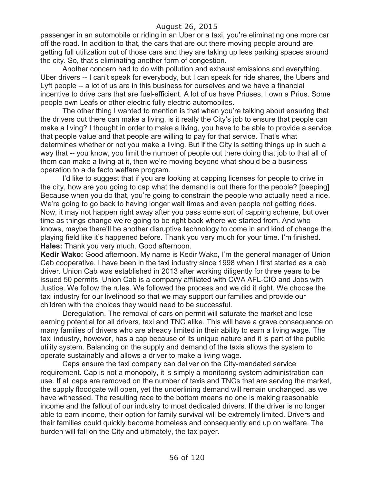passenger in an automobile or riding in an Uber or a taxi, you're eliminating one more car off the road. In addition to that, the cars that are out there moving people around are getting full utilization out of those cars and they are taking up less parking spaces around the city. So, that's eliminating another form of congestion.

Another concern had to do with pollution and exhaust emissions and everything. Uber drivers -- I can't speak for everybody, but I can speak for ride shares, the Ubers and Lyft people -- a lot of us are in this business for ourselves and we have a financial incentive to drive cars that are fuel-efficient. A lot of us have Priuses. I own a Prius. Some people own Leafs or other electric fully electric automobiles.

The other thing I wanted to mention is that when you're talking about ensuring that the drivers out there can make a living, is it really the City's job to ensure that people can make a living? I thought in order to make a living, you have to be able to provide a service that people value and that people are willing to pay for that service. That's what determines whether or not you make a living. But if the City is setting things up in such a way that -- you know, you limit the number of people out there doing that job to that all of them can make a living at it, then we're moving beyond what should be a business operation to a de facto welfare program.

I'd like to suggest that if you are looking at capping licenses for people to drive in the city, how are you going to cap what the demand is out there for the people? [beeping] Because when you do that, you're going to constrain the people who actually need a ride. We're going to go back to having longer wait times and even people not getting rides. Now, it may not happen right away after you pass some sort of capping scheme, but over time as things change we're going to be right back where we started from. And who knows, maybe there'll be another disruptive technology to come in and kind of change the playing field like it's happened before. Thank you very much for your time. I'm finished. **Hales:** Thank you very much. Good afternoon.

**Kedir Wako:** Good afternoon. My name is Kedir Wako, I'm the general manager of Union Cab cooperative. I have been in the taxi industry since 1998 when I first started as a cab driver. Union Cab was established in 2013 after working diligently for three years to be issued 50 permits. Union Cab is a company affiliated with CWA AFL-CIO and Jobs with Justice. We follow the rules. We followed the process and we did it right. We choose the taxi industry for our livelihood so that we may support our families and provide our children with the choices they would need to be successful.

Deregulation. The removal of cars on permit will saturate the market and lose earning potential for all drivers, taxi and TNC alike. This will have a grave consequence on many families of drivers who are already limited in their ability to earn a living wage. The taxi industry, however, has a cap because of its unique nature and it is part of the public utility system. Balancing on the supply and demand of the taxis allows the system to operate sustainably and allows a driver to make a living wage.

Caps ensure the taxi company can deliver on the City-mandated service requirement. Cap is not a monopoly, it is simply a monitoring system administration can use. If all caps are removed on the number of taxis and TNCs that are serving the market, the supply floodgate will open, yet the underlining demand will remain unchanged, as we have witnessed. The resulting race to the bottom means no one is making reasonable income and the fallout of our industry to most dedicated drivers. If the driver is no longer able to earn income, their option for family survival will be extremely limited. Drivers and their families could quickly become homeless and consequently end up on welfare. The burden will fall on the City and ultimately, the tax payer.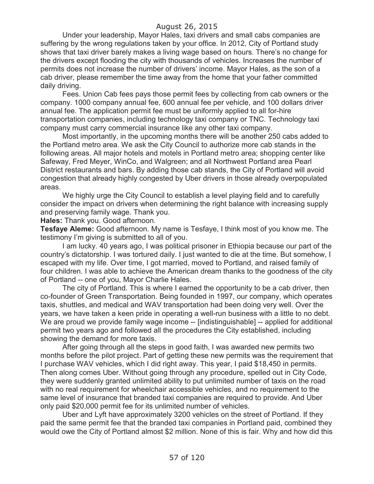Under your leadership, Mayor Hales, taxi drivers and small cabs companies are suffering by the wrong regulations taken by your office. In 2012, City of Portland study shows that taxi driver barely makes a living wage based on hours. There's no change for the drivers except flooding the city with thousands of vehicles. Increases the number of permits does not increase the number of drivers' income. Mayor Hales, as the son of a cab driver, please remember the time away from the home that your father committed daily driving.

Fees. Union Cab fees pays those permit fees by collecting from cab owners or the company. 1000 company annual fee, 600 annual fee per vehicle, and 100 dollars driver annual fee. The application permit fee must be uniformly applied to all for-hire transportation companies, including technology taxi company or TNC. Technology taxi company must carry commercial insurance like any other taxi company.

Most importantly, in the upcoming months there will be another 250 cabs added to the Portland metro area. We ask the City Council to authorize more cab stands in the following areas. All major hotels and motels in Portland metro area; shopping center like Safeway, Fred Meyer, WinCo, and Walgreen; and all Northwest Portland area Pearl District restaurants and bars. By adding those cab stands, the City of Portland will avoid congestion that already highly congested by Uber drivers in those already overpopulated areas.

We highly urge the City Council to establish a level playing field and to carefully consider the impact on drivers when determining the right balance with increasing supply and preserving family wage. Thank you.

**Hales:** Thank you. Good afternoon.

**Tesfaye Aleme:** Good afternoon. My name is Tesfaye, I think most of you know me. The testimony I'm giving is submitted to all of you.

I am lucky. 40 years ago, I was political prisoner in Ethiopia because our part of the country's dictatorship. I was tortured daily. I just wanted to die at the time. But somehow, I escaped with my life. Over time, I got married, moved to Portland, and raised family of four children. I was able to achieve the American dream thanks to the goodness of the city of Portland -- one of you, Mayor Charlie Hales.

The city of Portland. This is where I earned the opportunity to be a cab driver, then co-founder of Green Transportation. Being founded in 1997, our company, which operates taxis, shuttles, and medical and WAV transportation had been doing very well. Over the years, we have taken a keen pride in operating a well-run business with a little to no debt. We are proud we provide family wage income -- [indistinguishable] -- applied for additional permit two years ago and followed all the procedures the City established, including showing the demand for more taxis.

After going through all the steps in good faith, I was awarded new permits two months before the pilot project. Part of getting these new permits was the requirement that I purchase WAV vehicles, which I did right away. This year, I paid \$18,450 in permits. Then along comes Uber. Without going through any procedure, spelled out in City Code, they were suddenly granted unlimited ability to put unlimited number of taxis on the road with no real requirement for wheelchair accessible vehicles, and no requirement to the same level of insurance that branded taxi companies are required to provide. And Uber only paid \$20,000 permit fee for its unlimited number of vehicles.

Uber and Lyft have approximately 3200 vehicles on the street of Portland. If they paid the same permit fee that the branded taxi companies in Portland paid, combined they would owe the City of Portland almost \$2 million. None of this is fair. Why and how did this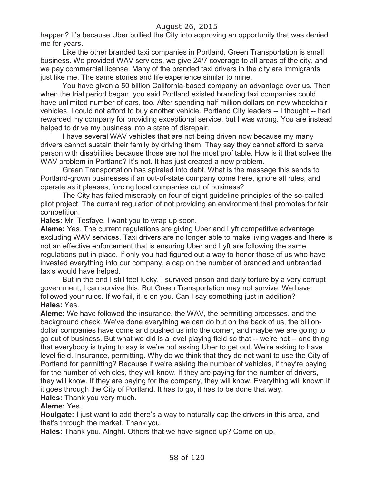happen? It's because Uber bullied the City into approving an opportunity that was denied me for years.

Like the other branded taxi companies in Portland, Green Transportation is small business. We provided WAV services, we give 24/7 coverage to all areas of the city, and we pay commercial license. Many of the branded taxi drivers in the city are immigrants just like me. The same stories and life experience similar to mine.

You have given a 50 billion California-based company an advantage over us. Then when the trial period began, you said Portland existed branding taxi companies could have unlimited number of cars, too. After spending half million dollars on new wheelchair vehicles, I could not afford to buy another vehicle. Portland City leaders -- I thought -- had rewarded my company for providing exceptional service, but I was wrong. You are instead helped to drive my business into a state of disrepair.

I have several WAV vehicles that are not being driven now because my many drivers cannot sustain their family by driving them. They say they cannot afford to serve person with disabilities because those are not the most profitable. How is it that solves the WAV problem in Portland? It's not. It has just created a new problem.

Green Transportation has spiraled into debt. What is the message this sends to Portland-grown businesses if an out-of-state company come here, ignore all rules, and operate as it pleases, forcing local companies out of business?

The City has failed miserably on four of eight guideline principles of the so-called pilot project. The current regulation of not providing an environment that promotes for fair competition.

**Hales:** Mr. Tesfaye, I want you to wrap up soon.

**Aleme:** Yes. The current regulations are giving Uber and Lyft competitive advantage excluding WAV services. Taxi drivers are no longer able to make living wages and there is not an effective enforcement that is ensuring Uber and Lyft are following the same regulations put in place. If only you had figured out a way to honor those of us who have invested everything into our company, a cap on the number of branded and unbranded taxis would have helped.

But in the end I still feel lucky. I survived prison and daily torture by a very corrupt government, I can survive this. But Green Transportation may not survive. We have followed your rules. If we fail, it is on you. Can I say something just in addition? **Hales:** Yes.

**Aleme:** We have followed the insurance, the WAV, the permitting processes, and the background check. We've done everything we can do but on the back of us, the billiondollar companies have come and pushed us into the corner, and maybe we are going to go out of business. But what we did is a level playing field so that -- we're not -- one thing that everybody is trying to say is we're not asking Uber to get out. We're asking to have level field. Insurance, permitting. Why do we think that they do not want to use the City of Portland for permitting? Because if we're asking the number of vehicles, if they're paying for the number of vehicles, they will know. If they are paying for the number of drivers, they will know. If they are paying for the company, they will know. Everything will known if it goes through the City of Portland. It has to go, it has to be done that way. **Hales:** Thank you very much.

#### **Aleme:** Yes.

**Houlgate:** I just want to add there's a way to naturally cap the drivers in this area, and that's through the market. Thank you.

**Hales:** Thank you. Alright. Others that we have signed up? Come on up.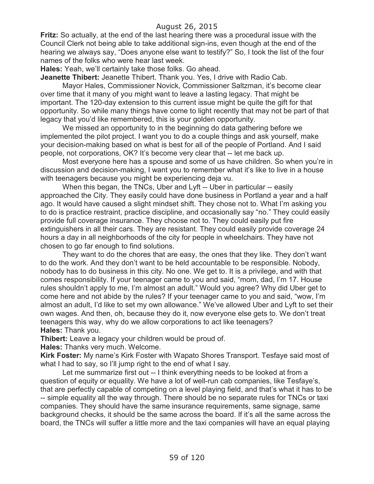**Fritz:** So actually, at the end of the last hearing there was a procedural issue with the Council Clerk not being able to take additional sign-ins, even though at the end of the hearing we always say, "Does anyone else want to testify?" So, I took the list of the four names of the folks who were hear last week.

**Hales:** Yeah, we'll certainly take those folks. Go ahead.

**Jeanette Thibert:** Jeanette Thibert. Thank you. Yes, I drive with Radio Cab.

Mayor Hales, Commissioner Novick, Commissioner Saltzman, it's become clear over time that it many of you might want to leave a lasting legacy. That might be important. The 120-day extension to this current issue might be quite the gift for that opportunity. So while many things have come to light recently that may not be part of that legacy that you'd like remembered, this is your golden opportunity.

We missed an opportunity to in the beginning do data gathering before we implemented the pilot project. I want you to do a couple things and ask yourself, make your decision-making based on what is best for all of the people of Portland. And I said people, not corporations, OK? It's become very clear that -- let me back up.

Most everyone here has a spouse and some of us have children. So when you're in discussion and decision-making, I want you to remember what it's like to live in a house with teenagers because you might be experiencing deja vu.

When this began, the TNCs, Uber and Lyft -- Uber in particular -- easily approached the City. They easily could have done business in Portland a year and a half ago. It would have caused a slight mindset shift. They chose not to. What I'm asking you to do is practice restraint, practice discipline, and occasionally say "no." They could easily provide full coverage insurance. They choose not to. They could easily put fire extinguishers in all their cars. They are resistant. They could easily provide coverage 24 hours a day in all neighborhoods of the city for people in wheelchairs. They have not chosen to go far enough to find solutions.

They want to do the chores that are easy, the ones that they like. They don't want to do the work. And they don't want to be held accountable to be responsible. Nobody, nobody has to do business in this city. No one. We get to. It is a privilege, and with that comes responsibility. If your teenager came to you and said, "mom, dad, I'm 17. House rules shouldn't apply to me, I'm almost an adult." Would you agree? Why did Uber get to come here and not abide by the rules? If your teenager came to you and said, "wow, I'm almost an adult, I'd like to set my own allowance." We've allowed Uber and Lyft to set their own wages. And then, oh, because they do it, now everyone else gets to. We don't treat teenagers this way, why do we allow corporations to act like teenagers? **Hales:** Thank you.

**Thibert:** Leave a legacy your children would be proud of.

**Hales:** Thanks very much. Welcome.

**Kirk Foster:** My name's Kirk Foster with Wapato Shores Transport. Tesfaye said most of what I had to say, so I'll jump right to the end of what I say.

Let me summarize first out -- I think everything needs to be looked at from a question of equity or equality. We have a lot of well-run cab companies, like Tesfaye's, that are perfectly capable of competing on a level playing field, and that's what it has to be -- simple equality all the way through. There should be no separate rules for TNCs or taxi companies. They should have the same insurance requirements, same signage, same background checks, it should be the same across the board. If it's all the same across the board, the TNCs will suffer a little more and the taxi companies will have an equal playing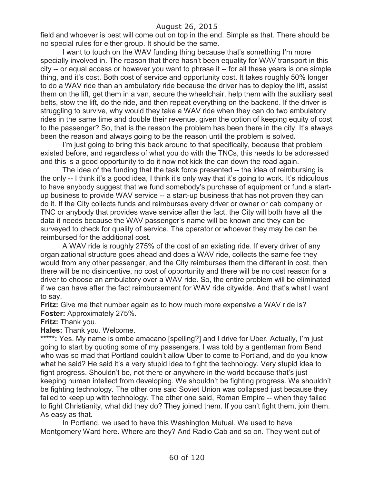field and whoever is best will come out on top in the end. Simple as that. There should be no special rules for either group. It should be the same.

I want to touch on the WAV funding thing because that's something I'm more specially involved in. The reason that there hasn't been equality for WAV transport in this city -- or equal access or however you want to phrase it -- for all these years is one simple thing, and it's cost. Both cost of service and opportunity cost. It takes roughly 50% longer to do a WAV ride than an ambulatory ride because the driver has to deploy the lift, assist them on the lift, get them in a van, secure the wheelchair, help them with the auxiliary seat belts, stow the lift, do the ride, and then repeat everything on the backend. If the driver is struggling to survive, why would they take a WAV ride when they can do two ambulatory rides in the same time and double their revenue, given the option of keeping equity of cost to the passenger? So, that is the reason the problem has been there in the city. It's always been the reason and always going to be the reason until the problem is solved.

I'm just going to bring this back around to that specifically, because that problem existed before, and regardless of what you do with the TNCs, this needs to be addressed and this is a good opportunity to do it now not kick the can down the road again.

The idea of the funding that the task force presented -- the idea of reimbursing is the only -- I think it's a good idea, I think it's only way that it's going to work. It's ridiculous to have anybody suggest that we fund somebody's purchase of equipment or fund a startup business to provide WAV service -- a start-up business that has not proven they can do it. If the City collects funds and reimburses every driver or owner or cab company or TNC or anybody that provides wave service after the fact, the City will both have all the data it needs because the WAV passenger's name will be known and they can be surveyed to check for quality of service. The operator or whoever they may be can be reimbursed for the additional cost.

A WAV ride is roughly 275% of the cost of an existing ride. If every driver of any organizational structure goes ahead and does a WAV ride, collects the same fee they would from any other passenger, and the City reimburses them the different in cost, then there will be no disincentive, no cost of opportunity and there will be no cost reason for a driver to choose an ambulatory over a WAV ride. So, the entire problem will be eliminated if we can have after the fact reimbursement for WAV ride citywide. And that's what I want to say.

**Fritz:** Give me that number again as to how much more expensive a WAV ride is? **Foster:** Approximately 275%.

**Fritz:** Thank you.

**Hales:** Thank you. Welcome.

\*\*\*\*\*: Yes. My name is ombe amacano [spelling?] and I drive for Uber. Actually, I'm just going to start by quoting some of my passengers. I was told by a gentleman from Bend who was so mad that Portland couldn't allow Uber to come to Portland, and do you know what he said? He said it's a very stupid idea to fight the technology. Very stupid idea to fight progress. Shouldn't be, not there or anywhere in the world because that's just keeping human intellect from developing. We shouldn't be fighting progress. We shouldn't be fighting technology. The other one said Soviet Union was collapsed just because they failed to keep up with technology. The other one said, Roman Empire -- when they failed to fight Christianity, what did they do? They joined them. If you can't fight them, join them. As easy as that.

In Portland, we used to have this Washington Mutual. We used to have Montgomery Ward here. Where are they? And Radio Cab and so on. They went out of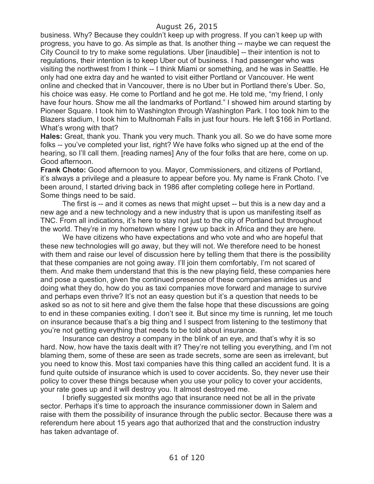business. Why? Because they couldn't keep up with progress. If you can't keep up with progress, you have to go. As simple as that. Is another thing -- maybe we can request the City Council to try to make some regulations. Uber [inaudible] -- their intention is not to regulations, their intention is to keep Uber out of business. I had passenger who was visiting the northwest from I think -- I think Miami or something, and he was in Seattle. He only had one extra day and he wanted to visit either Portland or Vancouver. He went online and checked that in Vancouver, there is no Uber but in Portland there's Uber. So, his choice was easy. He come to Portland and he got me. He told me, "my friend, I only have four hours. Show me all the landmarks of Portland." I showed him around starting by Pioneer Square. I took him to Washington through Washington Park. I too took him to the Blazers stadium, I took him to Multnomah Falls in just four hours. He left \$166 in Portland. What's wrong with that?

**Hales:** Great, thank you. Thank you very much. Thank you all. So we do have some more folks -- you've completed your list, right? We have folks who signed up at the end of the hearing, so I'll call them. [reading names] Any of the four folks that are here, come on up. Good afternoon.

**Frank Choto:** Good afternoon to you. Mayor, Commissioners, and citizens of Portland, it's always a privilege and a pleasure to appear before you. My name is Frank Choto. I've been around, I started driving back in 1986 after completing college here in Portland. Some things need to be said.

The first is -- and it comes as news that might upset -- but this is a new day and a new age and a new technology and a new industry that is upon us manifesting itself as TNC. From all indications, it's here to stay not just to the city of Portland but throughout the world. They're in my hometown where I grew up back in Africa and they are here.

We have citizens who have expectations and who vote and who are hopeful that these new technologies will go away, but they will not. We therefore need to be honest with them and raise our level of discussion here by telling them that there is the possibility that these companies are not going away. I'll join them comfortably, I'm not scared of them. And make them understand that this is the new playing field, these companies here and pose a question, given the continued presence of these companies amides us and doing what they do, how do you as taxi companies move forward and manage to survive and perhaps even thrive? It's not an easy question but it's a question that needs to be asked so as not to sit here and give them the false hope that these discussions are going to end in these companies exiting. I don't see it. But since my time is running, let me touch on insurance because that's a big thing and I suspect from listening to the testimony that you're not getting everything that needs to be told about insurance.

Insurance can destroy a company in the blink of an eye, and that's why it is so hard. Now, how have the taxis dealt with it? They're not telling you everything, and I'm not blaming them, some of these are seen as trade secrets, some are seen as irrelevant, but you need to know this. Most taxi companies have this thing called an accident fund. It is a fund quite outside of insurance which is used to cover accidents. So, they never use their policy to cover these things because when you use your policy to cover your accidents, your rate goes up and it will destroy you. It almost destroyed me.

I briefly suggested six months ago that insurance need not be all in the private sector. Perhaps it's time to approach the insurance commissioner down in Salem and raise with them the possibility of insurance through the public sector. Because there was a referendum here about 15 years ago that authorized that and the construction industry has taken advantage of.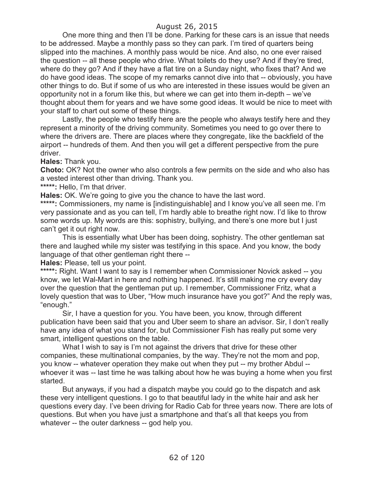One more thing and then I'll be done. Parking for these cars is an issue that needs to be addressed. Maybe a monthly pass so they can park. I'm tired of quarters being slipped into the machines. A monthly pass would be nice. And also, no one ever raised the question -- all these people who drive. What toilets do they use? And if they're tired, where do they go? And if they have a flat tire on a Sunday night, who fixes that? And we do have good ideas. The scope of my remarks cannot dive into that -- obviously, you have other things to do. But if some of us who are interested in these issues would be given an opportunity not in a forum like this, but where we can get into them in-depth – we've thought about them for years and we have some good ideas. It would be nice to meet with your staff to chart out some of these things.

Lastly, the people who testify here are the people who always testify here and they represent a minority of the driving community. Sometimes you need to go over there to where the drivers are. There are places where they congregate, like the backfield of the airport -- hundreds of them. And then you will get a different perspective from the pure driver.

**Hales:** Thank you.

**Choto:** OK? Not the owner who also controls a few permits on the side and who also has a vested interest other than driving. Thank you.

**\*\*\*\*\*:** Hello, I'm that driver.

**Hales:** OK. We're going to give you the chance to have the last word.

**\*\*\*\*\*:** Commissioners, my name is [indistinguishable] and I know you've all seen me. I'm very passionate and as you can tell, I'm hardly able to breathe right now. I'd like to throw some words up. My words are this: sophistry, bullying, and there's one more but I just can't get it out right now.

This is essentially what Uber has been doing, sophistry. The other gentleman sat there and laughed while my sister was testifying in this space. And you know, the body language of that other gentleman right there --

**Hales:** Please, tell us your point.

\*\*\*\*\*: Right. Want I want to say is I remember when Commissioner Novick asked -- you know, we let Wal-Mart in here and nothing happened. It's still making me cry every day over the question that the gentleman put up. I remember, Commissioner Fritz, what a lovely question that was to Uber, "How much insurance have you got?" And the reply was, "enough."

Sir, I have a question for you. You have been, you know, through different publication have been said that you and Uber seem to share an advisor. Sir, I don't really have any idea of what you stand for, but Commissioner Fish has really put some very smart, intelligent questions on the table.

What I wish to say is I'm not against the drivers that drive for these other companies, these multinational companies, by the way. They're not the mom and pop, you know -- whatever operation they make out when they put -- my brother Abdul - whoever it was -- last time he was talking about how he was buying a home when you first started.

But anyways, if you had a dispatch maybe you could go to the dispatch and ask these very intelligent questions. I go to that beautiful lady in the white hair and ask her questions every day. I've been driving for Radio Cab for three years now. There are lots of questions. But when you have just a smartphone and that's all that keeps you from whatever -- the outer darkness -- god help you.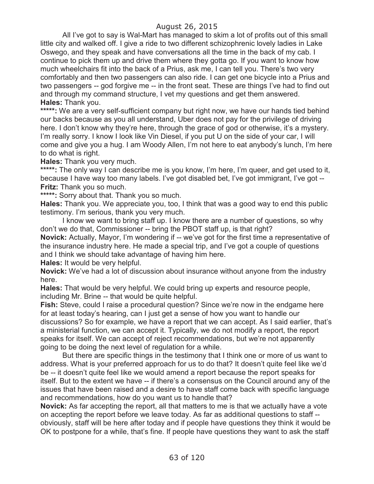All I've got to say is Wal-Mart has managed to skim a lot of profits out of this small little city and walked off. I give a ride to two different schizophrenic lovely ladies in Lake Oswego, and they speak and have conversations all the time in the back of my cab. I continue to pick them up and drive them where they gotta go. If you want to know how much wheelchairs fit into the back of a Prius, ask me, I can tell you. There's two very comfortably and then two passengers can also ride. I can get one bicycle into a Prius and two passengers -- god forgive me -- in the front seat. These are things I've had to find out and through my command structure, I vet my questions and get them answered. **Hales:** Thank you.

\*\*\*\*\*: We are a very self-sufficient company but right now, we have our hands tied behind our backs because as you all understand, Uber does not pay for the privilege of driving here. I don't know why they're here, through the grace of god or otherwise, it's a mystery. I'm really sorry. I know I look like Vin Diesel, if you put U on the side of your car, I will come and give you a hug. I am Woody Allen, I'm not here to eat anybody's lunch, I'm here to do what is right.

**Hales:** Thank you very much.

\*\*\*\*\*: The only way I can describe me is you know, I'm here, I'm queer, and get used to it, because I have way too many labels. I've got disabled bet, I've got immigrant, I've got -- **Fritz:** Thank you so much.

**\*\*\*\*\*:** Sorry about that. Thank you so much.

**Hales:** Thank you. We appreciate you, too, I think that was a good way to end this public testimony. I'm serious, thank you very much.

I know we want to bring staff up. I know there are a number of questions, so why don't we do that, Commissioner -- bring the PBOT staff up, is that right?

**Novick:** Actually, Mayor, I'm wondering if -- we've got for the first time a representative of the insurance industry here. He made a special trip, and I've got a couple of questions and I think we should take advantage of having him here.

**Hales:** It would be very helpful.

**Novick:** We've had a lot of discussion about insurance without anyone from the industry here.

**Hales:** That would be very helpful. We could bring up experts and resource people, including Mr. Brine -- that would be quite helpful.

**Fish:** Steve, could I raise a procedural question? Since we're now in the endgame here for at least today's hearing, can I just get a sense of how you want to handle our discussions? So for example, we have a report that we can accept. As I said earlier, that's a ministerial function, we can accept it. Typically, we do not modify a report, the report speaks for itself. We can accept of reject recommendations, but we're not apparently going to be doing the next level of regulation for a while.

But there are specific things in the testimony that I think one or more of us want to address. What is your preferred approach for us to do that? It doesn't quite feel like we'd be -- it doesn't quite feel like we would amend a report because the report speaks for itself. But to the extent we have -- if there's a consensus on the Council around any of the issues that have been raised and a desire to have staff come back with specific language and recommendations, how do you want us to handle that?

**Novick:** As far accepting the report, all that matters to me is that we actually have a vote on accepting the report before we leave today. As far as additional questions to staff - obviously, staff will be here after today and if people have questions they think it would be OK to postpone for a while, that's fine. If people have questions they want to ask the staff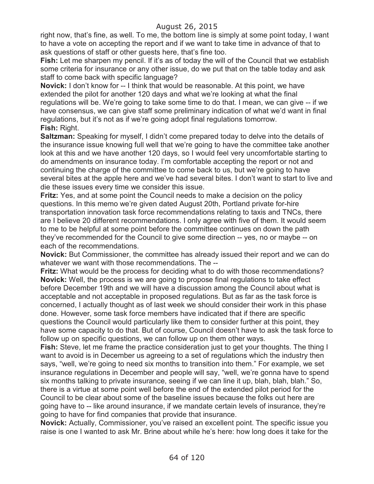right now, that's fine, as well. To me, the bottom line is simply at some point today, I want to have a vote on accepting the report and if we want to take time in advance of that to ask questions of staff or other guests here, that's fine too.

Fish: Let me sharpen my pencil. If it's as of today the will of the Council that we establish some criteria for insurance or any other issue, do we put that on the table today and ask staff to come back with specific language?

**Novick:** I don't know for -- I think that would be reasonable. At this point, we have extended the pilot for another 120 days and what we're looking at what the final regulations will be. We're going to take some time to do that. I mean, we can give -- if we have consensus, we can give staff some preliminary indication of what we'd want in final regulations, but it's not as if we're going adopt final regulations tomorrow. **Fish:** Right.

**Saltzman:** Speaking for myself, I didn't come prepared today to delve into the details of the insurance issue knowing full well that we're going to have the committee take another look at this and we have another 120 days, so I would feel very uncomfortable starting to do amendments on insurance today. I'm comfortable accepting the report or not and continuing the charge of the committee to come back to us, but we're going to have several bites at the apple here and we've had several bites. I don't want to start to live and die these issues every time we consider this issue.

**Fritz:** Yes, and at some point the Council needs to make a decision on the policy questions. In this memo we're given dated August 20th, Portland private for-hire transportation innovation task force recommendations relating to taxis and TNCs, there are I believe 20 different recommendations. I only agree with five of them. It would seem to me to be helpful at some point before the committee continues on down the path they've recommended for the Council to give some direction -- yes, no or maybe -- on each of the recommendations.

**Novick:** But Commissioner, the committee has already issued their report and we can do whatever we want with those recommendations. The --

**Fritz:** What would be the process for deciding what to do with those recommendations? **Novick:** Well, the process is we are going to propose final regulations to take effect before December 19th and we will have a discussion among the Council about what is acceptable and not acceptable in proposed regulations. But as far as the task force is concerned, I actually thought as of last week we should consider their work in this phase done. However, some task force members have indicated that if there are specific questions the Council would particularly like them to consider further at this point, they have some capacity to do that. But of course, Council doesn't have to ask the task force to follow up on specific questions, we can follow up on them other ways.

**Fish:** Steve, let me frame the practice consideration just to get your thoughts. The thing I want to avoid is in December us agreeing to a set of regulations which the industry then says, "well, we're going to need six months to transition into them." For example, we set insurance regulations in December and people will say, "well, we're gonna have to spend six months talking to private insurance, seeing if we can line it up, blah, blah, blah." So, there is a virtue at some point well before the end of the extended pilot period for the Council to be clear about some of the baseline issues because the folks out here are going have to -- like around insurance, if we mandate certain levels of insurance, they're going to have for find companies that provide that insurance.

**Novick:** Actually, Commissioner, you've raised an excellent point. The specific issue you raise is one I wanted to ask Mr. Brine about while he's here: how long does it take for the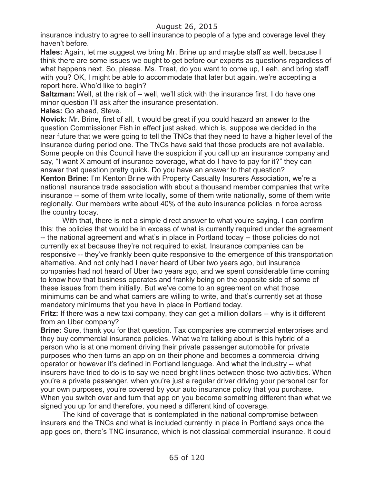insurance industry to agree to sell insurance to people of a type and coverage level they haven't before.

**Hales:** Again, let me suggest we bring Mr. Brine up and maybe staff as well, because I think there are some issues we ought to get before our experts as questions regardless of what happens next. So, please. Ms. Treat, do you want to come up, Leah, and bring staff with you? OK, I might be able to accommodate that later but again, we're accepting a report here. Who'd like to begin?

**Saltzman:** Well, at the risk of -- well, we'll stick with the insurance first. I do have one minor question I'll ask after the insurance presentation.

**Hales:** Go ahead, Steve.

**Novick:** Mr. Brine, first of all, it would be great if you could hazard an answer to the question Commissioner Fish in effect just asked, which is, suppose we decided in the near future that we were going to tell the TNCs that they need to have a higher level of the insurance during period one. The TNCs have said that those products are not available. Some people on this Council have the suspicion if you call up an insurance company and say, "I want X amount of insurance coverage, what do I have to pay for it?" they can answer that question pretty quick. Do you have an answer to that question?

**Kenton Brine:** I'm Kenton Brine with Property Casualty Insurers Association, we're a national insurance trade association with about a thousand member companies that write insurance -- some of them write locally, some of them write nationally, some of them write regionally. Our members write about 40% of the auto insurance policies in force across the country today.

With that, there is not a simple direct answer to what you're saying. I can confirm this: the policies that would be in excess of what is currently required under the agreement -- the national agreement and what's in place in Portland today -- those policies do not currently exist because they're not required to exist. Insurance companies can be responsive -- they've frankly been quite responsive to the emergence of this transportation alternative. And not only had I never heard of Uber two years ago, but insurance companies had not heard of Uber two years ago, and we spent considerable time coming to know how that business operates and frankly being on the opposite side of some of these issues from them initially. But we've come to an agreement on what those minimums can be and what carriers are willing to write, and that's currently set at those mandatory minimums that you have in place in Portland today.

**Fritz:** If there was a new taxi company, they can get a million dollars -- why is it different from an Uber company?

**Brine:** Sure, thank you for that question. Tax companies are commercial enterprises and they buy commercial insurance policies. What we're talking about is this hybrid of a person who is at one moment driving their private passenger automobile for private purposes who then turns an app on on their phone and becomes a commercial driving operator or however it's defined in Portland language. And what the industry -- what insurers have tried to do is to say we need bright lines between those two activities. When you're a private passenger, when you're just a regular driver driving your personal car for your own purposes, you're covered by your auto insurance policy that you purchase. When you switch over and turn that app on you become something different than what we signed you up for and therefore, you need a different kind of coverage.

The kind of coverage that is contemplated in the national compromise between insurers and the TNCs and what is included currently in place in Portland says once the app goes on, there's TNC insurance, which is not classical commercial insurance. It could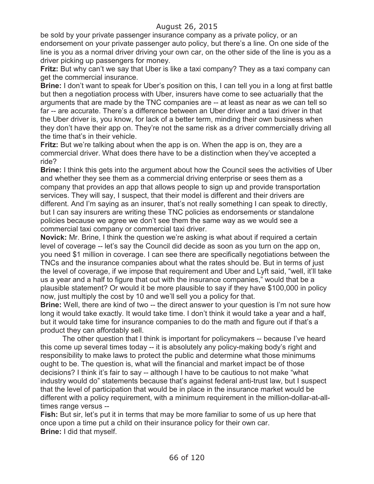be sold by your private passenger insurance company as a private policy, or an endorsement on your private passenger auto policy, but there's a line. On one side of the line is you as a normal driver driving your own car, on the other side of the line is you as a driver picking up passengers for money.

**Fritz:** But why can't we say that Uber is like a taxi company? They as a taxi company can get the commercial insurance.

**Brine:** I don't want to speak for Uber's position on this, I can tell you in a long at first battle but then a negotiation process with Uber, insurers have come to see actuarially that the arguments that are made by the TNC companies are -- at least as near as we can tell so far -- are accurate. There's a difference between an Uber driver and a taxi driver in that the Uber driver is, you know, for lack of a better term, minding their own business when they don't have their app on. They're not the same risk as a driver commercially driving all the time that's in their vehicle.

**Fritz:** But we're talking about when the app is on. When the app is on, they are a commercial driver. What does there have to be a distinction when they've accepted a ride?

**Brine:** I think this gets into the argument about how the Council sees the activities of Uber and whether they see them as a commercial driving enterprise or sees them as a company that provides an app that allows people to sign up and provide transportation services. They will say, I suspect, that their model is different and their drivers are different. And I'm saying as an insurer, that's not really something I can speak to directly, but I can say insurers are writing these TNC policies as endorsements or standalone policies because we agree we don't see them the same way as we would see a commercial taxi company or commercial taxi driver.

**Novick:** Mr. Brine, I think the question we're asking is what about if required a certain level of coverage -- let's say the Council did decide as soon as you turn on the app on, you need \$1 million in coverage. I can see there are specifically negotiations between the TNCs and the insurance companies about what the rates should be. But in terms of just the level of coverage, if we impose that requirement and Uber and Lyft said, "well, it'll take us a year and a half to figure that out with the insurance companies," would that be a plausible statement? Or would it be more plausible to say if they have \$100,000 in policy now, just multiply the cost by 10 and we'll sell you a policy for that.

**Brine:** Well, there are kind of two -- the direct answer to your question is I'm not sure how long it would take exactly. It would take time. I don't think it would take a year and a half, but it would take time for insurance companies to do the math and figure out if that's a product they can affordably sell.

The other question that I think is important for policymakers -- because I've heard this come up several times today -- it is absolutely any policy-making body's right and responsibility to make laws to protect the public and determine what those minimums ought to be. The question is, what will the financial and market impact be of those decisions? I think it's fair to say -- although I have to be cautious to not make "what industry would do" statements because that's against federal anti-trust law, but I suspect that the level of participation that would be in place in the insurance market would be different with a policy requirement, with a minimum requirement in the million-dollar-at-alltimes range versus --

**Fish:** But sir, let's put it in terms that may be more familiar to some of us up here that once upon a time put a child on their insurance policy for their own car. **Brine:** I did that myself.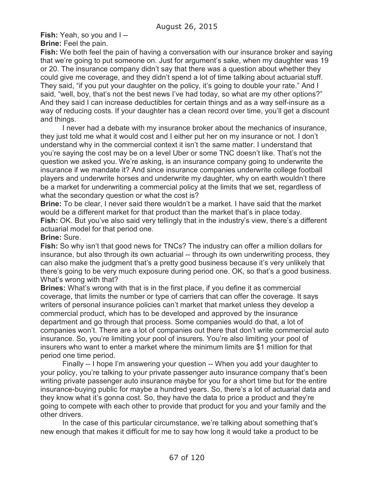**Fish:** Yeah, so you and I --

**Brine:** Feel the pain.

**Fish:** We both feel the pain of having a conversation with our insurance broker and saying that we're going to put someone on. Just for argument's sake, when my daughter was 19 or 20. The insurance company didn't say that there was a question about whether they could give me coverage, and they didn't spend a lot of time talking about actuarial stuff. They said, "if you put your daughter on the policy, it's going to double your rate." And I said, "well, boy, that's not the best news I've had today, so what are my other options?" And they said I can increase deductibles for certain things and as a way self-insure as a way of reducing costs. If your daughter has a clean record over time, you'll get a discount and things.

I never had a debate with my insurance broker about the mechanics of insurance, they just told me what it would cost and I either put her on my insurance or not. I don't understand why in the commercial context it isn't the same matter. I understand that you're saying the cost may be on a level Uber or some TNC doesn't like. That's not the question we asked you. We're asking, is an insurance company going to underwrite the insurance if we mandate it? And since insurance companies underwrite college football players and underwrite horses and underwrite my daughter, why on earth wouldn't there be a market for underwriting a commercial policy at the limits that we set, regardless of what the secondary question or what the cost is?

**Brine:** To be clear, I never said there wouldn't be a market. I have said that the market would be a different market for that product than the market that's in place today. **Fish:** OK. But you've also said very tellingly that in the industry's view, there's a different actuarial model for that period one.

#### **Brine:** Sure.

**Fish:** So why isn't that good news for TNCs? The industry can offer a million dollars for insurance, but also through its own actuarial -- through its own underwriting process, they can also make the judgment that's a pretty good business because it's very unlikely that there's going to be very much exposure during period one. OK, so that's a good business. What's wrong with that?

**Brines:** What's wrong with that is in the first place, if you define it as commercial coverage, that limits the number or type of carriers that can offer the coverage. It says writers of personal insurance policies can't market that market unless they develop a commercial product, which has to be developed and approved by the insurance department and go through that process. Some companies would do that, a lot of companies won't. There are a lot of companies out there that don't write commercial auto insurance. So, you're limiting your pool of insurers. You're also limiting your pool of insurers who want to enter a market where the minimum limits are \$1 million for that period one time period.

Finally -- I hope I'm answering your question -- When you add your daughter to your policy, you're talking to your private passenger auto insurance company that's been writing private passenger auto insurance maybe for you for a short time but for the entire insurance-buying public for maybe a hundred years. So, there's a lot of actuarial data and they know what it's gonna cost. So, they have the data to price a product and they're going to compete with each other to provide that product for you and your family and the other drivers.

In the case of this particular circumstance, we're talking about something that's new enough that makes it difficult for me to say how long it would take a product to be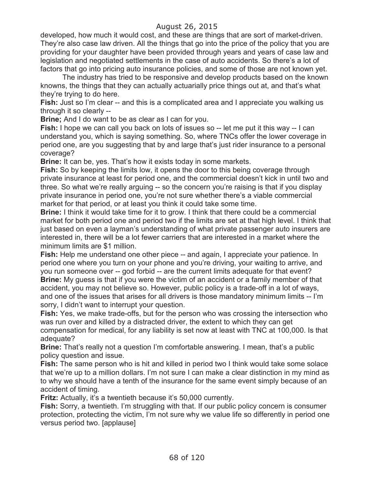developed, how much it would cost, and these are things that are sort of market-driven. They're also case law driven. All the things that go into the price of the policy that you are providing for your daughter have been provided through years and years of case law and legislation and negotiated settlements in the case of auto accidents. So there's a lot of factors that go into pricing auto insurance policies, and some of those are not known yet.

The industry has tried to be responsive and develop products based on the known knowns, the things that they can actually actuarially price things out at, and that's what they're trying to do here.

**Fish:** Just so I'm clear -- and this is a complicated area and I appreciate you walking us through it so clearly --

**Brine;** And I do want to be as clear as I can for you.

**Fish:** I hope we can call you back on lots of issues so -- let me put it this way -- I can understand you, which is saying something. So, where TNCs offer the lower coverage in period one, are you suggesting that by and large that's just rider insurance to a personal coverage?

**Brine:** It can be, yes. That's how it exists today in some markets.

**Fish:** So by keeping the limits low, it opens the door to this being coverage through private insurance at least for period one, and the commercial doesn't kick in until two and three. So what we're really arguing -- so the concern you're raising is that if you display private insurance in period one, you're not sure whether there's a viable commercial market for that period, or at least you think it could take some time.

**Brine:** I think it would take time for it to grow. I think that there could be a commercial market for both period one and period two if the limits are set at that high level. I think that just based on even a layman's understanding of what private passenger auto insurers are interested in, there will be a lot fewer carriers that are interested in a market where the minimum limits are \$1 million.

**Fish:** Help me understand one other piece -- and again, I appreciate your patience. In period one where you turn on your phone and you're driving, your waiting to arrive, and you run someone over -- god forbid -- are the current limits adequate for that event? **Brine:** My guess is that if you were the victim of an accident or a family member of that accident, you may not believe so. However, public policy is a trade-off in a lot of ways, and one of the issues that arises for all drivers is those mandatory minimum limits -- I'm sorry, I didn't want to interrupt your question.

**Fish:** Yes, we make trade-offs, but for the person who was crossing the intersection who was run over and killed by a distracted driver, the extent to which they can get compensation for medical, for any liability is set now at least with TNC at 100,000. Is that adequate?

**Brine:** That's really not a question I'm comfortable answering. I mean, that's a public policy question and issue.

**Fish:** The same person who is hit and killed in period two I think would take some solace that we're up to a million dollars. I'm not sure I can make a clear distinction in my mind as to why we should have a tenth of the insurance for the same event simply because of an accident of timing.

**Fritz:** Actually, it's a twentieth because it's 50,000 currently.

**Fish:** Sorry, a twentieth. I'm struggling with that. If our public policy concern is consumer protection, protecting the victim, I'm not sure why we value life so differently in period one versus period two. [applause]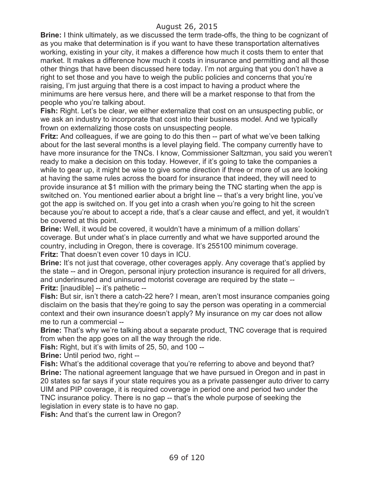**Brine:** I think ultimately, as we discussed the term trade-offs, the thing to be cognizant of as you make that determination is if you want to have these transportation alternatives working, existing in your city, it makes a difference how much it costs them to enter that market. It makes a difference how much it costs in insurance and permitting and all those other things that have been discussed here today. I'm not arguing that you don't have a right to set those and you have to weigh the public policies and concerns that you're raising, I'm just arguing that there is a cost impact to having a product where the minimums are here versus here, and there will be a market response to that from the people who you're talking about.

**Fish:** Right. Let's be clear, we either externalize that cost on an unsuspecting public, or we ask an industry to incorporate that cost into their business model. And we typically frown on externalizing those costs on unsuspecting people.

**Fritz:** And colleagues, if we are going to do this then -- part of what we've been talking about for the last several months is a level playing field. The company currently have to have more insurance for the TNCs. I know, Commissioner Saltzman, you said you weren't ready to make a decision on this today. However, if it's going to take the companies a while to gear up, it might be wise to give some direction if three or more of us are looking at having the same rules across the board for insurance that indeed, they will need to provide insurance at \$1 million with the primary being the TNC starting when the app is switched on. You mentioned earlier about a bright line -- that's a very bright line, you've got the app is switched on. If you get into a crash when you're going to hit the screen because you're about to accept a ride, that's a clear cause and effect, and yet, it wouldn't be covered at this point.

**Brine:** Well, it would be covered, it wouldn't have a minimum of a million dollars' coverage. But under what's in place currently and what we have supported around the country, including in Oregon, there is coverage. It's 255100 minimum coverage. **Fritz:** That doesn't even cover 10 days in ICU.

**Brine:** It's not just that coverage, other coverages apply. Any coverage that's applied by the state -- and in Oregon, personal injury protection insurance is required for all drivers, and underinsured and uninsured motorist coverage are required by the state -- **Fritz:** [inaudible] -- it's pathetic --

**Fish:** But sir, isn't there a catch-22 here? I mean, aren't most insurance companies going disclaim on the basis that they're going to say the person was operating in a commercial context and their own insurance doesn't apply? My insurance on my car does not allow me to run a commercial --

**Brine:** That's why we're talking about a separate product, TNC coverage that is required from when the app goes on all the way through the ride.

**Fish:** Right, but it's with limits of 25, 50, and 100 --

**Brine: Until period two, right --**

**Fish:** What's the additional coverage that you're referring to above and beyond that? **Brine:** The national agreement language that we have pursued in Oregon and in past in 20 states so far says if your state requires you as a private passenger auto driver to carry UIM and PIP coverage, it is required coverage in period one and period two under the TNC insurance policy. There is no gap -- that's the whole purpose of seeking the legislation in every state is to have no gap.

**Fish:** And that's the current law in Oregon?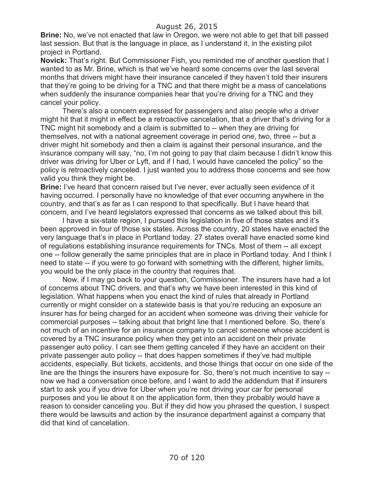**Brine:** No, we've not enacted that law in Oregon, we were not able to get that bill passed last session. But that is the language in place, as I understand it, in the existing pilot project in Portland.

**Novick:** That's right. But Commissioner Fish, you reminded me of another question that I wanted to as Mr. Brine, which is that we've heard some concerns over the last several months that drivers might have their insurance canceled if they haven't told their insurers that they're going to be driving for a TNC and that there might be a mass of cancelations when suddenly the insurance companies hear that you're driving for a TNC and they cancel your policy.

There's also a concern expressed for passengers and also people who a driver might hit that it might in effect be a retroactive cancelation, that a driver that's driving for a TNC might hit somebody and a claim is submitted to -- when they are driving for themselves, not with a national agreement coverage in period one, two, three -- but a driver might hit somebody and then a claim is against their personal insurance, and the insurance company will say, "no, I'm not going to pay that claim because I didn't know this driver was driving for Uber or Lyft, and if I had, I would have canceled the policy" so the policy is retroactively canceled. I just wanted you to address those concerns and see how valid you think they might be.

**Brine:** I've heard that concern raised but I've never, ever actually seen evidence of it having occurred. I personally have no knowledge of that ever occurring anywhere in the country, and that's as far as I can respond to that specifically. But I have heard that concern, and I've heard legislators expressed that concerns as we talked about this bill.

I have a six-state region, I pursued this legislation in five of those states and it's been approved in four of those six states. Across the country, 20 states have enacted the very language that's in place in Portland today. 27 states overall have enacted some kind of regulations establishing insurance requirements for TNCs. Most of them -- all except one -- follow generally the same principles that are in place in Portland today. And I think I need to state -- if you were to go forward with something with the different, higher limits, you would be the only place in the country that requires that.

Now, if I may go back to your question, Commissioner. The insurers have had a lot of concerns about TNC drivers, and that's why we have been interested in this kind of legislation. What happens when you enact the kind of rules that already in Portland currently or might consider on a statewide basis is that you're reducing an exposure an insurer has for being charged for an accident when someone was driving their vehicle for commercial purposes -- talking about that bright line that I mentioned before. So, there's not much of an incentive for an insurance company to cancel someone whose accident is covered by a TNC insurance policy when they get into an accident on their private passenger auto policy. I can see them getting canceled if they have an accident on their private passenger auto policy -- that does happen sometimes if they've had multiple accidents, especially. But tickets, accidents, and those things that occur on one side of the line are the things the insurers have exposure for. So, there's not much incentive to say - now we had a conversation once before, and I want to add the addendum that if insurers start to ask you if you drive for Uber when you're not driving your car for personal purposes and you lie about it on the application form, then they probably would have a reason to consider canceling you. But if they did how you phrased the question, I suspect there would be lawsuits and action by the insurance department against a company that did that kind of cancelation.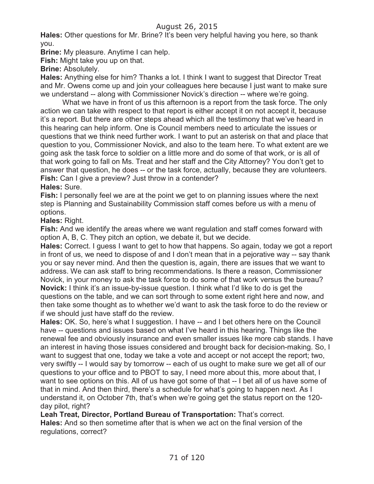**Hales:** Other questions for Mr. Brine? It's been very helpful having you here, so thank you.

**Brine:** My pleasure. Anytime I can help.

**Fish:** Might take you up on that.

**Brine:** Absolutely.

**Hales:** Anything else for him? Thanks a lot. I think I want to suggest that Director Treat and Mr. Owens come up and join your colleagues here because I just want to make sure we understand -- along with Commissioner Novick's direction -- where we're going.

What we have in front of us this afternoon is a report from the task force. The only action we can take with respect to that report is either accept it on not accept it, because it's a report. But there are other steps ahead which all the testimony that we've heard in this hearing can help inform. One is Council members need to articulate the issues or questions that we think need further work. I want to put an asterisk on that and place that question to you, Commissioner Novick, and also to the team here. To what extent are we going ask the task force to soldier on a little more and do some of that work, or is all of that work going to fall on Ms. Treat and her staff and the City Attorney? You don't get to answer that question, he does -- or the task force, actually, because they are volunteers. **Fish:** Can I give a preview? Just throw in a contender?

#### **Hales:** Sure.

**Fish:** I personally feel we are at the point we get to on planning issues where the next step is Planning and Sustainability Commission staff comes before us with a menu of options.

#### **Hales:** Right.

**Fish:** And we identify the areas where we want regulation and staff comes forward with option A, B, C. They pitch an option, we debate it, but we decide.

**Hales:** Correct. I guess I want to get to how that happens. So again, today we got a report in front of us, we need to dispose of and I don't mean that in a pejorative way -- say thank you or say never mind. And then the question is, again, there are issues that we want to address. We can ask staff to bring recommendations. Is there a reason, Commissioner Novick, in your money to ask the task force to do some of that work versus the bureau? **Novick:** I think it's an issue-by-issue question. I think what I'd like to do is get the questions on the table, and we can sort through to some extent right here and now, and then take some thought as to whether we'd want to ask the task force to do the review or if we should just have staff do the review.

**Hales:** OK. So, here's what I suggestion. I have -- and I bet others here on the Council have -- questions and issues based on what I've heard in this hearing. Things like the renewal fee and obviously insurance and even smaller issues like more cab stands. I have an interest in having those issues considered and brought back for decision-making. So, I want to suggest that one, today we take a vote and accept or not accept the report; two, very swiftly -- I would say by tomorrow -- each of us ought to make sure we get all of our questions to your office and to PBOT to say, I need more about this, more about that, I want to see options on this. All of us have got some of that -- I bet all of us have some of that in mind. And then third, there's a schedule for what's going to happen next. As I understand it, on October 7th, that's when we're going get the status report on the 120 day pilot, right?

**Leah Treat, Director, Portland Bureau of Transportation:** That's correct. **Hales:** And so then sometime after that is when we act on the final version of the regulations, correct?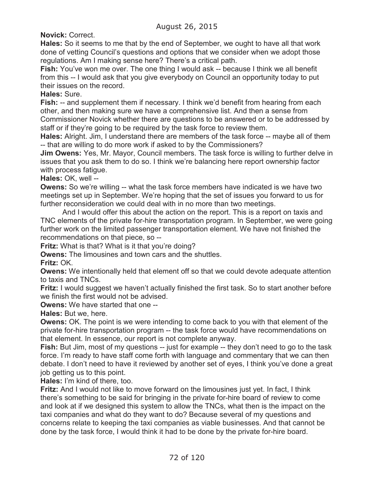**Novick:** Correct.

**Hales:** So it seems to me that by the end of September, we ought to have all that work done of vetting Council's questions and options that we consider when we adopt those regulations. Am I making sense here? There's a critical path.

**Fish:** You've won me over. The one thing I would ask -- because I think we all benefit from this -- I would ask that you give everybody on Council an opportunity today to put their issues on the record.

**Hales:** Sure.

**Fish:** -- and supplement them if necessary. I think we'd benefit from hearing from each other, and then making sure we have a comprehensive list. And then a sense from Commissioner Novick whether there are questions to be answered or to be addressed by staff or if they're going to be required by the task force to review them.

**Hales:** Alright. Jim, I understand there are members of the task force -- maybe all of them -- that are willing to do more work if asked to by the Commissioners?

**Jim Owens:** Yes, Mr. Mayor, Council members. The task force is willing to further delve in issues that you ask them to do so. I think we're balancing here report ownership factor with process fatigue.

**Hales:** OK, well --

**Owens:** So we're willing -- what the task force members have indicated is we have two meetings set up in September. We're hoping that the set of issues you forward to us for further reconsideration we could deal with in no more than two meetings.

And I would offer this about the action on the report. This is a report on taxis and TNC elements of the private for-hire transportation program. In September, we were going further work on the limited passenger transportation element. We have not finished the recommendations on that piece, so --

**Fritz:** What is that? What is it that you're doing?

**Owens:** The limousines and town cars and the shuttles.

**Fritz:** OK.

**Owens:** We intentionally held that element off so that we could devote adequate attention to taxis and TNCs.

**Fritz:** I would suggest we haven't actually finished the first task. So to start another before we finish the first would not be advised.

**Owens:** We have started that one --

**Hales:** But we, here.

**Owens:** OK. The point is we were intending to come back to you with that element of the private for-hire transportation program -- the task force would have recommendations on that element. In essence, our report is not complete anyway.

**Fish:** But Jim, most of my questions -- just for example -- they don't need to go to the task force. I'm ready to have staff come forth with language and commentary that we can then debate. I don't need to have it reviewed by another set of eyes, I think you've done a great job getting us to this point.

**Hales:** I'm kind of there, too.

**Fritz:** And I would not like to move forward on the limousines just yet. In fact, I think there's something to be said for bringing in the private for-hire board of review to come and look at if we designed this system to allow the TNCs, what then is the impact on the taxi companies and what do they want to do? Because several of my questions and concerns relate to keeping the taxi companies as viable businesses. And that cannot be done by the task force, I would think it had to be done by the private for-hire board.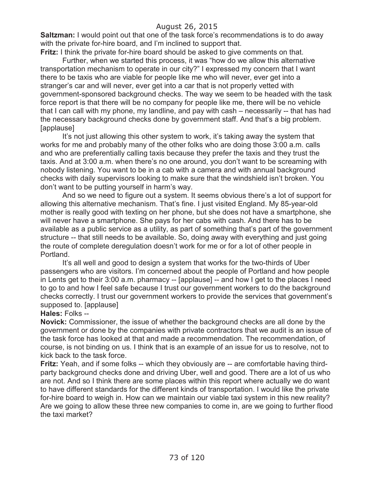**Saltzman:** I would point out that one of the task force's recommendations is to do away with the private for-hire board, and I'm inclined to support that.

**Fritz:** I think the private for-hire board should be asked to give comments on that.

Further, when we started this process, it was "how do we allow this alternative transportation mechanism to operate in our city?" I expressed my concern that I want there to be taxis who are viable for people like me who will never, ever get into a stranger's car and will never, ever get into a car that is not properly vetted with government-sponsored background checks. The way we seem to be headed with the task force report is that there will be no company for people like me, there will be no vehicle that I can call with my phone, my landline, and pay with cash – necessarily -- that has had the necessary background checks done by government staff. And that's a big problem. [applause]

It's not just allowing this other system to work, it's taking away the system that works for me and probably many of the other folks who are doing those 3:00 a.m. calls and who are preferentially calling taxis because they prefer the taxis and they trust the taxis. And at 3:00 a.m. when there's no one around, you don't want to be screaming with nobody listening. You want to be in a cab with a camera and with annual background checks with daily supervisors looking to make sure that the windshield isn't broken. You don't want to be putting yourself in harm's way.

And so we need to figure out a system. It seems obvious there's a lot of support for allowing this alternative mechanism. That's fine. I just visited England. My 85-year-old mother is really good with texting on her phone, but she does not have a smartphone, she will never have a smartphone. She pays for her cabs with cash. And there has to be available as a public service as a utility, as part of something that's part of the government structure -- that still needs to be available. So, doing away with everything and just going the route of complete deregulation doesn't work for me or for a lot of other people in Portland.

It's all well and good to design a system that works for the two-thirds of Uber passengers who are visitors. I'm concerned about the people of Portland and how people in Lents get to their 3:00 a.m. pharmacy -- [applause] -- and how I get to the places I need to go to and how I feel safe because I trust our government workers to do the background checks correctly. I trust our government workers to provide the services that government's supposed to. [applause]

#### **Hales:** Folks --

**Novick:** Commissioner, the issue of whether the background checks are all done by the government or done by the companies with private contractors that we audit is an issue of the task force has looked at that and made a recommendation. The recommendation, of course, is not binding on us. I think that is an example of an issue for us to resolve, not to kick back to the task force.

**Fritz:** Yeah, and if some folks -- which they obviously are -- are comfortable having thirdparty background checks done and driving Uber, well and good. There are a lot of us who are not. And so I think there are some places within this report where actually we do want to have different standards for the different kinds of transportation. I would like the private for-hire board to weigh in. How can we maintain our viable taxi system in this new reality? Are we going to allow these three new companies to come in, are we going to further flood the taxi market?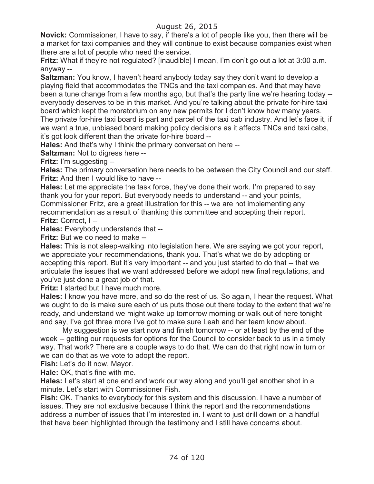**Novick:** Commissioner, I have to say, if there's a lot of people like you, then there will be a market for taxi companies and they will continue to exist because companies exist when there are a lot of people who need the service.

**Fritz:** What if they're not regulated? [inaudible] I mean, I'm don't go out a lot at 3:00 a.m. anyway --

**Saltzman:** You know, I haven't heard anybody today say they don't want to develop a playing field that accommodates the TNCs and the taxi companies. And that may have been a tune change from a few months ago, but that's the party line we're hearing today - everybody deserves to be in this market. And you're talking about the private for-hire taxi board which kept the moratorium on any new permits for I don't know how many years. The private for-hire taxi board is part and parcel of the taxi cab industry. And let's face it, if we want a true, unbiased board making policy decisions as it affects TNCs and taxi cabs, it's got look different than the private for-hire board --

**Hales:** And that's why I think the primary conversation here --

**Saltzman:** Not to digress here --

**Fritz:** I'm suggesting --

**Hales:** The primary conversation here needs to be between the City Council and our staff. **Fritz:** And then I would like to have --

**Hales:** Let me appreciate the task force, they've done their work. I'm prepared to say thank you for your report. But everybody needs to understand -- and your points, Commissioner Fritz, are a great illustration for this -- we are not implementing any recommendation as a result of thanking this committee and accepting their report. **Fritz:** Correct, I --

**Hales:** Everybody understands that --

**Fritz:** But we do need to make --

**Hales:** This is not sleep-walking into legislation here. We are saying we got your report, we appreciate your recommendations, thank you. That's what we do by adopting or accepting this report. But it's very important -- and you just started to do that -- that we articulate the issues that we want addressed before we adopt new final regulations, and you've just done a great job of that.

**Fritz:** I started but I have much more.

**Hales:** I know you have more, and so do the rest of us. So again, I hear the request. What we ought to do is make sure each of us puts those out there today to the extent that we're ready, and understand we might wake up tomorrow morning or walk out of here tonight and say, I've got three more I've got to make sure Leah and her team know about.

My suggestion is we start now and finish tomorrow -- or at least by the end of the week -- getting our requests for options for the Council to consider back to us in a timely way. That work? There are a couple ways to do that. We can do that right now in turn or we can do that as we vote to adopt the report.

**Fish:** Let's do it now, Mayor.

**Hale:** OK, that's fine with me.

**Hales:** Let's start at one end and work our way along and you'll get another shot in a minute. Let's start with Commissioner Fish.

**Fish:** OK. Thanks to everybody for this system and this discussion. I have a number of issues. They are not exclusive because I think the report and the recommendations address a number of issues that I'm interested in. I want to just drill down on a handful that have been highlighted through the testimony and I still have concerns about.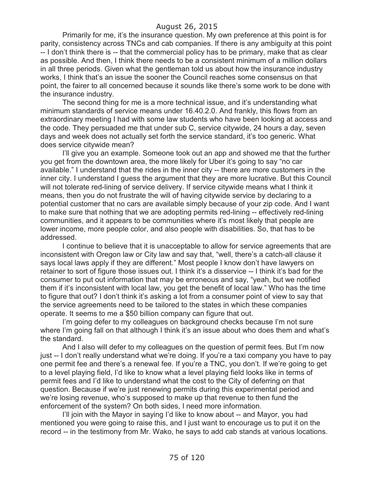Primarily for me, it's the insurance question. My own preference at this point is for parity, consistency across TNCs and cab companies. If there is any ambiguity at this point -- I don't think there is -- that the commercial policy has to be primary, make that as clear as possible. And then, I think there needs to be a consistent minimum of a million dollars in all three periods. Given what the gentleman told us about how the insurance industry works, I think that's an issue the sooner the Council reaches some consensus on that point, the fairer to all concerned because it sounds like there's some work to be done with the insurance industry.

The second thing for me is a more technical issue, and it's understanding what minimum standards of service means under 16.40.2.0. And frankly, this flows from an extraordinary meeting I had with some law students who have been looking at access and the code. They persuaded me that under sub C, service citywide, 24 hours a day, seven days and week does not actually set forth the service standard, it's too generic. What does service citywide mean?

I'll give you an example. Someone took out an app and showed me that the further you get from the downtown area, the more likely for Uber it's going to say "no car available." I understand that the rides in the inner city -- there are more customers in the inner city. I understand I guess the argument that they are more lucrative. But this Council will not tolerate red-lining of service delivery. If service citywide means what I think it means, then you do not frustrate the will of having citywide service by declaring to a potential customer that no cars are available simply because of your zip code. And I want to make sure that nothing that we are adopting permits red-lining -- effectively red-lining communities, and it appears to be communities where it's most likely that people are lower income, more people color, and also people with disabilities. So, that has to be addressed.

I continue to believe that it is unacceptable to allow for service agreements that are inconsistent with Oregon law or City law and say that, "well, there's a catch-all clause it says local laws apply if they are different." Most people I know don't have lawyers on retainer to sort of figure those issues out. I think it's a disservice -- I think it's bad for the consumer to put out information that may be erroneous and say, "yeah, but we notified them if it's inconsistent with local law, you get the benefit of local law." Who has the time to figure that out? I don't think it's asking a lot from a consumer point of view to say that the service agreements need to be tailored to the states in which these companies operate. It seems to me a \$50 billion company can figure that out.

I'm going defer to my colleagues on background checks because I'm not sure where I'm going fall on that although I think it's an issue about who does them and what's the standard.

And I also will defer to my colleagues on the question of permit fees. But I'm now just -- I don't really understand what we're doing. If you're a taxi company you have to pay one permit fee and there's a renewal fee. If you're a TNC, you don't. If we're going to get to a level playing field, I'd like to know what a level playing field looks like in terms of permit fees and I'd like to understand what the cost to the City of deferring on that question. Because if we're just renewing permits during this experimental period and we're losing revenue, who's supposed to make up that revenue to then fund the enforcement of the system? On both sides, I need more information.

I'll join with the Mayor in saying I'd like to know about -- and Mayor, you had mentioned you were going to raise this, and I just want to encourage us to put it on the record -- in the testimony from Mr. Wako, he says to add cab stands at various locations.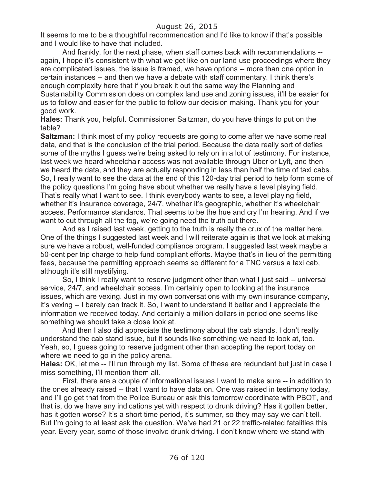It seems to me to be a thoughtful recommendation and I'd like to know if that's possible and I would like to have that included.

And frankly, for the next phase, when staff comes back with recommendations - again, I hope it's consistent with what we get like on our land use proceedings where they are complicated issues, the issue is framed, we have options -- more than one option in certain instances -- and then we have a debate with staff commentary. I think there's enough complexity here that if you break it out the same way the Planning and Sustainability Commission does on complex land use and zoning issues, it'll be easier for us to follow and easier for the public to follow our decision making. Thank you for your good work.

**Hales:** Thank you, helpful. Commissioner Saltzman, do you have things to put on the table?

**Saltzman:** I think most of my policy requests are going to come after we have some real data, and that is the conclusion of the trial period. Because the data really sort of defies some of the myths I guess we're being asked to rely on in a lot of testimony. For instance, last week we heard wheelchair access was not available through Uber or Lyft, and then we heard the data, and they are actually responding in less than half the time of taxi cabs. So, I really want to see the data at the end of this 120-day trial period to help form some of the policy questions I'm going have about whether we really have a level playing field. That's really what I want to see. I think everybody wants to see, a level playing field, whether it's insurance coverage, 24/7, whether it's geographic, whether it's wheelchair access. Performance standards. That seems to be the hue and cry I'm hearing. And if we want to cut through all the fog, we're going need the truth out there.

And as I raised last week, getting to the truth is really the crux of the matter here. One of the things I suggested last week and I will reiterate again is that we look at making sure we have a robust, well-funded compliance program. I suggested last week maybe a 50-cent per trip charge to help fund compliant efforts. Maybe that's in lieu of the permitting fees, because the permitting approach seems so different for a TNC versus a taxi cab, although it's still mystifying.

So, I think I really want to reserve judgment other than what I just said -- universal service, 24/7, and wheelchair access. I'm certainly open to looking at the insurance issues, which are vexing. Just in my own conversations with my own insurance company, it's vexing -- I barely can track it. So, I want to understand it better and I appreciate the information we received today. And certainly a million dollars in period one seems like something we should take a close look at.

And then I also did appreciate the testimony about the cab stands. I don't really understand the cab stand issue, but it sounds like something we need to look at, too. Yeah, so, I guess going to reserve judgment other than accepting the report today on where we need to go in the policy arena.

**Hales:** OK, let me -- I'll run through my list. Some of these are redundant but just in case I miss something, I'll mention them all.

First, there are a couple of informational issues I want to make sure -- in addition to the ones already raised -- that I want to have data on. One was raised in testimony today, and I'll go get that from the Police Bureau or ask this tomorrow coordinate with PBOT, and that is, do we have any indications yet with respect to drunk driving? Has it gotten better, has it gotten worse? It's a short time period, it's summer, so they may say we can't tell. But I'm going to at least ask the question. We've had 21 or 22 traffic-related fatalities this year. Every year, some of those involve drunk driving. I don't know where we stand with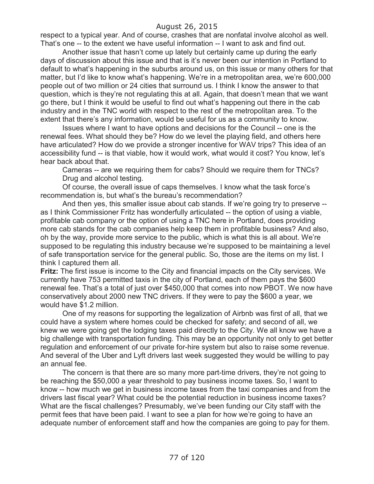respect to a typical year. And of course, crashes that are nonfatal involve alcohol as well. That's one -- to the extent we have useful information -- I want to ask and find out.

Another issue that hasn't come up lately but certainly came up during the early days of discussion about this issue and that is it's never been our intention in Portland to default to what's happening in the suburbs around us, on this issue or many others for that matter, but I'd like to know what's happening. We're in a metropolitan area, we're 600,000 people out of two million or 24 cities that surround us. I think I know the answer to that question, which is they're not regulating this at all. Again, that doesn't mean that we want go there, but I think it would be useful to find out what's happening out there in the cab industry and in the TNC world with respect to the rest of the metropolitan area. To the extent that there's any information, would be useful for us as a community to know.

Issues where I want to have options and decisions for the Council -- one is the renewal fees. What should they be? How do we level the playing field, and others here have articulated? How do we provide a stronger incentive for WAV trips? This idea of an accessibility fund -- is that viable, how it would work, what would it cost? You know, let's hear back about that.

Cameras -- are we requiring them for cabs? Should we require them for TNCs? Drug and alcohol testing.

Of course, the overall issue of caps themselves. I know what the task force's recommendation is, but what's the bureau's recommendation?

And then yes, this smaller issue about cab stands. If we're going try to preserve - as I think Commissioner Fritz has wonderfully articulated -- the option of using a viable, profitable cab company or the option of using a TNC here in Portland, does providing more cab stands for the cab companies help keep them in profitable business? And also, oh by the way, provide more service to the public, which is what this is all about. We're supposed to be regulating this industry because we're supposed to be maintaining a level of safe transportation service for the general public. So, those are the items on my list. I think I captured them all.

**Fritz:** The first issue is income to the City and financial impacts on the City services. We currently have 753 permitted taxis in the city of Portland, each of them pays the \$600 renewal fee. That's a total of just over \$450,000 that comes into now PBOT. We now have conservatively about 2000 new TNC drivers. If they were to pay the \$600 a year, we would have \$1.2 million.

One of my reasons for supporting the legalization of Airbnb was first of all, that we could have a system where homes could be checked for safety; and second of all, we knew we were going get the lodging taxes paid directly to the City. We all know we have a big challenge with transportation funding. This may be an opportunity not only to get better regulation and enforcement of our private for-hire system but also to raise some revenue. And several of the Uber and Lyft drivers last week suggested they would be willing to pay an annual fee.

The concern is that there are so many more part-time drivers, they're not going to be reaching the \$50,000 a year threshold to pay business income taxes. So, I want to know -- how much we get in business income taxes from the taxi companies and from the drivers last fiscal year? What could be the potential reduction in business income taxes? What are the fiscal challenges? Presumably, we've been funding our City staff with the permit fees that have been paid. I want to see a plan for how we're going to have an adequate number of enforcement staff and how the companies are going to pay for them.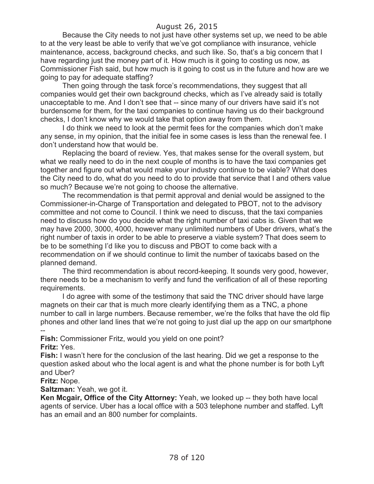Because the City needs to not just have other systems set up, we need to be able to at the very least be able to verify that we've got compliance with insurance, vehicle maintenance, access, background checks, and such like. So, that's a big concern that I have regarding just the money part of it. How much is it going to costing us now, as Commissioner Fish said, but how much is it going to cost us in the future and how are we going to pay for adequate staffing?

Then going through the task force's recommendations, they suggest that all companies would get their own background checks, which as I've already said is totally unacceptable to me. And I don't see that -- since many of our drivers have said it's not burdensome for them, for the taxi companies to continue having us do their background checks, I don't know why we would take that option away from them.

I do think we need to look at the permit fees for the companies which don't make any sense, in my opinion, that the initial fee in some cases is less than the renewal fee. I don't understand how that would be.

Replacing the board of review. Yes, that makes sense for the overall system, but what we really need to do in the next couple of months is to have the taxi companies get together and figure out what would make your industry continue to be viable? What does the City need to do, what do you need to do to provide that service that I and others value so much? Because we're not going to choose the alternative.

The recommendation is that permit approval and denial would be assigned to the Commissioner-in-Charge of Transportation and delegated to PBOT, not to the advisory committee and not come to Council. I think we need to discuss, that the taxi companies need to discuss how do you decide what the right number of taxi cabs is. Given that we may have 2000, 3000, 4000, however many unlimited numbers of Uber drivers, what's the right number of taxis in order to be able to preserve a viable system? That does seem to be to be something I'd like you to discuss and PBOT to come back with a recommendation on if we should continue to limit the number of taxicabs based on the planned demand.

The third recommendation is about record-keeping. It sounds very good, however, there needs to be a mechanism to verify and fund the verification of all of these reporting requirements.

I do agree with some of the testimony that said the TNC driver should have large magnets on their car that is much more clearly identifying them as a TNC, a phone number to call in large numbers. Because remember, we're the folks that have the old flip phones and other land lines that we're not going to just dial up the app on our smartphone --

**Fish:** Commissioner Fritz, would you yield on one point?

**Fritz:** Yes.

**Fish:** I wasn't here for the conclusion of the last hearing. Did we get a response to the question asked about who the local agent is and what the phone number is for both Lyft and Uber?

**Fritz:** Nope.

**Saltzman:** Yeah, we got it.

**Ken Mcgair, Office of the City Attorney:** Yeah, we looked up -- they both have local agents of service. Uber has a local office with a 503 telephone number and staffed. Lyft has an email and an 800 number for complaints.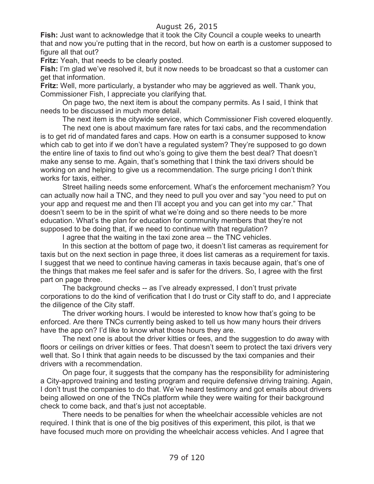**Fish:** Just want to acknowledge that it took the City Council a couple weeks to unearth that and now you're putting that in the record, but how on earth is a customer supposed to figure all that out?

**Fritz:** Yeah, that needs to be clearly posted.

**Fish:** I'm glad we've resolved it, but it now needs to be broadcast so that a customer can get that information.

**Fritz:** Well, more particularly, a bystander who may be aggrieved as well. Thank you, Commissioner Fish, I appreciate you clarifying that.

On page two, the next item is about the company permits. As I said, I think that needs to be discussed in much more detail.

The next item is the citywide service, which Commissioner Fish covered eloquently.

The next one is about maximum fare rates for taxi cabs, and the recommendation is to get rid of mandated fares and caps. How on earth is a consumer supposed to know which cab to get into if we don't have a regulated system? They're supposed to go down the entire line of taxis to find out who's going to give them the best deal? That doesn't make any sense to me. Again, that's something that I think the taxi drivers should be working on and helping to give us a recommendation. The surge pricing I don't think works for taxis, either.

Street hailing needs some enforcement. What's the enforcement mechanism? You can actually now hail a TNC, and they need to pull you over and say "you need to put on your app and request me and then I'll accept you and you can get into my car." That doesn't seem to be in the spirit of what we're doing and so there needs to be more education. What's the plan for education for community members that they're not supposed to be doing that, if we need to continue with that regulation?

I agree that the waiting in the taxi zone area -- the TNC vehicles.

In this section at the bottom of page two, it doesn't list cameras as requirement for taxis but on the next section in page three, it does list cameras as a requirement for taxis. I suggest that we need to continue having cameras in taxis because again, that's one of the things that makes me feel safer and is safer for the drivers. So, I agree with the first part on page three.

The background checks -- as I've already expressed, I don't trust private corporations to do the kind of verification that I do trust or City staff to do, and I appreciate the diligence of the City staff.

The driver working hours. I would be interested to know how that's going to be enforced. Are there TNCs currently being asked to tell us how many hours their drivers have the app on? I'd like to know what those hours they are.

The next one is about the driver kitties or fees, and the suggestion to do away with floors or ceilings on driver kitties or fees. That doesn't seem to protect the taxi drivers very well that. So I think that again needs to be discussed by the taxi companies and their drivers with a recommendation.

On page four, it suggests that the company has the responsibility for administering a City-approved training and testing program and require defensive driving training. Again, I don't trust the companies to do that. We've heard testimony and got emails about drivers being allowed on one of the TNCs platform while they were waiting for their background check to come back, and that's just not acceptable.

There needs to be penalties for when the wheelchair accessible vehicles are not required. I think that is one of the big positives of this experiment, this pilot, is that we have focused much more on providing the wheelchair access vehicles. And I agree that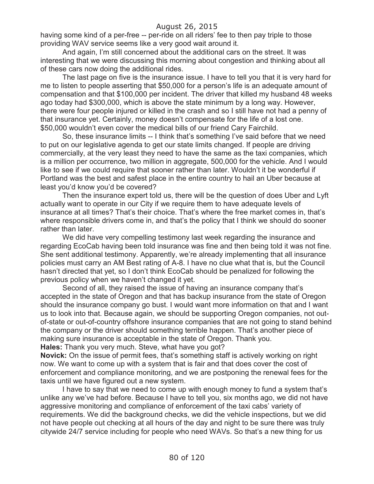having some kind of a per-free -- per-ride on all riders' fee to then pay triple to those providing WAV service seems like a very good wait around it.

And again, I'm still concerned about the additional cars on the street. It was interesting that we were discussing this morning about congestion and thinking about all of these cars now doing the additional rides.

The last page on five is the insurance issue. I have to tell you that it is very hard for me to listen to people asserting that \$50,000 for a person's life is an adequate amount of compensation and that \$100,000 per incident. The driver that killed my husband 48 weeks ago today had \$300,000, which is above the state minimum by a long way. However, there were four people injured or killed in the crash and so I still have not had a penny of that insurance yet. Certainly, money doesn't compensate for the life of a lost one. \$50,000 wouldn't even cover the medical bills of our friend Cary Fairchild.

So, these insurance limits -- I think that's something I've said before that we need to put on our legislative agenda to get our state limits changed. If people are driving commercially, at the very least they need to have the same as the taxi companies, which is a million per occurrence, two million in aggregate, 500,000 for the vehicle. And I would like to see if we could require that sooner rather than later. Wouldn't it be wonderful if Portland was the best and safest place in the entire country to hail an Uber because at least you'd know you'd be covered?

Then the insurance expert told us, there will be the question of does Uber and Lyft actually want to operate in our City if we require them to have adequate levels of insurance at all times? That's their choice. That's where the free market comes in, that's where responsible drivers come in, and that's the policy that I think we should do sooner rather than later.

We did have very compelling testimony last week regarding the insurance and regarding EcoCab having been told insurance was fine and then being told it was not fine. She sent additional testimony. Apparently, we're already implementing that all insurance policies must carry an AM Best rating of A-8. I have no clue what that is, but the Council hasn't directed that yet, so I don't think EcoCab should be penalized for following the previous policy when we haven't changed it yet.

Second of all, they raised the issue of having an insurance company that's accepted in the state of Oregon and that has backup insurance from the state of Oregon should the insurance company go bust. I would want more information on that and I want us to look into that. Because again, we should be supporting Oregon companies, not outof-state or out-of-country offshore insurance companies that are not going to stand behind the company or the driver should something terrible happen. That's another piece of making sure insurance is acceptable in the state of Oregon. Thank you.

**Hales:** Thank you very much. Steve, what have you got?

**Novick:** On the issue of permit fees, that's something staff is actively working on right now. We want to come up with a system that is fair and that does cover the cost of enforcement and compliance monitoring, and we are postponing the renewal fees for the taxis until we have figured out a new system.

I have to say that we need to come up with enough money to fund a system that's unlike any we've had before. Because I have to tell you, six months ago, we did not have aggressive monitoring and compliance of enforcement of the taxi cabs' variety of requirements. We did the background checks, we did the vehicle inspections, but we did not have people out checking at all hours of the day and night to be sure there was truly citywide 24/7 service including for people who need WAVs. So that's a new thing for us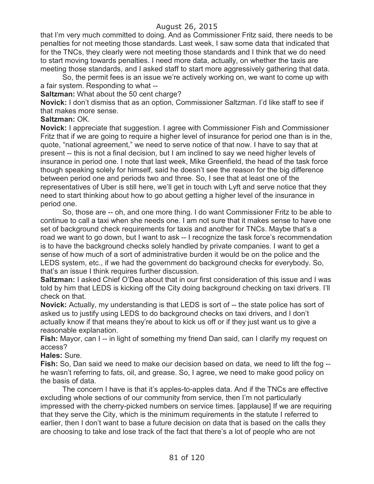that I'm very much committed to doing. And as Commissioner Fritz said, there needs to be penalties for not meeting those standards. Last week, I saw some data that indicated that for the TNCs, they clearly were not meeting those standards and I think that we do need to start moving towards penalties. I need more data, actually, on whether the taxis are meeting those standards, and I asked staff to start more aggressively gathering that data.

So, the permit fees is an issue we're actively working on, we want to come up with a fair system. Responding to what --

**Saltzman:** What about the 50 cent charge?

**Novick:** I don't dismiss that as an option, Commissioner Saltzman. I'd like staff to see if that makes more sense.

#### **Saltzman:** OK.

**Novick:** I appreciate that suggestion. I agree with Commissioner Fish and Commissioner Fritz that if we are going to require a higher level of insurance for period one than is in the, quote, "national agreement," we need to serve notice of that now. I have to say that at present -- this is not a final decision, but I am inclined to say we need higher levels of insurance in period one. I note that last week, Mike Greenfield, the head of the task force though speaking solely for himself, said he doesn't see the reason for the big difference between period one and periods two and three. So, I see that at least one of the representatives of Uber is still here, we'll get in touch with Lyft and serve notice that they need to start thinking about how to go about getting a higher level of the insurance in period one.

So, those are -- oh, and one more thing. I do want Commissioner Fritz to be able to continue to call a taxi when she needs one. I am not sure that it makes sense to have one set of background check requirements for taxis and another for TNCs. Maybe that's a road we want to go down, but I want to ask -- I recognize the task force's recommendation is to have the background checks solely handled by private companies. I want to get a sense of how much of a sort of administrative burden it would be on the police and the LEDS system, etc., if we had the government do background checks for everybody. So, that's an issue I think requires further discussion.

**Saltzman:** I asked Chief O'Dea about that in our first consideration of this issue and I was told by him that LEDS is kicking off the City doing background checking on taxi drivers. I'll check on that.

**Novick:** Actually, my understanding is that LEDS is sort of -- the state police has sort of asked us to justify using LEDS to do background checks on taxi drivers, and I don't actually know if that means they're about to kick us off or if they just want us to give a reasonable explanation.

**Fish:** Mayor, can I -- in light of something my friend Dan said, can I clarify my request on access?

**Hales:** Sure.

**Fish:** So, Dan said we need to make our decision based on data, we need to lift the fog - he wasn't referring to fats, oil, and grease. So, I agree, we need to make good policy on the basis of data.

The concern I have is that it's apples-to-apples data. And if the TNCs are effective excluding whole sections of our community from service, then I'm not particularly impressed with the cherry-picked numbers on service times. [applause] If we are requiring that they serve the City, which is the minimum requirements in the statute I referred to earlier, then I don't want to base a future decision on data that is based on the calls they are choosing to take and lose track of the fact that there's a lot of people who are not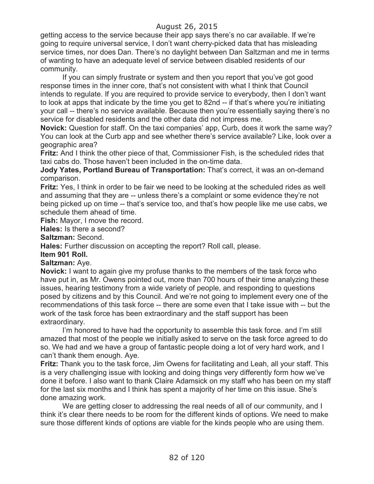getting access to the service because their app says there's no car available. If we're going to require universal service, I don't want cherry-picked data that has misleading service times, nor does Dan. There's no daylight between Dan Saltzman and me in terms of wanting to have an adequate level of service between disabled residents of our community.

If you can simply frustrate or system and then you report that you've got good response times in the inner core, that's not consistent with what I think that Council intends to regulate. If you are required to provide service to everybody, then I don't want to look at apps that indicate by the time you get to 82nd -- if that's where you're initiating your call -- there's no service available. Because then you're essentially saying there's no service for disabled residents and the other data did not impress me.

**Novick:** Question for staff. On the taxi companies' app, Curb, does it work the same way? You can look at the Curb app and see whether there's service available? Like, look over a geographic area?

**Fritz:** And I think the other piece of that, Commissioner Fish, is the scheduled rides that taxi cabs do. Those haven't been included in the on-time data.

**Jody Yates, Portland Bureau of Transportation:** That's correct, it was an on-demand comparison.

**Fritz:** Yes, I think in order to be fair we need to be looking at the scheduled rides as well and assuming that they are -- unless there's a complaint or some evidence they're not being picked up on time -- that's service too, and that's how people like me use cabs, we schedule them ahead of time.

**Fish:** Mayor, I move the record.

**Hales:** Is there a second?

**Saltzman:** Second.

**Hales:** Further discussion on accepting the report? Roll call, please.

**Item 901 Roll.**

#### **Saltzman:** Aye.

**Novick:** I want to again give my profuse thanks to the members of the task force who have put in, as Mr. Owens pointed out, more than 700 hours of their time analyzing these issues, hearing testimony from a wide variety of people, and responding to questions posed by citizens and by this Council. And we're not going to implement every one of the recommendations of this task force -- there are some even that I take issue with -- but the work of the task force has been extraordinary and the staff support has been extraordinary.

I'm honored to have had the opportunity to assemble this task force, and I'm still amazed that most of the people we initially asked to serve on the task force agreed to do so. We had and we have a group of fantastic people doing a lot of very hard work, and I can't thank them enough. Aye.

**Fritz:** Thank you to the task force, Jim Owens for facilitating and Leah, all your staff. This is a very challenging issue with looking and doing things very differently form how we've done it before. I also want to thank Claire Adamsick on my staff who has been on my staff for the last six months and I think has spent a majority of her time on this issue. She's done amazing work.

We are getting closer to addressing the real needs of all of our community, and I think it's clear there needs to be room for the different kinds of options. We need to make sure those different kinds of options are viable for the kinds people who are using them.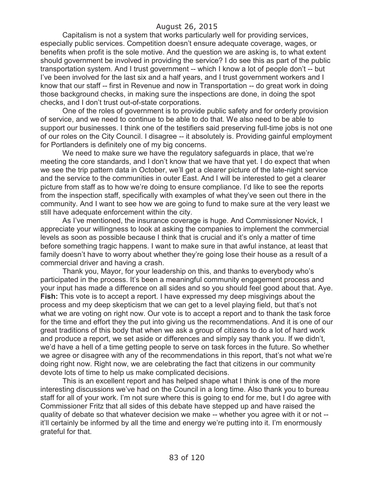Capitalism is not a system that works particularly well for providing services, especially public services. Competition doesn't ensure adequate coverage, wages, or benefits when profit is the sole motive. And the question we are asking is, to what extent should government be involved in providing the service? I do see this as part of the public transportation system. And I trust government -- which I know a lot of people don't -- but I've been involved for the last six and a half years, and I trust government workers and I know that our staff -- first in Revenue and now in Transportation -- do great work in doing those background checks, in making sure the inspections are done, in doing the spot checks, and I don't trust out-of-state corporations.

One of the roles of government is to provide public safety and for orderly provision of service, and we need to continue to be able to do that. We also need to be able to support our businesses. I think one of the testifiers said preserving full-time jobs is not one of our roles on the City Council. I disagree -- it absolutely is. Providing gainful employment for Portlanders is definitely one of my big concerns.

We need to make sure we have the regulatory safeguards in place, that we're meeting the core standards, and I don't know that we have that yet. I do expect that when we see the trip pattern data in October, we'll get a clearer picture of the late-night service and the service to the communities in outer East. And I will be interested to get a clearer picture from staff as to how we're doing to ensure compliance. I'd like to see the reports from the inspection staff, specifically with examples of what they've seen out there in the community. And I want to see how we are going to fund to make sure at the very least we still have adequate enforcement within the city.

As I've mentioned, the insurance coverage is huge. And Commissioner Novick, I appreciate your willingness to look at asking the companies to implement the commercial levels as soon as possible because I think that is crucial and it's only a matter of time before something tragic happens. I want to make sure in that awful instance, at least that family doesn't have to worry about whether they're going lose their house as a result of a commercial driver and having a crash.

Thank you, Mayor, for your leadership on this, and thanks to everybody who's participated in the process. It's been a meaningful community engagement process and your input has made a difference on all sides and so you should feel good about that. Aye. **Fish:** This vote is to accept a report. I have expressed my deep misgivings about the process and my deep skepticism that we can get to a level playing field, but that's not what we are voting on right now. Our vote is to accept a report and to thank the task force for the time and effort they the put into giving us the recommendations. And it is one of our great traditions of this body that when we ask a group of citizens to do a lot of hard work and produce a report, we set aside or differences and simply say thank you. If we didn't, we'd have a hell of a time getting people to serve on task forces in the future. So whether we agree or disagree with any of the recommendations in this report, that's not what we're doing right now. Right now, we are celebrating the fact that citizens in our community devote lots of time to help us make complicated decisions.

This is an excellent report and has helped shape what I think is one of the more interesting discussions we've had on the Council in a long time. Also thank you to bureau staff for all of your work. I'm not sure where this is going to end for me, but I do agree with Commissioner Fritz that all sides of this debate have stepped up and have raised the quality of debate so that whatever decision we make -- whether you agree with it or not - it'll certainly be informed by all the time and energy we're putting into it. I'm enormously grateful for that.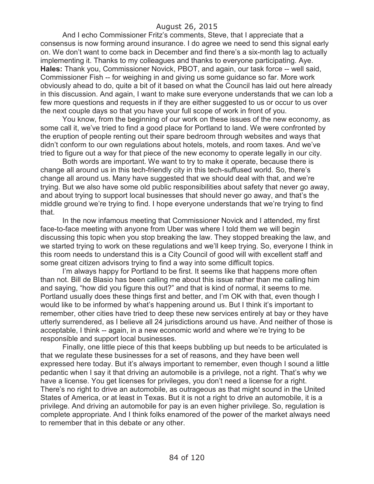And I echo Commissioner Fritz's comments, Steve, that I appreciate that a consensus is now forming around insurance. I do agree we need to send this signal early on. We don't want to come back in December and find there's a six-month lag to actually implementing it. Thanks to my colleagues and thanks to everyone participating. Aye. **Hales:** Thank you, Commissioner Novick, PBOT, and again, our task force -- well said, Commissioner Fish -- for weighing in and giving us some guidance so far. More work obviously ahead to do, quite a bit of it based on what the Council has laid out here already in this discussion. And again, I want to make sure everyone understands that we can lob a few more questions and requests in if they are either suggested to us or occur to us over the next couple days so that you have your full scope of work in front of you.

You know, from the beginning of our work on these issues of the new economy, as some call it, we've tried to find a good place for Portland to land. We were confronted by the eruption of people renting out their spare bedroom through websites and ways that didn't conform to our own regulations about hotels, motels, and room taxes. And we've tried to figure out a way for that piece of the new economy to operate legally in our city.

Both words are important. We want to try to make it operate, because there is change all around us in this tech-friendly city in this tech-suffused world. So, there's change all around us. Many have suggested that we should deal with that, and we're trying. But we also have some old public responsibilities about safety that never go away, and about trying to support local businesses that should never go away, and that's the middle ground we're trying to find. I hope everyone understands that we're trying to find that.

In the now infamous meeting that Commissioner Novick and I attended, my first face-to-face meeting with anyone from Uber was where I told them we will begin discussing this topic when you stop breaking the law. They stopped breaking the law, and we started trying to work on these regulations and we'll keep trying. So, everyone I think in this room needs to understand this is a City Council of good will with excellent staff and some great citizen advisors trying to find a way into some difficult topics.

I'm always happy for Portland to be first. It seems like that happens more often than not. Bill de Blasio has been calling me about this issue rather than me calling him and saying, "how did you figure this out?" and that is kind of normal, it seems to me. Portland usually does these things first and better, and I'm OK with that, even though I would like to be informed by what's happening around us. But I think it's important to remember, other cities have tried to deep these new services entirely at bay or they have utterly surrendered, as I believe all 24 jurisdictions around us have. And neither of those is acceptable, I think -- again, in a new economic world and where we're trying to be responsible and support local businesses.

Finally, one little piece of this that keeps bubbling up but needs to be articulated is that we regulate these businesses for a set of reasons, and they have been well expressed here today. But it's always important to remember, even though I sound a little pedantic when I say it that driving an automobile is a privilege, not a right. That's why we have a license. You get licenses for privileges, you don't need a license for a right. There's no right to drive an automobile, as outrageous as that might sound in the United States of America, or at least in Texas. But it is not a right to drive an automobile, it is a privilege. And driving an automobile for pay is an even higher privilege. So, regulation is complete appropriate. And I think folks enamored of the power of the market always need to remember that in this debate or any other.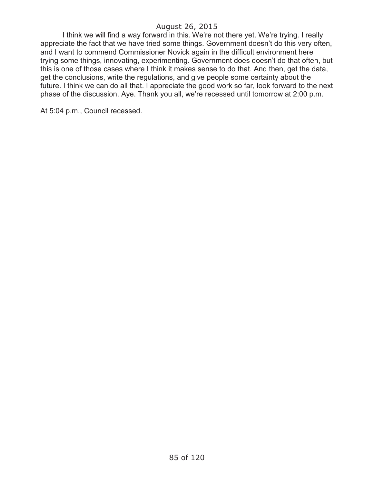I think we will find a way forward in this. We're not there yet. We're trying. I really appreciate the fact that we have tried some things. Government doesn't do this very often, and I want to commend Commissioner Novick again in the difficult environment here trying some things, innovating, experimenting. Government does doesn't do that often, but this is one of those cases where I think it makes sense to do that. And then, get the data, get the conclusions, write the regulations, and give people some certainty about the future. I think we can do all that. I appreciate the good work so far, look forward to the next phase of the discussion. Aye. Thank you all, we're recessed until tomorrow at 2:00 p.m.

At 5:04 p.m., Council recessed.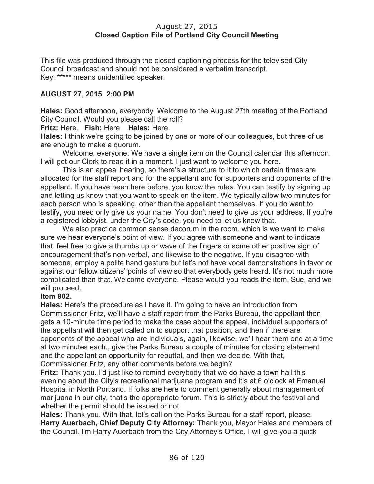#### August 27, 2015 **Closed Caption File of Portland City Council Meeting**

This file was produced through the closed captioning process for the televised City Council broadcast and should not be considered a verbatim transcript. Key: **\*\*\*\*\*** means unidentified speaker.

## **AUGUST 27, 2015 2:00 PM**

**Hales:** Good afternoon, everybody. Welcome to the August 27th meeting of the Portland City Council. Would you please call the roll?

**Fritz:** Here. **Fish:** Here. **Hales:** Here.

**Hales:** I think we're going to be joined by one or more of our colleagues, but three of us are enough to make a quorum.

Welcome, everyone. We have a single item on the Council calendar this afternoon. I will get our Clerk to read it in a moment. I just want to welcome you here.

This is an appeal hearing, so there's a structure to it to which certain times are allocated for the staff report and for the appellant and for supporters and opponents of the appellant. If you have been here before, you know the rules. You can testify by signing up and letting us know that you want to speak on the item. We typically allow two minutes for each person who is speaking, other than the appellant themselves. If you do want to testify, you need only give us your name. You don't need to give us your address. If you're a registered lobbyist, under the City's code, you need to let us know that.

We also practice common sense decorum in the room, which is we want to make sure we hear everyone's point of view. If you agree with someone and want to indicate that, feel free to give a thumbs up or wave of the fingers or some other positive sign of encouragement that's non-verbal, and likewise to the negative. If you disagree with someone, employ a polite hand gesture but let's not have vocal demonstrations in favor or against our fellow citizens' points of view so that everybody gets heard. It's not much more complicated than that. Welcome everyone. Please would you reads the item, Sue, and we will proceed.

#### **Item 902.**

**Hales:** Here's the procedure as I have it. I'm going to have an introduction from Commissioner Fritz, we'll have a staff report from the Parks Bureau, the appellant then gets a 10-minute time period to make the case about the appeal, individual supporters of the appellant will then get called on to support that position, and then if there are opponents of the appeal who are individuals, again, likewise, we'll hear them one at a time at two minutes each., give the Parks Bureau a couple of minutes for closing statement and the appellant an opportunity for rebuttal, and then we decide. With that,

Commissioner Fritz, any other comments before we begin?

**Fritz:** Thank you. I'd just like to remind everybody that we do have a town hall this evening about the City's recreational marijuana program and it's at 6 o'clock at Emanuel Hospital in North Portland. If folks are here to comment generally about management of marijuana in our city, that's the appropriate forum. This is strictly about the festival and whether the permit should be issued or not.

**Hales:** Thank you. With that, let's call on the Parks Bureau for a staff report, please. **Harry Auerbach, Chief Deputy City Attorney:** Thank you, Mayor Hales and members of the Council. I'm Harry Auerbach from the City Attorney's Office. I will give you a quick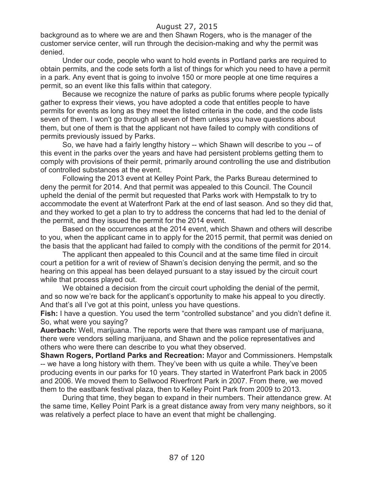background as to where we are and then Shawn Rogers, who is the manager of the customer service center, will run through the decision-making and why the permit was denied.

Under our code, people who want to hold events in Portland parks are required to obtain permits, and the code sets forth a list of things for which you need to have a permit in a park. Any event that is going to involve 150 or more people at one time requires a permit, so an event like this falls within that category.

Because we recognize the nature of parks as public forums where people typically gather to express their views, you have adopted a code that entitles people to have permits for events as long as they meet the listed criteria in the code, and the code lists seven of them. I won't go through all seven of them unless you have questions about them, but one of them is that the applicant not have failed to comply with conditions of permits previously issued by Parks.

So, we have had a fairly lengthy history -- which Shawn will describe to you -- of this event in the parks over the years and have had persistent problems getting them to comply with provisions of their permit, primarily around controlling the use and distribution of controlled substances at the event.

Following the 2013 event at Kelley Point Park, the Parks Bureau determined to deny the permit for 2014. And that permit was appealed to this Council. The Council upheld the denial of the permit but requested that Parks work with Hempstalk to try to accommodate the event at Waterfront Park at the end of last season. And so they did that, and they worked to get a plan to try to address the concerns that had led to the denial of the permit, and they issued the permit for the 2014 event.

Based on the occurrences at the 2014 event, which Shawn and others will describe to you, when the applicant came in to apply for the 2015 permit, that permit was denied on the basis that the applicant had failed to comply with the conditions of the permit for 2014.

The applicant then appealed to this Council and at the same time filed in circuit court a petition for a writ of review of Shawn's decision denying the permit, and so the hearing on this appeal has been delayed pursuant to a stay issued by the circuit court while that process played out.

We obtained a decision from the circuit court upholding the denial of the permit, and so now we're back for the applicant's opportunity to make his appeal to you directly. And that's all I've got at this point, unless you have questions.

**Fish:** I have a question. You used the term "controlled substance" and you didn't define it. So, what were you saying?

**Auerbach:** Well, marijuana. The reports were that there was rampant use of marijuana, there were vendors selling marijuana, and Shawn and the police representatives and others who were there can describe to you what they observed.

**Shawn Rogers, Portland Parks and Recreation:** Mayor and Commissioners. Hempstalk -- we have a long history with them. They've been with us quite a while. They've been producing events in our parks for 10 years. They started in Waterfront Park back in 2005 and 2006. We moved them to Sellwood Riverfront Park in 2007. From there, we moved them to the eastbank festival plaza, then to Kelley Point Park from 2009 to 2013.

During that time, they began to expand in their numbers. Their attendance grew. At the same time, Kelley Point Park is a great distance away from very many neighbors, so it was relatively a perfect place to have an event that might be challenging.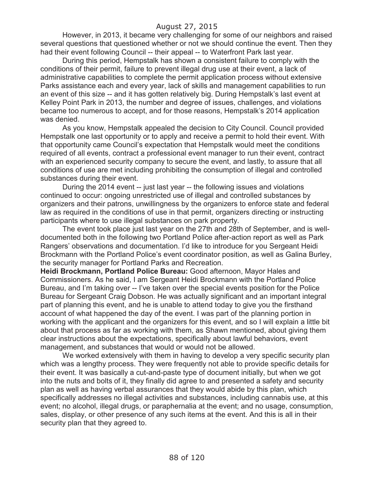However, in 2013, it became very challenging for some of our neighbors and raised several questions that questioned whether or not we should continue the event. Then they had their event following Council -- their appeal -- to Waterfront Park last year.

During this period, Hempstalk has shown a consistent failure to comply with the conditions of their permit, failure to prevent illegal drug use at their event, a lack of administrative capabilities to complete the permit application process without extensive Parks assistance each and every year, lack of skills and management capabilities to run an event of this size -- and it has gotten relatively big. During Hempstalk's last event at Kelley Point Park in 2013, the number and degree of issues, challenges, and violations became too numerous to accept, and for those reasons, Hempstalk's 2014 application was denied.

As you know, Hempstalk appealed the decision to City Council. Council provided Hempstalk one last opportunity or to apply and receive a permit to hold their event. With that opportunity came Council's expectation that Hempstalk would meet the conditions required of all events, contract a professional event manager to run their event, contract with an experienced security company to secure the event, and lastly, to assure that all conditions of use are met including prohibiting the consumption of illegal and controlled substances during their event.

During the 2014 event -- just last year -- the following issues and violations continued to occur: ongoing unrestricted use of illegal and controlled substances by organizers and their patrons, unwillingness by the organizers to enforce state and federal law as required in the conditions of use in that permit, organizers directing or instructing participants where to use illegal substances on park property.

The event took place just last year on the 27th and 28th of September, and is welldocumented both in the following two Portland Police after-action report as well as Park Rangers' observations and documentation. I'd like to introduce for you Sergeant Heidi Brockmann with the Portland Police's event coordinator position, as well as Galina Burley, the security manager for Portland Parks and Recreation.

**Heidi Brockmann, Portland Police Bureau:** Good afternoon, Mayor Hales and Commissioners. As he said, I am Sergeant Heidi Brockmann with the Portland Police Bureau, and I'm taking over -- I've taken over the special events position for the Police Bureau for Sergeant Craig Dobson. He was actually significant and an important integral part of planning this event, and he is unable to attend today to give you the firsthand account of what happened the day of the event. I was part of the planning portion in working with the applicant and the organizers for this event, and so I will explain a little bit about that process as far as working with them, as Shawn mentioned, about giving them clear instructions about the expectations, specifically about lawful behaviors, event management, and substances that would or would not be allowed.

We worked extensively with them in having to develop a very specific security plan which was a lengthy process. They were frequently not able to provide specific details for their event. It was basically a cut-and-paste type of document initially, but when we got into the nuts and bolts of it, they finally did agree to and presented a safety and security plan as well as having verbal assurances that they would abide by this plan, which specifically addresses no illegal activities and substances, including cannabis use, at this event; no alcohol, illegal drugs, or paraphernalia at the event; and no usage, consumption, sales, display, or other presence of any such items at the event. And this is all in their security plan that they agreed to.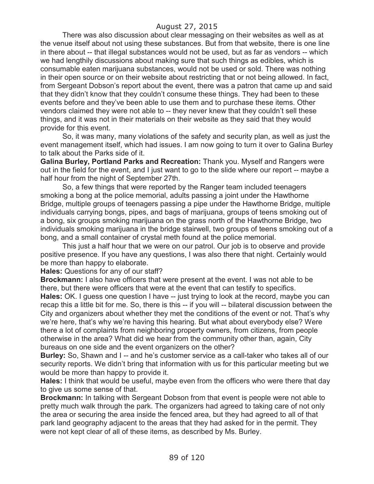There was also discussion about clear messaging on their websites as well as at the venue itself about not using these substances. But from that website, there is one line in there about -- that illegal substances would not be used, but as far as vendors -- which we had lengthily discussions about making sure that such things as edibles, which is consumable eaten marijuana substances, would not be used or sold. There was nothing in their open source or on their website about restricting that or not being allowed. In fact, from Sergeant Dobson's report about the event, there was a patron that came up and said that they didn't know that they couldn't consume these things. They had been to these events before and they've been able to use them and to purchase these items. Other vendors claimed they were not able to -- they never knew that they couldn't sell these things, and it was not in their materials on their website as they said that they would provide for this event.

So, it was many, many violations of the safety and security plan, as well as just the event management itself, which had issues. I am now going to turn it over to Galina Burley to talk about the Parks side of it.

**Galina Burley, Portland Parks and Recreation:** Thank you. Myself and Rangers were out in the field for the event, and I just want to go to the slide where our report -- maybe a half hour from the night of September 27th.

So, a few things that were reported by the Ranger team included teenagers smoking a bong at the police memorial, adults passing a joint under the Hawthorne Bridge, multiple groups of teenagers passing a pipe under the Hawthorne Bridge, multiple individuals carrying bongs, pipes, and bags of marijuana, groups of teens smoking out of a bong, six groups smoking marijuana on the grass north of the Hawthorne Bridge, two individuals smoking marijuana in the bridge stairwell, two groups of teens smoking out of a bong, and a small container of crystal meth found at the police memorial.

This just a half hour that we were on our patrol. Our job is to observe and provide positive presence. If you have any questions, I was also there that night. Certainly would be more than happy to elaborate.

**Hales:** Questions for any of our staff?

**Brockmann:** I also have officers that were present at the event. I was not able to be there, but there were officers that were at the event that can testify to specifics. **Hales:** OK. I guess one question I have -- just trying to look at the record, maybe you can recap this a little bit for me. So, there is this -- if you will -- bilateral discussion between the City and organizers about whether they met the conditions of the event or not. That's why we're here, that's why we're having this hearing. But what about everybody else? Were there a lot of complaints from neighboring property owners, from citizens, from people otherwise in the area? What did we hear from the community other than, again, City bureaus on one side and the event organizers on the other?

**Burley:** So, Shawn and I -- and he's customer service as a call-taker who takes all of our security reports. We didn't bring that information with us for this particular meeting but we would be more than happy to provide it.

**Hales:** I think that would be useful, maybe even from the officers who were there that day to give us some sense of that.

**Brockmann:** In talking with Sergeant Dobson from that event is people were not able to pretty much walk through the park. The organizers had agreed to taking care of not only the area or securing the area inside the fenced area, but they had agreed to all of that park land geography adjacent to the areas that they had asked for in the permit. They were not kept clear of all of these items, as described by Ms. Burley.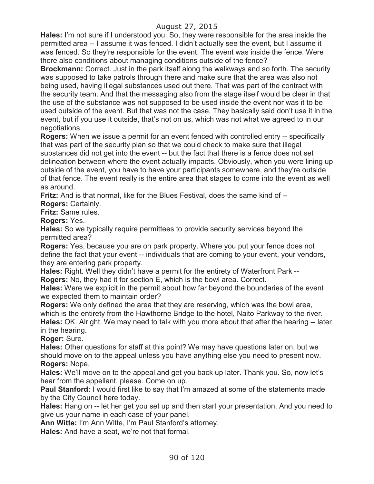**Hales:** I'm not sure if I understood you. So, they were responsible for the area inside the permitted area -- I assume it was fenced. I didn't actually see the event, but I assume it was fenced. So they're responsible for the event. The event was inside the fence. Were there also conditions about managing conditions outside of the fence?

**Brockmann:** Correct. Just in the park itself along the walkways and so forth. The security was supposed to take patrols through there and make sure that the area was also not being used, having illegal substances used out there. That was part of the contract with the security team. And that the messaging also from the stage itself would be clear in that the use of the substance was not supposed to be used inside the event nor was it to be used outside of the event. But that was not the case. They basically said don't use it in the event, but if you use it outside, that's not on us, which was not what we agreed to in our negotiations.

**Rogers:** When we issue a permit for an event fenced with controlled entry -- specifically that was part of the security plan so that we could check to make sure that illegal substances did not get into the event -- but the fact that there is a fence does not set delineation between where the event actually impacts. Obviously, when you were lining up outside of the event, you have to have your participants somewhere, and they're outside of that fence. The event really is the entire area that stages to come into the event as well as around.

**Fritz:** And is that normal, like for the Blues Festival, does the same kind of --

**Rogers:** Certainly.

**Fritz:** Same rules.

### **Rogers:** Yes.

**Hales:** So we typically require permittees to provide security services beyond the permitted area?

**Rogers:** Yes, because you are on park property. Where you put your fence does not define the fact that your event -- individuals that are coming to your event, your vendors, they are entering park property.

**Hales:** Right. Well they didn't have a permit for the entirety of Waterfront Park -- **Rogers:** No, they had it for section E, which is the bowl area. Correct.

**Hales:** Were we explicit in the permit about how far beyond the boundaries of the event we expected them to maintain order?

**Rogers:** We only defined the area that they are reserving, which was the bowl area, which is the entirety from the Hawthorne Bridge to the hotel, Naito Parkway to the river. **Hales:** OK. Alright. We may need to talk with you more about that after the hearing -- later in the hearing.

**Roger:** Sure.

**Hales:** Other questions for staff at this point? We may have questions later on, but we should move on to the appeal unless you have anything else you need to present now. **Rogers:** Nope.

**Hales:** We'll move on to the appeal and get you back up later. Thank you. So, now let's hear from the appellant, please. Come on up.

**Paul Stanford:** I would first like to say that I'm amazed at some of the statements made by the City Council here today.

**Hales:** Hang on -- let her get you set up and then start your presentation. And you need to give us your name in each case of your panel.

**Ann Witte:** I'm Ann Witte, I'm Paul Stanford's attorney.

**Hales:** And have a seat, we're not that formal.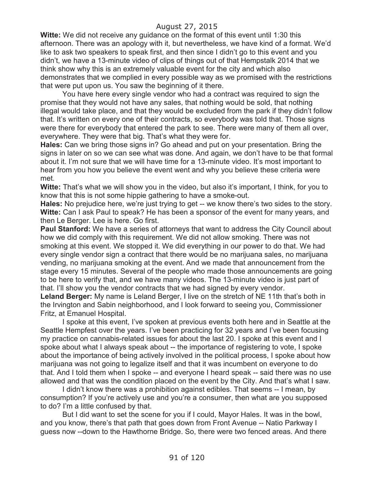**Witte:** We did not receive any guidance on the format of this event until 1:30 this afternoon. There was an apology with it, but nevertheless, we have kind of a format. We'd like to ask two speakers to speak first, and then since I didn't go to this event and you didn't, we have a 13-minute video of clips of things out of that Hempstalk 2014 that we think show why this is an extremely valuable event for the city and which also demonstrates that we complied in every possible way as we promised with the restrictions that were put upon us. You saw the beginning of it there.

You have here every single vendor who had a contract was required to sign the promise that they would not have any sales, that nothing would be sold, that nothing illegal would take place, and that they would be excluded from the park if they didn't follow that. It's written on every one of their contracts, so everybody was told that. Those signs were there for everybody that entered the park to see. There were many of them all over, everywhere. They were that big. That's what they were for.

**Hales:** Can we bring those signs in? Go ahead and put on your presentation. Bring the signs in later on so we can see what was done. And again, we don't have to be that formal about it. I'm not sure that we will have time for a 13-minute video. It's most important to hear from you how you believe the event went and why you believe these criteria were met.

**Witte:** That's what we will show you in the video, but also it's important, I think, for you to know that this is not some hippie gathering to have a smoke-out.

**Hales:** No prejudice here, we're just trying to get -- we know there's two sides to the story. **Witte:** Can I ask Paul to speak? He has been a sponsor of the event for many years, and then Le Berger. Lee is here. Go first.

**Paul Stanford:** We have a series of attorneys that want to address the City Council about how we did comply with this requirement. We did not allow smoking. There was not smoking at this event. We stopped it. We did everything in our power to do that. We had every single vendor sign a contract that there would be no marijuana sales, no marijuana vending, no marijuana smoking at the event. And we made that announcement from the stage every 15 minutes. Several of the people who made those announcements are going to be here to verify that, and we have many videos. The 13-minute video is just part of that. I'll show you the vendor contracts that we had signed by every vendor.

**Leland Berger:** My name is Leland Berger, I live on the stretch of NE 11th that's both in the Irvington and Sabin neighborhood, and I look forward to seeing you, Commissioner Fritz, at Emanuel Hospital.

I spoke at this event, I've spoken at previous events both here and in Seattle at the Seattle Hempfest over the years. I've been practicing for 32 years and I've been focusing my practice on cannabis-related issues for about the last 20. I spoke at this event and I spoke about what I always speak about -- the importance of registering to vote, I spoke about the importance of being actively involved in the political process, I spoke about how marijuana was not going to legalize itself and that it was incumbent on everyone to do that. And I told them when I spoke -- and everyone I heard speak -- said there was no use allowed and that was the condition placed on the event by the City. And that's what I saw.

I didn't know there was a prohibition against edibles. That seems -- I mean, by consumption? If you're actively use and you're a consumer, then what are you supposed to do? I'm a little confused by that.

But I did want to set the scene for you if I could, Mayor Hales. It was in the bowl, and you know, there's that path that goes down from Front Avenue -- Natio Parkway I guess now --down to the Hawthorne Bridge. So, there were two fenced areas. And there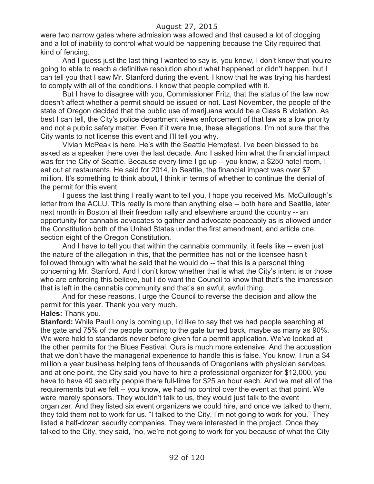were two narrow gates where admission was allowed and that caused a lot of clogging and a lot of inability to control what would be happening because the City required that kind of fencing.

And I guess just the last thing I wanted to say is, you know, I don't know that you're going to able to reach a definitive resolution about what happened or didn't happen, but I can tell you that I saw Mr. Stanford during the event. I know that he was trying his hardest to comply with all of the conditions. I know that people complied with it.

But I have to disagree with you, Commissioner Fritz, that the status of the law now doesn't affect whether a permit should be issued or not. Last November, the people of the state of Oregon decided that the public use of marijuana would be a Class B violation. As best I can tell, the City's police department views enforcement of that law as a low priority and not a public safety matter. Even if it were true, these allegations. I'm not sure that the City wants to not license this event and I'll tell you why.

Vivian McPeak is here. He's with the Seattle Hempfest. I've been blessed to be asked as a speaker there over the last decade. And I asked him what the financial impact was for the City of Seattle. Because every time I go up -- you know, a \$250 hotel room, I eat out at restaurants. He said for 2014, in Seattle, the financial impact was over \$7 million. It's something to think about, I think in terms of whether to continue the denial of the permit for this event.

I guess the last thing I really want to tell you, I hope you received Ms. McCullough's letter from the ACLU. This really is more than anything else -- both here and Seattle, later next month in Boston at their freedom rally and elsewhere around the country -- an opportunity for cannabis advocates to gather and advocate peaceably as is allowed under the Constitution both of the United States under the first amendment, and article one, section eight of the Oregon Constitution.

And I have to tell you that within the cannabis community, it feels like -- even just the nature of the allegation in this, that the permittee has not or the licensee hasn't followed through with what he said that he would do -- that this is a personal thing concerning Mr. Stanford. And I don't know whether that is what the City's intent is or those who are enforcing this believe, but I do want the Council to know that that's the impression that is left in the cannabis community and that's an awful, awful thing.

And for these reasons, I urge the Council to reverse the decision and allow the permit for this year. Thank you very much.

**Hales:** Thank you.

**Stanford:** While Paul Lony is coming up, I'd like to say that we had people searching at the gate and 75% of the people coming to the gate turned back, maybe as many as 90%. We were held to standards never before given for a permit application. We've looked at the other permits for the Blues Festival. Ours is much more extensive. And the accusation that we don't have the managerial experience to handle this is false. You know, I run a \$4 million a year business helping tens of thousands of Oregonians with physician services, and at one point, the City said you have to hire a professional organizer for \$12,000, you have to have 40 security people there full-time for \$25 an hour each. And we met all of the requirements but we felt -- you know, we had no control over the event at that point. We were merely sponsors. They wouldn't talk to us, they would just talk to the event organizer. And they listed six event organizers we could hire, and once we talked to them, they told them not to work for us. "I talked to the City, I'm not going to work for you." They listed a half-dozen security companies. They were interested in the project. Once they talked to the City, they said, "no, we're not going to work for you because of what the City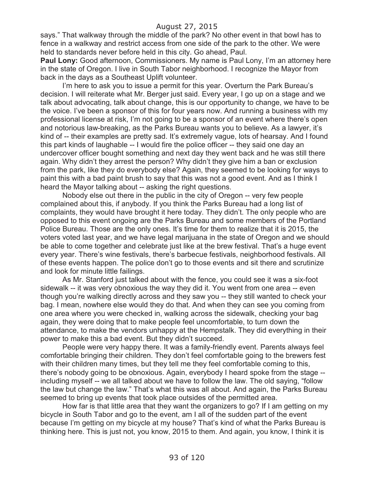says." That walkway through the middle of the park? No other event in that bowl has to fence in a walkway and restrict access from one side of the park to the other. We were held to standards never before held in this city. Go ahead, Paul.

**Paul Lony:** Good afternoon, Commissioners. My name is Paul Lony, I'm an attorney here in the state of Oregon. I live in South Tabor neighborhood. I recognize the Mayor from back in the days as a Southeast Uplift volunteer.

I'm here to ask you to issue a permit for this year. Overturn the Park Bureau's decision. I will reiterate what Mr. Berger just said. Every year, I go up on a stage and we talk about advocating, talk about change, this is our opportunity to change, we have to be the voice. I've been a sponsor of this for four years now. And running a business with my professional license at risk, I'm not going to be a sponsor of an event where there's open and notorious law-breaking, as the Parks Bureau wants you to believe. As a lawyer, it's kind of -- their examples are pretty sad. It's extremely vague, lots of hearsay. And I found this part kinds of laughable -- I would fire the police officer -- they said one day an undercover officer bought something and next day they went back and he was still there again. Why didn't they arrest the person? Why didn't they give him a ban or exclusion from the park, like they do everybody else? Again, they seemed to be looking for ways to paint this with a bad paint brush to say that this was not a good event. And as I think I heard the Mayor talking about -- asking the right questions.

Nobody else out there in the public in the city of Oregon -- very few people complained about this, if anybody. If you think the Parks Bureau had a long list of complaints, they would have brought it here today. They didn't. The only people who are opposed to this event ongoing are the Parks Bureau and some members of the Portland Police Bureau. Those are the only ones. It's time for them to realize that it is 2015, the voters voted last year, and we have legal marijuana in the state of Oregon and we should be able to come together and celebrate just like at the brew festival. That's a huge event every year. There's wine festivals, there's barbecue festivals, neighborhood festivals. All of these events happen. The police don't go to those events and sit there and scrutinize and look for minute little failings.

As Mr. Stanford just talked about with the fence, you could see it was a six-foot sidewalk -- it was very obnoxious the way they did it. You went from one area -- even though you're walking directly across and they saw you -- they still wanted to check your bag. I mean, nowhere else would they do that. And when they can see you coming from one area where you were checked in, walking across the sidewalk, checking your bag again, they were doing that to make people feel uncomfortable, to turn down the attendance, to make the vendors unhappy at the Hempstalk. They did everything in their power to make this a bad event. But they didn't succeed.

People were very happy there. It was a family-friendly event. Parents always feel comfortable bringing their children. They don't feel comfortable going to the brewers fest with their children many times, but they tell me they feel comfortable coming to this, there's nobody going to be obnoxious. Again, everybody I heard spoke from the stage - including myself -- we all talked about we have to follow the law. The old saying, "follow the law but change the law." That's what this was all about. And again, the Parks Bureau seemed to bring up events that took place outsides of the permitted area.

How far is that little area that they want the organizers to go? If I am getting on my bicycle in South Tabor and go to the event, am I all of the sudden part of the event because I'm getting on my bicycle at my house? That's kind of what the Parks Bureau is thinking here. This is just not, you know, 2015 to them. And again, you know, I think it is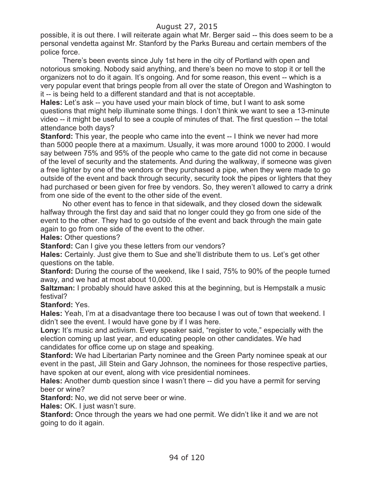possible, it is out there. I will reiterate again what Mr. Berger said -- this does seem to be a personal vendetta against Mr. Stanford by the Parks Bureau and certain members of the police force.

There's been events since July 1st here in the city of Portland with open and notorious smoking. Nobody said anything, and there's been no move to stop it or tell the organizers not to do it again. It's ongoing. And for some reason, this event -- which is a very popular event that brings people from all over the state of Oregon and Washington to it -- is being held to a different standard and that is not acceptable.

**Hales:** Let's ask -- you have used your main block of time, but I want to ask some questions that might help illuminate some things. I don't think we want to see a 13-minute video -- it might be useful to see a couple of minutes of that. The first question -- the total attendance both days?

**Stanford:** This year, the people who came into the event -- I think we never had more than 5000 people there at a maximum. Usually, it was more around 1000 to 2000. I would say between 75% and 95% of the people who came to the gate did not come in because of the level of security and the statements. And during the walkway, if someone was given a free lighter by one of the vendors or they purchased a pipe, when they were made to go outside of the event and back through security, security took the pipes or lighters that they had purchased or been given for free by vendors. So, they weren't allowed to carry a drink from one side of the event to the other side of the event.

No other event has to fence in that sidewalk, and they closed down the sidewalk halfway through the first day and said that no longer could they go from one side of the event to the other. They had to go outside of the event and back through the main gate again to go from one side of the event to the other.

**Hales:** Other questions?

**Stanford:** Can I give you these letters from our vendors?

**Hales:** Certainly. Just give them to Sue and she'll distribute them to us. Let's get other questions on the table.

**Stanford:** During the course of the weekend, like I said, 75% to 90% of the people turned away, and we had at most about 10,000.

**Saltzman:** I probably should have asked this at the beginning, but is Hempstalk a music festival?

**Stanford:** Yes.

**Hales:** Yeah, I'm at a disadvantage there too because I was out of town that weekend. I didn't see the event. I would have gone by if I was here.

Lony: It's music and activism. Every speaker said, "register to vote," especially with the election coming up last year, and educating people on other candidates. We had candidates for office come up on stage and speaking.

**Stanford:** We had Libertarian Party nominee and the Green Party nominee speak at our event in the past, Jill Stein and Gary Johnson, the nominees for those respective parties, have spoken at our event, along with vice presidential nominees.

**Hales:** Another dumb question since I wasn't there -- did you have a permit for serving beer or wine?

**Stanford:** No, we did not serve beer or wine.

**Hales:** OK. I just wasn't sure.

**Stanford:** Once through the years we had one permit. We didn't like it and we are not going to do it again.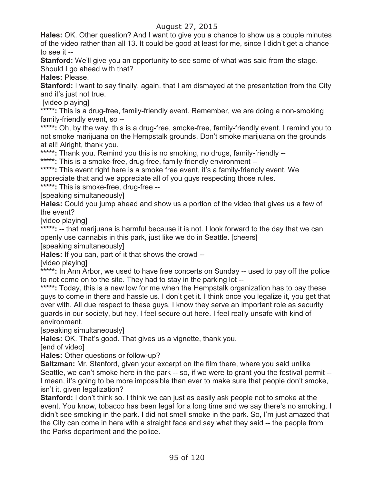**Hales:** OK. Other question? And I want to give you a chance to show us a couple minutes of the video rather than all 13. It could be good at least for me, since I didn't get a chance to see it --

**Stanford:** We'll give you an opportunity to see some of what was said from the stage. Should I go ahead with that?

**Hales:** Please.

**Stanford:** I want to say finally, again, that I am dismayed at the presentation from the City and it's just not true.

[video playing]

\*\*\*\*\*: This is a drug-free, family-friendly event. Remember, we are doing a non-smoking family-friendly event, so --

**\*\*\*\*\*:** Oh, by the way, this is a drug-free, smoke-free, family-friendly event. I remind you to not smoke marijuana on the Hempstalk grounds. Don't smoke marijuana on the grounds at all! Alright, thank you.

\*\*\*\*\*: Thank you. Remind you this is no smoking, no drugs, family-friendly --

**\*\*\*\*\*:** This is a smoke-free, drug-free, family-friendly environment --

\*\*\*\*\*: This event right here is a smoke free event, it's a family-friendly event. We appreciate that and we appreciate all of you guys respecting those rules.

**\*\*\*\*\*:** This is smoke-free, drug-free --

[speaking simultaneously]

**Hales:** Could you jump ahead and show us a portion of the video that gives us a few of the event?

[video playing]

\*\*\*\*\*: -- that marijuana is harmful because it is not. I look forward to the day that we can openly use cannabis in this park, just like we do in Seattle. [cheers]

[speaking simultaneously]

**Hales:** If you can, part of it that shows the crowd --

[video playing]

\*\*\*\*\*: In Ann Arbor, we used to have free concerts on Sunday -- used to pay off the police to not come on to the site. They had to stay in the parking lot --

**\*\*\*\*\*:** Today, this is a new low for me when the Hempstalk organization has to pay these guys to come in there and hassle us. I don't get it. I think once you legalize it, you get that over with. All due respect to these guys, I know they serve an important role as security guards in our society, but hey, I feel secure out here. I feel really unsafe with kind of environment.

[speaking simultaneously]

**Hales:** OK. That's good. That gives us a vignette, thank you.

[end of video]

**Hales:** Other questions or follow-up?

**Saltzman:** Mr. Stanford, given your excerpt on the film there, where you said unlike Seattle, we can't smoke here in the park -- so, if we were to grant you the festival permit -- I mean, it's going to be more impossible than ever to make sure that people don't smoke, isn't it, given legalization?

**Stanford:** I don't think so. I think we can just as easily ask people not to smoke at the event. You know, tobacco has been legal for a long time and we say there's no smoking. I didn't see smoking in the park. I did not smell smoke in the park. So, I'm just amazed that the City can come in here with a straight face and say what they said -- the people from the Parks department and the police.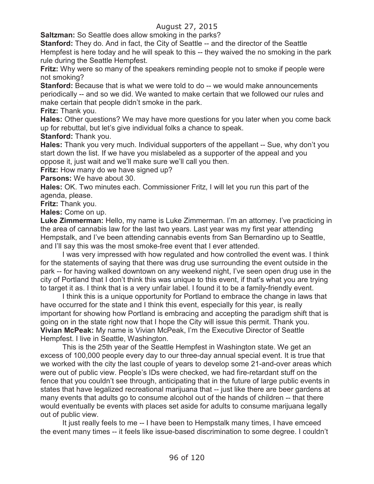**Saltzman:** So Seattle does allow smoking in the parks?

**Stanford:** They do. And in fact, the City of Seattle -- and the director of the Seattle Hempfest is here today and he will speak to this -- they waived the no smoking in the park rule during the Seattle Hempfest.

**Fritz:** Why were so many of the speakers reminding people not to smoke if people were not smoking?

**Stanford:** Because that is what we were told to do -- we would make announcements periodically -- and so we did. We wanted to make certain that we followed our rules and make certain that people didn't smoke in the park.

**Fritz:** Thank you.

**Hales:** Other questions? We may have more questions for you later when you come back up for rebuttal, but let's give individual folks a chance to speak.

**Stanford:** Thank you.

**Hales:** Thank you very much. Individual supporters of the appellant -- Sue, why don't you start down the list. If we have you mislabeled as a supporter of the appeal and you oppose it, just wait and we'll make sure we'll call you then.

**Fritz:** How many do we have signed up?

**Parsons:** We have about 30.

**Hales:** OK. Two minutes each. Commissioner Fritz, I will let you run this part of the agenda, please.

**Fritz:** Thank you.

**Hales:** Come on up.

**Luke Zimmerman:** Hello, my name is Luke Zimmerman. I'm an attorney. I've practicing in the area of cannabis law for the last two years. Last year was my first year attending Hempstalk, and I've been attending cannabis events from San Bernardino up to Seattle, and I'll say this was the most smoke-free event that I ever attended.

I was very impressed with how regulated and how controlled the event was. I think for the statements of saying that there was drug use surrounding the event outside in the park -- for having walked downtown on any weekend night, I've seen open drug use in the city of Portland that I don't think this was unique to this event, if that's what you are trying to target it as. I think that is a very unfair label. I found it to be a family-friendly event.

I think this is a unique opportunity for Portland to embrace the change in laws that have occurred for the state and I think this event, especially for this year, is really important for showing how Portland is embracing and accepting the paradigm shift that is going on in the state right now that I hope the City will issue this permit. Thank you. **Vivian McPeak:** My name is Vivian McPeak, I'm the Executive Director of Seattle Hempfest. I live in Seattle, Washington.

This is the 25th year of the Seattle Hempfest in Washington state. We get an excess of 100,000 people every day to our three-day annual special event. It is true that we worked with the city the last couple of years to develop some 21-and-over areas which were out of public view. People's IDs were checked, we had fire-retardant stuff on the fence that you couldn't see through, anticipating that in the future of large public events in states that have legalized recreational marijuana that -- just like there are beer gardens at many events that adults go to consume alcohol out of the hands of children -- that there would eventually be events with places set aside for adults to consume marijuana legally out of public view.

It just really feels to me -- I have been to Hempstalk many times, I have emceed the event many times -- it feels like issue-based discrimination to some degree. I couldn't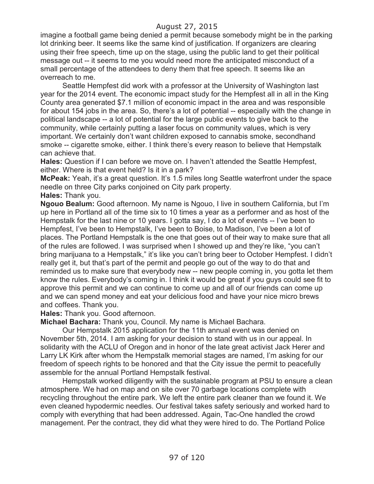imagine a football game being denied a permit because somebody might be in the parking lot drinking beer. It seems like the same kind of justification. If organizers are clearing using their free speech, time up on the stage, using the public land to get their political message out -- it seems to me you would need more the anticipated misconduct of a small percentage of the attendees to deny them that free speech. It seems like an overreach to me.

Seattle Hempfest did work with a professor at the University of Washington last year for the 2014 event. The economic impact study for the Hempfest all in all in the King County area generated \$7.1 million of economic impact in the area and was responsible for about 154 jobs in the area. So, there's a lot of potential -- especially with the change in political landscape -- a lot of potential for the large public events to give back to the community, while certainly putting a laser focus on community values, which is very important. We certainly don't want children exposed to cannabis smoke, secondhand smoke -- cigarette smoke, either. I think there's every reason to believe that Hempstalk can achieve that.

**Hales:** Question if I can before we move on. I haven't attended the Seattle Hempfest, either. Where is that event held? Is it in a park?

**McPeak:** Yeah, it's a great question. It's 1.5 miles long Seattle waterfront under the space needle on three City parks conjoined on City park property.

**Hales:** Thank you.

**Ngouo Bealum:** Good afternoon. My name is Ngouo, I live in southern California, but I'm up here in Portland all of the time six to 10 times a year as a performer and as host of the Hempstalk for the last nine or 10 years. I gotta say, I do a lot of events -- I've been to Hempfest, I've been to Hempstalk, I've been to Boise, to Madison, I've been a lot of places. The Portland Hempstalk is the one that goes out of their way to make sure that all of the rules are followed. I was surprised when I showed up and they're like, "you can't bring marijuana to a Hempstalk," it's like you can't bring beer to October Hempfest. I didn't really get it, but that's part of the permit and people go out of the way to do that and reminded us to make sure that everybody new -- new people coming in, you gotta let them know the rules. Everybody's coming in. I think it would be great if you guys could see fit to approve this permit and we can continue to come up and all of our friends can come up and we can spend money and eat your delicious food and have your nice micro brews and coffees. Thank you.

**Hales:** Thank you. Good afternoon.

**Michael Bachara:** Thank you, Council. My name is Michael Bachara.

Our Hempstalk 2015 application for the 11th annual event was denied on November 5th, 2014. I am asking for your decision to stand with us in our appeal. In solidarity with the ACLU of Oregon and in honor of the late great activist Jack Herer and Larry LK Kirk after whom the Hempstalk memorial stages are named, I'm asking for our freedom of speech rights to be honored and that the City issue the permit to peacefully assemble for the annual Portland Hempstalk festival.

Hempstalk worked diligently with the sustainable program at PSU to ensure a clean atmosphere. We had on map and on site over 70 garbage locations complete with recycling throughout the entire park. We left the entire park cleaner than we found it. We even cleaned hypodermic needles. Our festival takes safety seriously and worked hard to comply with everything that had been addressed. Again, Tac-One handled the crowd management. Per the contract, they did what they were hired to do. The Portland Police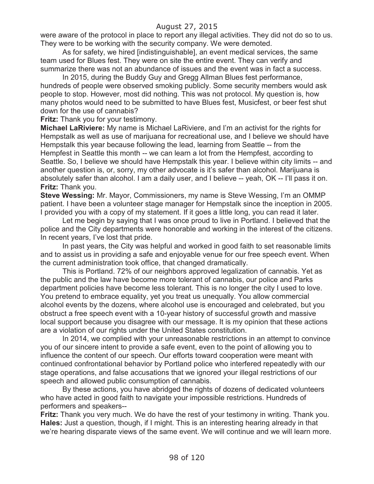were aware of the protocol in place to report any illegal activities. They did not do so to us. They were to be working with the security company. We were demoted.

As for safety, we hired [indistinguishable], an event medical services, the same team used for Blues fest. They were on site the entire event. They can verify and summarize there was not an abundance of issues and the event was in fact a success.

In 2015, during the Buddy Guy and Gregg Allman Blues fest performance, hundreds of people were observed smoking publicly. Some security members would ask people to stop. However, most did nothing. This was not protocol. My question is, how many photos would need to be submitted to have Blues fest, Musicfest, or beer fest shut down for the use of cannabis?

**Fritz:** Thank you for your testimony.

**Michael LaRiviere:** My name is Michael LaRiviere, and I'm an activist for the rights for Hempstalk as well as use of marijuana for recreational use, and I believe we should have Hempstalk this year because following the lead, learning from Seattle -- from the Hempfest in Seattle this month -- we can learn a lot from the Hempfest, according to Seattle. So, I believe we should have Hempstalk this year. I believe within city limits -- and another question is, or, sorry, my other advocate is it's safer than alcohol. Marijuana is absolutely safer than alcohol. I am a daily user, and I believe -- yeah, OK -- I'll pass it on. **Fritz:** Thank you.

**Steve Wessing:** Mr. Mayor, Commissioners, my name is Steve Wessing, I'm an OMMP patient. I have been a volunteer stage manager for Hempstalk since the inception in 2005. I provided you with a copy of my statement. If it goes a little long, you can read it later.

Let me begin by saying that I was once proud to live in Portland. I believed that the police and the City departments were honorable and working in the interest of the citizens. In recent years, I've lost that pride.

In past years, the City was helpful and worked in good faith to set reasonable limits and to assist us in providing a safe and enjoyable venue for our free speech event. When the current administration took office, that changed dramatically.

This is Portland. 72% of our neighbors approved legalization of cannabis. Yet as the public and the law have become more tolerant of cannabis, our police and Parks department policies have become less tolerant. This is no longer the city I used to love. You pretend to embrace equality, yet you treat us unequally. You allow commercial alcohol events by the dozens, where alcohol use is encouraged and celebrated, but you obstruct a free speech event with a 10-year history of successful growth and massive local support because you disagree with our message. It is my opinion that these actions are a violation of our rights under the United States constitution.

In 2014, we complied with your unreasonable restrictions in an attempt to convince you of our sincere intent to provide a safe event, even to the point of allowing you to influence the content of our speech. Our efforts toward cooperation were meant with continued confrontational behavior by Portland police who interfered repeatedly with our stage operations, and false accusations that we ignored your illegal restrictions of our speech and allowed public consumption of cannabis.

By these actions, you have abridged the rights of dozens of dedicated volunteers who have acted in good faith to navigate your impossible restrictions. Hundreds of performers and speakers--

**Fritz:** Thank you very much. We do have the rest of your testimony in writing. Thank you. **Hales:** Just a question, though, if I might. This is an interesting hearing already in that we're hearing disparate views of the same event. We will continue and we will learn more.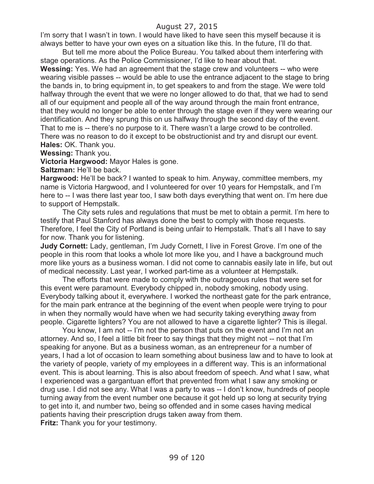I'm sorry that I wasn't in town. I would have liked to have seen this myself because it is always better to have your own eyes on a situation like this. In the future, I'll do that.

But tell me more about the Police Bureau. You talked about them interfering with stage operations. As the Police Commissioner, I'd like to hear about that.

**Wessing:** Yes. We had an agreement that the stage crew and volunteers -- who were wearing visible passes -- would be able to use the entrance adjacent to the stage to bring the bands in, to bring equipment in, to get speakers to and from the stage. We were told halfway through the event that we were no longer allowed to do that, that we had to send all of our equipment and people all of the way around through the main front entrance, that they would no longer be able to enter through the stage even if they were wearing our identification. And they sprung this on us halfway through the second day of the event. That to me is -- there's no purpose to it. There wasn't a large crowd to be controlled. There was no reason to do it except to be obstructionist and try and disrupt our event. **Hales:** OK. Thank you.

**Wessing:** Thank you.

**Victoria Hargwood:** Mayor Hales is gone.

**Saltzman:** He'll be back.

**Hargwood:** He'll be back? I wanted to speak to him. Anyway, committee members, my name is Victoria Hargwood, and I volunteered for over 10 years for Hempstalk, and I'm here to -- I was there last year too, I saw both days everything that went on. I'm here due to support of Hempstalk.

The City sets rules and regulations that must be met to obtain a permit. I'm here to testify that Paul Stanford has always done the best to comply with those requests. Therefore, I feel the City of Portland is being unfair to Hempstalk. That's all I have to say for now. Thank you for listening.

**Judy Cornett:** Lady, gentleman, I'm Judy Cornett, I live in Forest Grove. I'm one of the people in this room that looks a whole lot more like you, and I have a background much more like yours as a business woman. I did not come to cannabis easily late in life, but out of medical necessity. Last year, I worked part-time as a volunteer at Hempstalk.

The efforts that were made to comply with the outrageous rules that were set for this event were paramount. Everybody chipped in, nobody smoking, nobody using. Everybody talking about it, everywhere. I worked the northeast gate for the park entrance, for the main park entrance at the beginning of the event when people were trying to pour in when they normally would have when we had security taking everything away from people. Cigarette lighters? You are not allowed to have a cigarette lighter? This is illegal.

You know, I am not -- I'm not the person that puts on the event and I'm not an attorney. And so, I feel a little bit freer to say things that they might not -- not that I'm speaking for anyone. But as a business woman, as an entrepreneur for a number of years, I had a lot of occasion to learn something about business law and to have to look at the variety of people, variety of my employees in a different way. This is an informational event. This is about learning. This is also about freedom of speech. And what I saw, what I experienced was a gargantuan effort that prevented from what I saw any smoking or drug use. I did not see any. What I was a party to was -- I don't know, hundreds of people turning away from the event number one because it got held up so long at security trying to get into it, and number two, being so offended and in some cases having medical patients having their prescription drugs taken away from them. **Fritz:** Thank you for your testimony.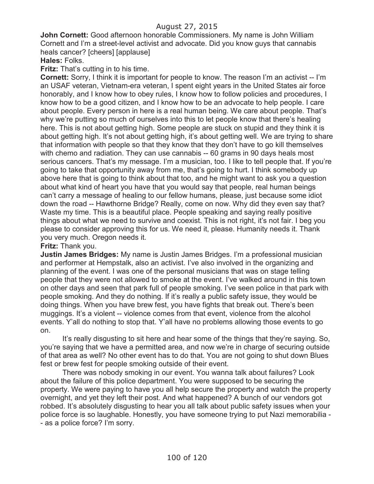**John Cornett:** Good afternoon honorable Commissioners. My name is John William Cornett and I'm a street-level activist and advocate. Did you know guys that cannabis heals cancer? [cheers] [applause]

**Hales:** Folks.

**Fritz:** That's cutting in to his time.

**Cornett:** Sorry, I think it is important for people to know. The reason I'm an activist -- I'm an USAF veteran, Vietnam-era veteran, I spent eight years in the United States air force honorably, and I know how to obey rules, I know how to follow policies and procedures, I know how to be a good citizen, and I know how to be an advocate to help people. I care about people. Every person in here is a real human being. We care about people. That's why we're putting so much of ourselves into this to let people know that there's healing here. This is not about getting high. Some people are stuck on stupid and they think it is about getting high. It's not about getting high, it's about getting well. We are trying to share that information with people so that they know that they don't have to go kill themselves with chemo and radiation. They can use cannabis -- 60 grams in 90 days heals most serious cancers. That's my message. I'm a musician, too. I like to tell people that. If you're going to take that opportunity away from me, that's going to hurt. I think somebody up above here that is going to think about that too, and he might want to ask you a question about what kind of heart you have that you would say that people, real human beings can't carry a message of healing to our fellow humans, please, just because some idiot down the road -- Hawthorne Bridge? Really, come on now. Why did they even say that? Waste my time. This is a beautiful place. People speaking and saying really positive things about what we need to survive and coexist. This is not right, it's not fair. I beg you please to consider approving this for us. We need it, please. Humanity needs it. Thank you very much. Oregon needs it.

#### **Fritz:** Thank you.

**Justin James Bridges:** My name is Justin James Bridges. I'm a professional musician and performer at Hempstalk, also an activist. I've also involved in the organizing and planning of the event. I was one of the personal musicians that was on stage telling people that they were not allowed to smoke at the event. I've walked around in this town on other days and seen that park full of people smoking. I've seen police in that park with people smoking. And they do nothing. If it's really a public safety issue, they would be doing things. When you have brew fest, you have fights that break out. There's been muggings. It's a violent -- violence comes from that event, violence from the alcohol events. Y'all do nothing to stop that. Y'all have no problems allowing those events to go on.

It's really disgusting to sit here and hear some of the things that they're saying. So, you're saying that we have a permitted area, and now we're in charge of securing outside of that area as well? No other event has to do that. You are not going to shut down Blues fest or brew fest for people smoking outside of their event.

There was nobody smoking in our event. You wanna talk about failures? Look about the failure of this police department. You were supposed to be securing the property. We were paying to have you all help secure the property and watch the property overnight, and yet they left their post. And what happened? A bunch of our vendors got robbed. It's absolutely disgusting to hear you all talk about public safety issues when your police force is so laughable. Honestly, you have someone trying to put Nazi memorabilia - - as a police force? I'm sorry.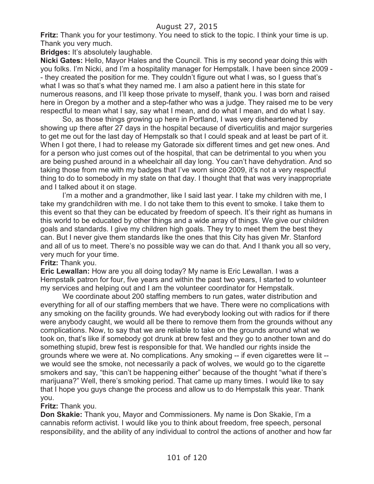**Fritz:** Thank you for your testimony. You need to stick to the topic. I think your time is up. Thank you very much.

**Bridges:** It's absolutely laughable.

**Nicki Gates:** Hello, Mayor Hales and the Council. This is my second year doing this with you folks. I'm Nicki, and I'm a hospitality manager for Hempstalk. I have been since 2009 - - they created the position for me. They couldn't figure out what I was, so I guess that's what I was so that's what they named me. I am also a patient here in this state for numerous reasons, and I'll keep those private to myself, thank you. I was born and raised here in Oregon by a mother and a step-father who was a judge. They raised me to be very respectful to mean what I say, say what I mean, and do what I mean, and do what I say.

So, as those things growing up here in Portland, I was very disheartened by showing up there after 27 days in the hospital because of diverticulitis and major surgeries to get me out for the last day of Hempstalk so that I could speak and at least be part of it. When I got there, I had to release my Gatorade six different times and get new ones. And for a person who just comes out of the hospital, that can be detrimental to you when you are being pushed around in a wheelchair all day long. You can't have dehydration. And so taking those from me with my badges that I've worn since 2009, it's not a very respectful thing to do to somebody in my state on that day. I thought that that was very inappropriate and I talked about it on stage.

I'm a mother and a grandmother, like I said last year. I take my children with me, I take my grandchildren with me. I do not take them to this event to smoke. I take them to this event so that they can be educated by freedom of speech. It's their right as humans in this world to be educated by other things and a wide array of things. We give our children goals and standards. I give my children high goals. They try to meet them the best they can. But I never give them standards like the ones that this City has given Mr. Stanford and all of us to meet. There's no possible way we can do that. And I thank you all so very, very much for your time.

#### **Fritz:** Thank you.

**Eric Lewallan:** How are you all doing today? My name is Eric Lewallan. I was a Hempstalk patron for four, five years and within the past two years, I started to volunteer my services and helping out and I am the volunteer coordinator for Hempstalk.

We coordinate about 200 staffing members to run gates, water distribution and everything for all of our staffing members that we have. There were no complications with any smoking on the facility grounds. We had everybody looking out with radios for if there were anybody caught, we would all be there to remove them from the grounds without any complications. Now, to say that we are reliable to take on the grounds around what we took on, that's like if somebody got drunk at brew fest and they go to another town and do something stupid, brew fest is responsible for that. We handled our rights inside the grounds where we were at. No complications. Any smoking -- if even cigarettes were lit - we would see the smoke, not necessarily a pack of wolves, we would go to the cigarette smokers and say, "this can't be happening either" because of the thought "what if there's marijuana?" Well, there's smoking period. That came up many times. I would like to say that I hope you guys change the process and allow us to do Hempstalk this year. Thank you.

## **Fritz:** Thank you.

**Don Skakie:** Thank you, Mayor and Commissioners. My name is Don Skakie, I'm a cannabis reform activist. I would like you to think about freedom, free speech, personal responsibility, and the ability of any individual to control the actions of another and how far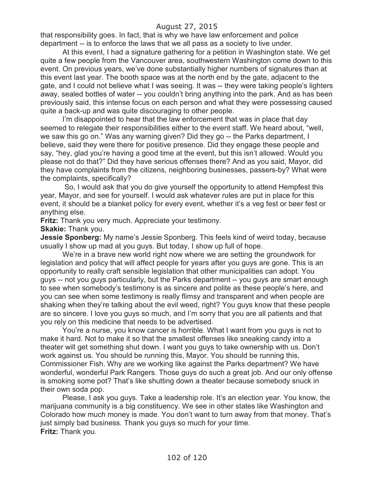that responsibility goes. In fact, that is why we have law enforcement and police department -- is to enforce the laws that we all pass as a society to live under.

At this event, I had a signature gathering for a petition in Washington state. We get quite a few people from the Vancouver area, southwestern Washington come down to this event. On previous years, we've done substantially higher numbers of signatures than at this event last year. The booth space was at the north end by the gate, adjacent to the gate, and I could not believe what I was seeing. It was -- they were taking people's lighters away, sealed bottles of water -- you couldn't bring anything into the park. And as has been previously said, this intense focus on each person and what they were possessing caused quite a back-up and was quite discouraging to other people.

I'm disappointed to hear that the law enforcement that was in place that day seemed to relegate their responsibilities either to the event staff. We heard about, "well, we saw this go on." Was any warning given? Did they go -- the Parks department, I believe, said they were there for positive presence. Did they engage these people and say, "hey, glad you're having a good time at the event, but this isn't allowed. Would you please not do that?" Did they have serious offenses there? And as you said, Mayor, did they have complaints from the citizens, neighboring businesses, passers-by? What were the complaints, specifically?

So, I would ask that you do give yourself the opportunity to attend Hempfest this year, Mayor, and see for yourself. I would ask whatever rules are put in place for this event, it should be a blanket policy for every event, whether it's a veg fest or beer fest or anything else.

**Fritz:** Thank you very much. Appreciate your testimony.

**Skakie:** Thank you.

**Jessie Sponberg:** My name's Jessie Sponberg. This feels kind of weird today, because usually I show up mad at you guys. But today, I show up full of hope.

We're in a brave new world right now where we are setting the groundwork for legislation and policy that will affect people for years after you guys are gone. This is an opportunity to really craft sensible legislation that other municipalities can adopt. You guys -- not you guys particularly, but the Parks department -- you guys are smart enough to see when somebody's testimony is as sincere and polite as these people's here, and you can see when some testimony is really flimsy and transparent and when people are shaking when they're talking about the evil weed, right? You guys know that these people are so sincere. I love you guys so much, and I'm sorry that you are all patients and that you rely on this medicine that needs to be advertised.

You're a nurse, you know cancer is horrible. What I want from you guys is not to make it hard. Not to make it so that the smallest offenses like sneaking candy into a theater will get something shut down. I want you guys to take ownership with us. Don't work against us. You should be running this, Mayor. You should be running this, Commissioner Fish. Why are we working like against the Parks department? We have wonderful, wonderful Park Rangers. Those guys do such a great job. And our only offense is smoking some pot? That's like shutting down a theater because somebody snuck in their own soda pop.

Please, I ask you guys. Take a leadership role. It's an election year. You know, the marijuana community is a big constituency. We see in other states like Washington and Colorado how much money is made. You don't want to turn away from that money. That's just simply bad business. Thank you guys so much for your time. **Fritz:** Thank you.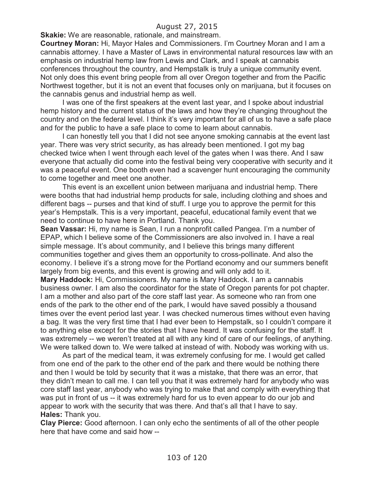**Skakie:** We are reasonable, rationale, and mainstream.

**Courtney Moran:** Hi, Mayor Hales and Commissioners. I'm Courtney Moran and I am a cannabis attorney. I have a Master of Laws in environmental natural resources law with an emphasis on industrial hemp law from Lewis and Clark, and I speak at cannabis conferences throughout the country, and Hempstalk is truly a unique community event. Not only does this event bring people from all over Oregon together and from the Pacific Northwest together, but it is not an event that focuses only on marijuana, but it focuses on the cannabis genus and industrial hemp as well.

I was one of the first speakers at the event last year, and I spoke about industrial hemp history and the current status of the laws and how they're changing throughout the country and on the federal level. I think it's very important for all of us to have a safe place and for the public to have a safe place to come to learn about cannabis.

I can honestly tell you that I did not see anyone smoking cannabis at the event last year. There was very strict security, as has already been mentioned. I got my bag checked twice when I went through each level of the gates when I was there. And I saw everyone that actually did come into the festival being very cooperative with security and it was a peaceful event. One booth even had a scavenger hunt encouraging the community to come together and meet one another.

This event is an excellent union between marijuana and industrial hemp. There were booths that had industrial hemp products for sale, including clothing and shoes and different bags -- purses and that kind of stuff. I urge you to approve the permit for this year's Hempstalk. This is a very important, peaceful, educational family event that we need to continue to have here in Portland. Thank you.

**Sean Vassar:** Hi, my name is Sean, I run a nonprofit called Pangea. I'm a number of EPAP, which I believe some of the Commissioners are also involved in. I have a real simple message. It's about community, and I believe this brings many different communities together and gives them an opportunity to cross-pollinate. And also the economy. I believe it's a strong move for the Portland economy and our summers benefit largely from big events, and this event is growing and will only add to it.

**Mary Haddock:** Hi, Commissioners. My name is Mary Haddock. I am a cannabis business owner. I am also the coordinator for the state of Oregon parents for pot chapter. I am a mother and also part of the core staff last year. As someone who ran from one ends of the park to the other end of the park, I would have saved possibly a thousand times over the event period last year. I was checked numerous times without even having a bag. It was the very first time that I had ever been to Hempstalk, so I couldn't compare it to anything else except for the stories that I have heard. It was confusing for the staff. It was extremely -- we weren't treated at all with any kind of care of our feelings, of anything. We were talked down to. We were talked at instead of with. Nobody was working with us.

As part of the medical team, it was extremely confusing for me. I would get called from one end of the park to the other end of the park and there would be nothing there and then I would be told by security that it was a mistake, that there was an error, that they didn't mean to call me. I can tell you that it was extremely hard for anybody who was core staff last year, anybody who was trying to make that and comply with everything that was put in front of us -- it was extremely hard for us to even appear to do our job and appear to work with the security that was there. And that's all that I have to say. **Hales:** Thank you.

**Clay Pierce:** Good afternoon. I can only echo the sentiments of all of the other people here that have come and said how --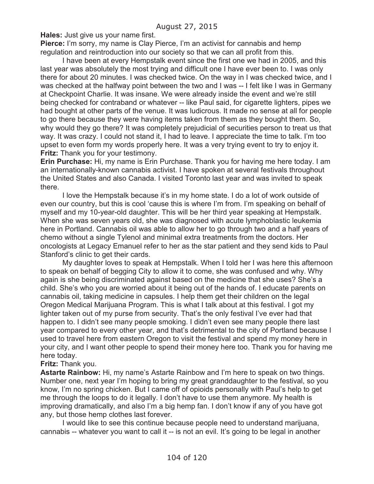**Hales:** Just give us your name first.

**Pierce:** I'm sorry, my name is Clay Pierce, I'm an activist for cannabis and hemp regulation and reintroduction into our society so that we can all profit from this.

I have been at every Hempstalk event since the first one we had in 2005, and this last year was absolutely the most trying and difficult one I have ever been to. I was only there for about 20 minutes. I was checked twice. On the way in I was checked twice, and I was checked at the halfway point between the two and I was -- I felt like I was in Germany at Checkpoint Charlie. It was insane. We were already inside the event and we're still being checked for contraband or whatever -- like Paul said, for cigarette lighters, pipes we had bought at other parts of the venue. It was ludicrous. It made no sense at all for people to go there because they were having items taken from them as they bought them. So, why would they go there? It was completely prejudicial of securities person to treat us that way. It was crazy. I could not stand it, I had to leave. I appreciate the time to talk. I'm too upset to even form my words properly here. It was a very trying event to try to enjoy it. **Fritz:** Thank you for your testimony.

**Erin Purchase:** Hi, my name is Erin Purchase. Thank you for having me here today. I am an internationally-known cannabis activist. I have spoken at several festivals throughout the United States and also Canada. I visited Toronto last year and was invited to speak there.

I love the Hempstalk because it's in my home state. I do a lot of work outside of even our country, but this is cool 'cause this is where I'm from. I'm speaking on behalf of myself and my 10-year-old daughter. This will be her third year speaking at Hempstalk. When she was seven years old, she was diagnosed with acute lymphoblastic leukemia here in Portland. Cannabis oil was able to allow her to go through two and a half years of chemo without a single Tylenol and minimal extra treatments from the doctors. Her oncologists at Legacy Emanuel refer to her as the star patient and they send kids to Paul Stanford's clinic to get their cards.

My daughter loves to speak at Hempstalk. When I told her I was here this afternoon to speak on behalf of begging City to allow it to come, she was confused and why. Why again is she being discriminated against based on the medicine that she uses? She's a child. She's who you are worried about it being out of the hands of. I educate parents on cannabis oil, taking medicine in capsules. I help them get their children on the legal Oregon Medical Marijuana Program. This is what I talk about at this festival. I got my lighter taken out of my purse from security. That's the only festival I've ever had that happen to. I didn't see many people smoking. I didn't even see many people there last year compared to every other year, and that's detrimental to the city of Portland because I used to travel here from eastern Oregon to visit the festival and spend my money here in your city, and I want other people to spend their money here too. Thank you for having me here today.

#### **Fritz:** Thank you.

**Astarte Rainbow:** Hi, my name's Astarte Rainbow and I'm here to speak on two things. Number one, next year I'm hoping to bring my great granddaughter to the festival, so you know, I'm no spring chicken. But I came off of opioids personally with Paul's help to get me through the loops to do it legally. I don't have to use them anymore. My health is improving dramatically, and also I'm a big hemp fan. I don't know if any of you have got any, but those hemp clothes last forever.

I would like to see this continue because people need to understand marijuana, cannabis -- whatever you want to call it -- is not an evil. It's going to be legal in another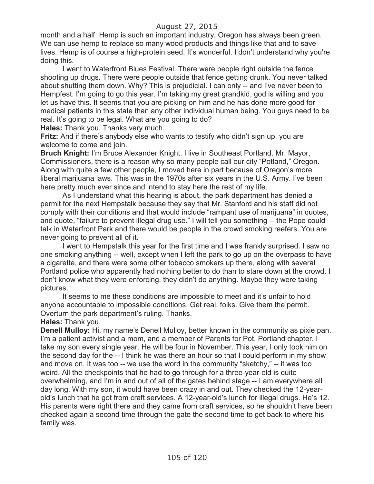month and a half. Hemp is such an important industry. Oregon has always been green. We can use hemp to replace so many wood products and things like that and to save lives. Hemp is of course a high-protein seed. It's wonderful. I don't understand why you're doing this.

I went to Waterfront Blues Festival. There were people right outside the fence shooting up drugs. There were people outside that fence getting drunk. You never talked about shutting them down. Why? This is prejudicial. I can only -- and I've never been to Hempfest. I'm going to go this year. I'm taking my great grandkid, god is willing and you let us have this. It seems that you are picking on him and he has done more good for medical patients in this state than any other individual human being. You guys need to be real. It's going to be legal. What are you going to do?

**Hales:** Thank you. Thanks very much.

**Fritz:** And if there's anybody else who wants to testify who didn't sign up, you are welcome to come and join.

**Bruch Knight:** I'm Bruce Alexander Knight. I live in Southeast Portland. Mr. Mayor, Commissioners, there is a reason why so many people call our city "Potland," Oregon. Along with quite a few other people, I moved here in part because of Oregon's more liberal marijuana laws. This was in the 1970s after six years in the U.S. Army. I've been here pretty much ever since and intend to stay here the rest of my life.

As I understand what this hearing is about, the park department has denied a permit for the next Hempstalk because they say that Mr. Stanford and his staff did not comply with their conditions and that would include "rampant use of marijuana" in quotes, and quote, "failure to prevent illegal drug use." I will tell you something -- the Pope could talk in Waterfront Park and there would be people in the crowd smoking reefers. You are never going to prevent all of it.

I went to Hempstalk this year for the first time and I was frankly surprised. I saw no one smoking anything -- well, except when I left the park to go up on the overpass to have a cigarette, and there were some other tobacco smokers up there, along with several Portland police who apparently had nothing better to do than to stare down at the crowd. I don't know what they were enforcing, they didn't do anything. Maybe they were taking pictures.

It seems to me these conditions are impossible to meet and it's unfair to hold anyone accountable to impossible conditions. Get real, folks. Give them the permit. Overturn the park department's ruling. Thanks.

**Hales:** Thank you.

**Denell Mulloy:** Hi, my name's Denell Mulloy, better known in the community as pixie pan. I'm a patient activist and a mom, and a member of Parents for Pot, Portland chapter. I take my son every single year. He will be four in November. This year, I only took him on the second day for the -- I think he was there an hour so that I could perform in my show and move on. It was too -- we use the word in the community "sketchy," -- it was too weird. All the checkpoints that he had to go through for a three-year-old is quite overwhelming, and I'm in and out of all of the gates behind stage -- I am everywhere all day long. With my son, it would have been crazy in and out. They checked the 12-yearold's lunch that he got from craft services. A 12-year-old's lunch for illegal drugs. He's 12. His parents were right there and they came from craft services, so he shouldn't have been checked again a second time through the gate the second time to get back to where his family was.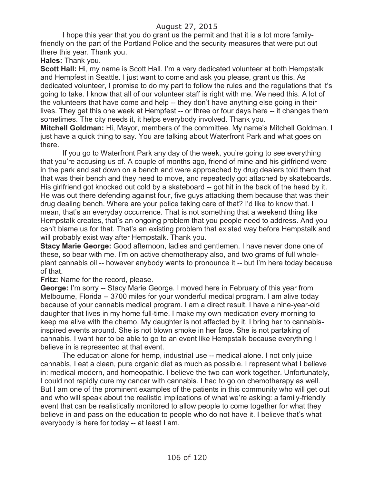I hope this year that you do grant us the permit and that it is a lot more familyfriendly on the part of the Portland Police and the security measures that were put out there this year. Thank you.

**Hales:** Thank you.

**Scott Hall:** Hi, my name is Scott Hall. I'm a very dedicated volunteer at both Hempstalk and Hempfest in Seattle. I just want to come and ask you please, grant us this. As dedicated volunteer, I promise to do my part to follow the rules and the regulations that it's going to take. I know that all of our volunteer staff is right with me. We need this. A lot of the volunteers that have come and help -- they don't have anything else going in their lives. They get this one week at Hempfest -- or three or four days here -- it changes them sometimes. The city needs it, it helps everybody involved. Thank you.

**Mitchell Goldman:** Hi, Mayor, members of the committee. My name's Mitchell Goldman. I just have a quick thing to say. You are talking about Waterfront Park and what goes on there.

If you go to Waterfront Park any day of the week, you're going to see everything that you're accusing us of. A couple of months ago, friend of mine and his girlfriend were in the park and sat down on a bench and were approached by drug dealers told them that that was their bench and they need to move, and repeatedly got attached by skateboards. His girlfriend got knocked out cold by a skateboard -- got hit in the back of the head by it. He was out there defending against four, five guys attacking them because that was their drug dealing bench. Where are your police taking care of that? I'd like to know that. I mean, that's an everyday occurrence. That is not something that a weekend thing like Hempstalk creates, that's an ongoing problem that you people need to address. And you can't blame us for that. That's an existing problem that existed way before Hempstalk and will probably exist way after Hempstalk. Thank you.

**Stacy Marie George:** Good afternoon, ladies and gentlemen. I have never done one of these, so bear with me. I'm on active chemotherapy also, and two grams of full wholeplant cannabis oil -- however anybody wants to pronounce it -- but I'm here today because of that.

**Fritz:** Name for the record, please.

**George:** I'm sorry -- Stacy Marie George. I moved here in February of this year from Melbourne, Florida -- 3700 miles for your wonderful medical program. I am alive today because of your cannabis medical program. I am a direct result. I have a nine-year-old daughter that lives in my home full-time. I make my own medication every morning to keep me alive with the chemo. My daughter is not affected by it. I bring her to cannabisinspired events around. She is not blown smoke in her face. She is not partaking of cannabis. I want her to be able to go to an event like Hempstalk because everything I believe in is represented at that event.

The education alone for hemp, industrial use -- medical alone. I not only juice cannabis, I eat a clean, pure organic diet as much as possible. I represent what I believe in: medical modern, and homeopathic. I believe the two can work together. Unfortunately, I could not rapidly cure my cancer with cannabis. I had to go on chemotherapy as well. But I am one of the prominent examples of the patients in this community who will get out and who will speak about the realistic implications of what we're asking: a family-friendly event that can be realistically monitored to allow people to come together for what they believe in and pass on the education to people who do not have it. I believe that's what everybody is here for today -- at least I am.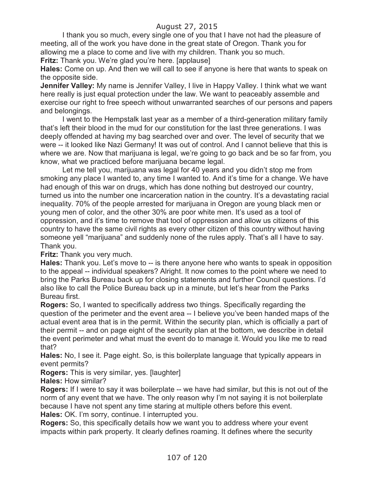I thank you so much, every single one of you that I have not had the pleasure of meeting, all of the work you have done in the great state of Oregon. Thank you for allowing me a place to come and live with my children. Thank you so much.

**Fritz:** Thank you. We're glad you're here. [applause]

**Hales:** Come on up. And then we will call to see if anyone is here that wants to speak on the opposite side.

**Jennifer Valley:** My name is Jennifer Valley, I live in Happy Valley. I think what we want here really is just equal protection under the law. We want to peaceably assemble and exercise our right to free speech without unwarranted searches of our persons and papers and belongings.

I went to the Hempstalk last year as a member of a third-generation military family that's left their blood in the mud for our constitution for the last three generations. I was deeply offended at having my bag searched over and over. The level of security that we were -- it looked like Nazi Germany! It was out of control. And I cannot believe that this is where we are. Now that marijuana is legal, we're going to go back and be so far from, you know, what we practiced before marijuana became legal.

Let me tell you, marijuana was legal for 40 years and you didn't stop me from smoking any place I wanted to, any time I wanted to. And it's time for a change. We have had enough of this war on drugs, which has done nothing but destroyed our country, turned us into the number one incarceration nation in the country. It's a devastating racial inequality. 70% of the people arrested for marijuana in Oregon are young black men or young men of color, and the other 30% are poor white men. It's used as a tool of oppression, and it's time to remove that tool of oppression and allow us citizens of this country to have the same civil rights as every other citizen of this country without having someone yell "marijuana" and suddenly none of the rules apply. That's all I have to say. Thank you.

**Fritz:** Thank you very much.

**Hales:** Thank you. Let's move to -- is there anyone here who wants to speak in opposition to the appeal -- individual speakers? Alright. It now comes to the point where we need to bring the Parks Bureau back up for closing statements and further Council questions. I'd also like to call the Police Bureau back up in a minute, but let's hear from the Parks Bureau first.

**Rogers:** So, I wanted to specifically address two things. Specifically regarding the question of the perimeter and the event area -- I believe you've been handed maps of the actual event area that is in the permit. Within the security plan, which is officially a part of their permit -- and on page eight of the security plan at the bottom, we describe in detail the event perimeter and what must the event do to manage it. Would you like me to read that?

**Hales:** No, I see it. Page eight. So, is this boilerplate language that typically appears in event permits?

**Rogers:** This is very similar, yes. [laughter]

**Hales:** How similar?

**Rogers:** If I were to say it was boilerplate -- we have had similar, but this is not out of the norm of any event that we have. The only reason why I'm not saying it is not boilerplate because I have not spent any time staring at multiple others before this event. **Hales:** OK. I'm sorry, continue. I interrupted you.

**Rogers:** So, this specifically details how we want you to address where your event impacts within park property. It clearly defines roaming. It defines where the security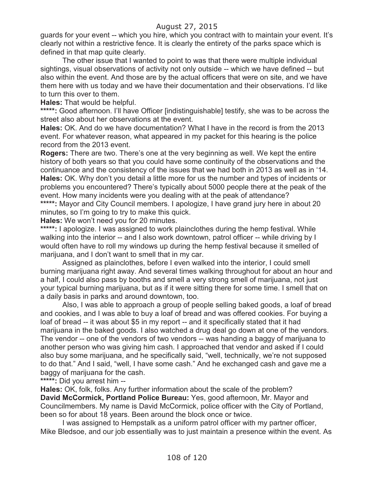guards for your event -- which you hire, which you contract with to maintain your event. It's clearly not within a restrictive fence. It is clearly the entirety of the parks space which is defined in that map quite clearly.

The other issue that I wanted to point to was that there were multiple individual sightings, visual observations of activity not only outside -- which we have defined -- but also within the event. And those are by the actual officers that were on site, and we have them here with us today and we have their documentation and their observations. I'd like to turn this over to them.

**Hales:** That would be helpful.

**\*\*\*\*\*:** Good afternoon. I'll have Officer [indistinguishable] testify, she was to be across the street also about her observations at the event.

**Hales:** OK. And do we have documentation? What I have in the record is from the 2013 event. For whatever reason, what appeared in my packet for this hearing is the police record from the 2013 event.

**Rogers:** There are two. There's one at the very beginning as well. We kept the entire history of both years so that you could have some continuity of the observations and the continuance and the consistency of the issues that we had both in 2013 as well as in '14. **Hales:** OK. Why don't you detail a little more for us the number and types of incidents or problems you encountered? There's typically about 5000 people there at the peak of the event. How many incidents were you dealing with at the peak of attendance?

\*\*\*\*\*: Mayor and City Council members. I apologize, I have grand jury here in about 20 minutes, so I'm going to try to make this quick.

**Hales:** We won't need you for 20 minutes.

\*\*\*\*\*: I apologize. I was assigned to work plainclothes during the hemp festival. While walking into the interior -- and I also work downtown, patrol officer -- while driving by I would often have to roll my windows up during the hemp festival because it smelled of marijuana, and I don't want to smell that in my car.

Assigned as plainclothes, before I even walked into the interior, I could smell burning marijuana right away. And several times walking throughout for about an hour and a half, I could also pass by booths and smell a very strong smell of marijuana, not just your typical burning marijuana, but as if it were sitting there for some time. I smell that on a daily basis in parks and around downtown, too.

Also, I was able to approach a group of people selling baked goods, a loaf of bread and cookies, and I was able to buy a loaf of bread and was offered cookies. For buying a loaf of bread -- it was about \$5 in my report -- and it specifically stated that it had marijuana in the baked goods. I also watched a drug deal go down at one of the vendors. The vendor -- one of the vendors of two vendors -- was handing a baggy of marijuana to another person who was giving him cash. I approached that vendor and asked if I could also buy some marijuana, and he specifically said, "well, technically, we're not supposed to do that." And I said, "well, I have some cash." And he exchanged cash and gave me a baggy of marijuana for the cash.

**\*\*\*\*\*:** Did you arrest him --

**Hales:** OK, folk, folks. Any further information about the scale of the problem? **David McCormick, Portland Police Bureau:** Yes, good afternoon, Mr. Mayor and Councilmembers. My name is David McCormick, police officer with the City of Portland, been so for about 18 years. Been around the block once or twice.

I was assigned to Hempstalk as a uniform patrol officer with my partner officer, Mike Bledsoe, and our job essentially was to just maintain a presence within the event. As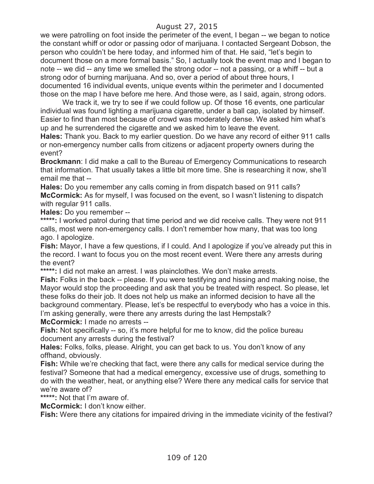we were patrolling on foot inside the perimeter of the event, I began -- we began to notice the constant whiff or odor or passing odor of marijuana. I contacted Sergeant Dobson, the person who couldn't be here today, and informed him of that. He said, "let's begin to document those on a more formal basis." So, I actually took the event map and I began to note -- we did -- any time we smelled the strong odor -- not a passing, or a whiff -- but a strong odor of burning marijuana. And so, over a period of about three hours, I documented 16 individual events, unique events within the perimeter and I documented those on the map I have before me here. And those were, as I said, again, strong odors.

We track it, we try to see if we could follow up. Of those 16 events, one particular individual was found lighting a marijuana cigarette, under a ball cap, isolated by himself. Easier to find than most because of crowd was moderately dense. We asked him what's up and he surrendered the cigarette and we asked him to leave the event.

**Hales:** Thank you. Back to my earlier question. Do we have any record of either 911 calls or non-emergency number calls from citizens or adjacent property owners during the event?

**Brockmann**: I did make a call to the Bureau of Emergency Communications to research that information. That usually takes a little bit more time. She is researching it now, she'll email me that --

**Hales:** Do you remember any calls coming in from dispatch based on 911 calls? **McCormick:** As for myself, I was focused on the event, so I wasn't listening to dispatch with regular 911 calls.

**Hales:** Do you remember --

**\*\*\*\*\*:** I worked patrol during that time period and we did receive calls. They were not 911 calls, most were non-emergency calls. I don't remember how many, that was too long ago. I apologize.

**Fish:** Mayor, I have a few questions, if I could. And I apologize if you've already put this in the record. I want to focus you on the most recent event. Were there any arrests during the event?

**\*\*\*\*\*:** I did not make an arrest. I was plainclothes. We don't make arrests.

**Fish:** Folks in the back -- please. If you were testifying and hissing and making noise, the Mayor would stop the proceeding and ask that you be treated with respect. So please, let these folks do their job. It does not help us make an informed decision to have all the background commentary. Please, let's be respectful to everybody who has a voice in this. I'm asking generally, were there any arrests during the last Hempstalk?

**McCormick:** I made no arrests --

**Fish:** Not specifically -- so, it's more helpful for me to know, did the police bureau document any arrests during the festival?

**Hales:** Folks, folks, please. Alright, you can get back to us. You don't know of any offhand, obviously.

**Fish:** While we're checking that fact, were there any calls for medical service during the festival? Someone that had a medical emergency, excessive use of drugs, something to do with the weather, heat, or anything else? Were there any medical calls for service that we're aware of?

**\*\*\*\*\*:** Not that I'm aware of.

**McCormick:** I don't know either.

**Fish:** Were there any citations for impaired driving in the immediate vicinity of the festival?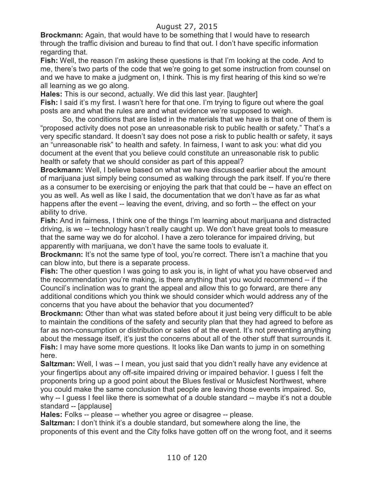**Brockmann:** Again, that would have to be something that I would have to research through the traffic division and bureau to find that out. I don't have specific information regarding that.

**Fish:** Well, the reason I'm asking these questions is that I'm looking at the code. And to me, there's two parts of the code that we're going to get some instruction from counsel on and we have to make a judgment on, I think. This is my first hearing of this kind so we're all learning as we go along.

**Hales:** This is our second, actually. We did this last year. [laughter]

**Fish:** I said it's my first. I wasn't here for that one. I'm trying to figure out where the goal posts are and what the rules are and what evidence we're supposed to weigh.

So, the conditions that are listed in the materials that we have is that one of them is "proposed activity does not pose an unreasonable risk to public health or safety." That's a very specific standard. It doesn't say does not pose a risk to public health or safety, it says an "unreasonable risk" to health and safety. In fairness, I want to ask you: what did you document at the event that you believe could constitute an unreasonable risk to public health or safety that we should consider as part of this appeal?

**Brockmann:** Well, I believe based on what we have discussed earlier about the amount of marijuana just simply being consumed as walking through the park itself. If you're there as a consumer to be exercising or enjoying the park that that could be -- have an effect on you as well. As well as like I said, the documentation that we don't have as far as what happens after the event -- leaving the event, driving, and so forth -- the effect on your ability to drive.

**Fish:** And in fairness, I think one of the things I'm learning about marijuana and distracted driving, is we -- technology hasn't really caught up. We don't have great tools to measure that the same way we do for alcohol. I have a zero tolerance for impaired driving, but apparently with marijuana, we don't have the same tools to evaluate it.

**Brockmann:** It's not the same type of tool, you're correct. There isn't a machine that you can blow into, but there is a separate process.

**Fish:** The other question I was going to ask you is, in light of what you have observed and the recommendation you're making, is there anything that you would recommend -- if the Council's inclination was to grant the appeal and allow this to go forward, are there any additional conditions which you think we should consider which would address any of the concerns that you have about the behavior that you documented?

**Brockmann:** Other than what was stated before about it just being very difficult to be able to maintain the conditions of the safety and security plan that they had agreed to before as far as non-consumption or distribution or sales of at the event. It's not preventing anything about the message itself, it's just the concerns about all of the other stuff that surrounds it. **Fish:** I may have some more questions. It looks like Dan wants to jump in on something here.

**Saltzman:** Well, I was -- I mean, you just said that you didn't really have any evidence at your fingertips about any off-site impaired driving or impaired behavior. I guess I felt the proponents bring up a good point about the Blues festival or Musicfest Northwest, where you could make the same conclusion that people are leaving those events impaired. So, why -- I guess I feel like there is somewhat of a double standard -- maybe it's not a double standard -- [applause]

**Hales:** Folks -- please -- whether you agree or disagree -- please.

**Saltzman:** I don't think it's a double standard, but somewhere along the line, the proponents of this event and the City folks have gotten off on the wrong foot, and it seems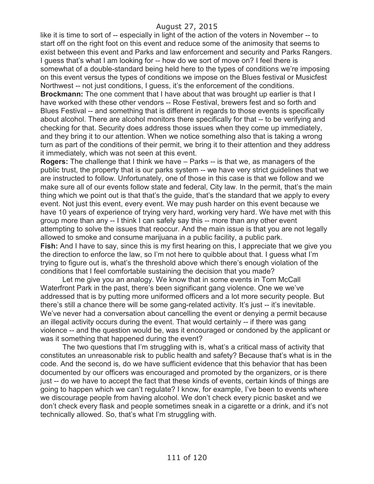like it is time to sort of -- especially in light of the action of the voters in November -- to start off on the right foot on this event and reduce some of the animosity that seems to exist between this event and Parks and law enforcement and security and Parks Rangers. I guess that's what I am looking for -- how do we sort of move on? I feel there is somewhat of a double-standard being held here to the types of conditions we're imposing on this event versus the types of conditions we impose on the Blues festival or Musicfest Northwest -- not just conditions, I guess, it's the enforcement of the conditions.

**Brockmann:** The one comment that I have about that was brought up earlier is that I have worked with these other vendors -- Rose Festival, brewers fest and so forth and Blues Festival -- and something that is different in regards to those events is specifically about alcohol. There are alcohol monitors there specifically for that -- to be verifying and checking for that. Security does address those issues when they come up immediately, and they bring it to our attention. When we notice something also that is taking a wrong turn as part of the conditions of their permit, we bring it to their attention and they address it immediately, which was not seen at this event.

**Rogers:** The challenge that I think we have – Parks -- is that we, as managers of the public trust, the property that is our parks system -- we have very strict guidelines that we are instructed to follow. Unfortunately, one of those in this case is that we follow and we make sure all of our events follow state and federal, City law. In the permit, that's the main thing which we point out is that that's the guide, that's the standard that we apply to every event. Not just this event, every event. We may push harder on this event because we have 10 years of experience of trying very hard, working very hard. We have met with this group more than any -- I think I can safely say this -- more than any other event attempting to solve the issues that reoccur. And the main issue is that you are not legally allowed to smoke and consume marijuana in a public facility, a public park. **Fish:** And I have to say, since this is my first hearing on this, I appreciate that we give you the direction to enforce the law, so I'm not here to quibble about that. I guess what I'm trying to figure out is, what's the threshold above which there's enough violation of the conditions that I feel comfortable sustaining the decision that you made?

Let me give you an analogy. We know that in some events in Tom McCall Waterfront Park in the past, there's been significant gang violence. One we we've addressed that is by putting more uniformed officers and a lot more security people. But there's still a chance there will be some gang-related activity. It's just -- it's inevitable. We've never had a conversation about cancelling the event or denying a permit because an illegal activity occurs during the event. That would certainly -- if there was gang violence -- and the question would be, was it encouraged or condoned by the applicant or was it something that happened during the event?

The two questions that I'm struggling with is, what's a critical mass of activity that constitutes an unreasonable risk to public health and safety? Because that's what is in the code. And the second is, do we have sufficient evidence that this behavior that has been documented by our officers was encouraged and promoted by the organizers, or is there just -- do we have to accept the fact that these kinds of events, certain kinds of things are going to happen which we can't regulate? I know, for example, I've been to events where we discourage people from having alcohol. We don't check every picnic basket and we don't check every flask and people sometimes sneak in a cigarette or a drink, and it's not technically allowed. So, that's what I'm struggling with.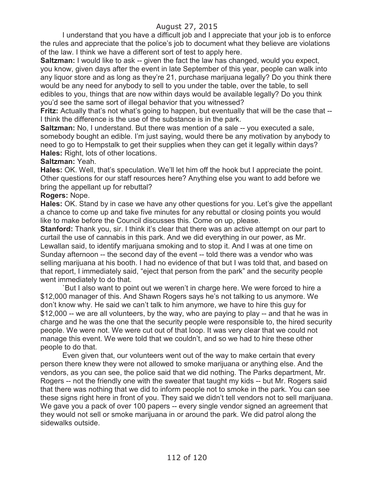I understand that you have a difficult job and I appreciate that your job is to enforce the rules and appreciate that the police's job to document what they believe are violations of the law. I think we have a different sort of test to apply here.

**Saltzman:** I would like to ask -- given the fact the law has changed, would you expect, you know, given days after the event in late September of this year, people can walk into any liquor store and as long as they're 21, purchase marijuana legally? Do you think there would be any need for anybody to sell to you under the table, over the table, to sell edibles to you, things that are now within days would be available legally? Do you think you'd see the same sort of illegal behavior that you witnessed?

**Fritz:** Actually that's not what's going to happen, but eventually that will be the case that --I think the difference is the use of the substance is in the park.

**Saltzman:** No, I understand. But there was mention of a sale -- you executed a sale, somebody bought an edible. I'm just saying, would there be any motivation by anybody to need to go to Hempstalk to get their supplies when they can get it legally within days? **Hales:** Right, lots of other locations.

#### **Saltzman:** Yeah.

Hales: OK. Well, that's speculation. We'll let him off the hook but I appreciate the point. Other questions for our staff resources here? Anything else you want to add before we bring the appellant up for rebuttal?

### **Rogers:** Nope.

**Hales:** OK. Stand by in case we have any other questions for you. Let's give the appellant a chance to come up and take five minutes for any rebuttal or closing points you would like to make before the Council discusses this. Come on up, please.

**Stanford:** Thank you, sir. I think it's clear that there was an active attempt on our part to curtail the use of cannabis in this park. And we did everything in our power, as Mr. Lewallan said, to identify marijuana smoking and to stop it. And I was at one time on Sunday afternoon -- the second day of the event -- told there was a vendor who was selling marijuana at his booth. I had no evidence of that but I was told that, and based on that report, I immediately said, "eject that person from the park" and the security people went immediately to do that.

`But I also want to point out we weren't in charge here. We were forced to hire a \$12,000 manager of this. And Shawn Rogers says he's not talking to us anymore. We don't know why. He said we can't talk to him anymore, we have to hire this guy for \$12,000 -- we are all volunteers, by the way, who are paying to play -- and that he was in charge and he was the one that the security people were responsible to, the hired security people. We were not. We were cut out of that loop. It was very clear that we could not manage this event. We were told that we couldn't, and so we had to hire these other people to do that.

Even given that, our volunteers went out of the way to make certain that every person there knew they were not allowed to smoke marijuana or anything else. And the vendors, as you can see, the police said that we did nothing. The Parks department, Mr. Rogers -- not the friendly one with the sweater that taught my kids -- but Mr. Rogers said that there was nothing that we did to inform people not to smoke in the park. You can see these signs right here in front of you. They said we didn't tell vendors not to sell marijuana. We gave you a pack of over 100 papers -- every single vendor signed an agreement that they would not sell or smoke marijuana in or around the park. We did patrol along the sidewalks outside.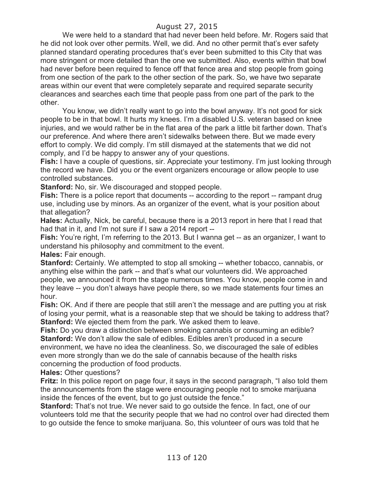We were held to a standard that had never been held before. Mr. Rogers said that he did not look over other permits. Well, we did. And no other permit that's ever safety planned standard operating procedures that's ever been submitted to this City that was more stringent or more detailed than the one we submitted. Also, events within that bowl had never before been required to fence off that fence area and stop people from going from one section of the park to the other section of the park. So, we have two separate areas within our event that were completely separate and required separate security clearances and searches each time that people pass from one part of the park to the other.

You know, we didn't really want to go into the bowl anyway. It's not good for sick people to be in that bowl. It hurts my knees. I'm a disabled U.S. veteran based on knee injuries, and we would rather be in the flat area of the park a little bit farther down. That's our preference. And where there aren't sidewalks between there. But we made every effort to comply. We did comply. I'm still dismayed at the statements that we did not comply, and I'd be happy to answer any of your questions.

**Fish:** I have a couple of questions, sir. Appreciate your testimony. I'm just looking through the record we have. Did you or the event organizers encourage or allow people to use controlled substances.

**Stanford:** No, sir. We discouraged and stopped people.

**Fish:** There is a police report that documents -- according to the report -- rampant drug use, including use by minors. As an organizer of the event, what is your position about that allegation?

**Hales:** Actually, Nick, be careful, because there is a 2013 report in here that I read that had that in it, and I'm not sure if I saw a 2014 report --

**Fish:** You're right, I'm referring to the 2013. But I wanna get -- as an organizer, I want to understand his philosophy and commitment to the event.

**Hales:** Fair enough.

**Stanford:** Certainly. We attempted to stop all smoking -- whether tobacco, cannabis, or anything else within the park -- and that's what our volunteers did. We approached people, we announced it from the stage numerous times. You know, people come in and they leave -- you don't always have people there, so we made statements four times an hour.

**Fish:** OK. And if there are people that still aren't the message and are putting you at risk of losing your permit, what is a reasonable step that we should be taking to address that? **Stanford:** We ejected them from the park. We asked them to leave.

**Fish:** Do you draw a distinction between smoking cannabis or consuming an edible? **Stanford:** We don't allow the sale of edibles. Edibles aren't produced in a secure environment, we have no idea the cleanliness. So, we discouraged the sale of edibles even more strongly than we do the sale of cannabis because of the health risks concerning the production of food products.

**Hales:** Other questions?

**Fritz:** In this police report on page four, it says in the second paragraph, "I also told them the announcements from the stage were encouraging people not to smoke marijuana inside the fences of the event, but to go just outside the fence."

**Stanford:** That's not true. We never said to go outside the fence. In fact, one of our volunteers told me that the security people that we had no control over had directed them to go outside the fence to smoke marijuana. So, this volunteer of ours was told that he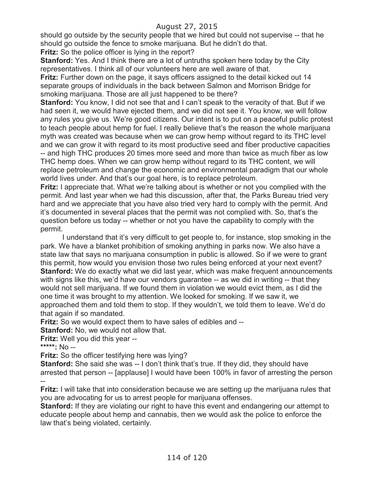should go outside by the security people that we hired but could not supervise -- that he should go outside the fence to smoke marijuana. But he didn't do that.

**Fritz:** So the police officer is lying in the report?

**Stanford:** Yes. And I think there are a lot of untruths spoken here today by the City representatives. I think all of our volunteers here are well aware of that.

**Fritz:** Further down on the page, it says officers assigned to the detail kicked out 14 separate groups of individuals in the back between Salmon and Morrison Bridge for smoking marijuana. Those are all just happened to be there?

**Stanford:** You know, I did not see that and I can't speak to the veracity of that. But if we had seen it, we would have ejected them, and we did not see it. You know, we will follow any rules you give us. We're good citizens. Our intent is to put on a peaceful public protest to teach people about hemp for fuel. I really believe that's the reason the whole marijuana myth was created was because when we can grow hemp without regard to its THC level and we can grow it with regard to its most productive seed and fiber productive capacities -- and high THC produces 20 times more seed and more than twice as much fiber as low THC hemp does. When we can grow hemp without regard to its THC content, we will replace petroleum and change the economic and environmental paradigm that our whole world lives under. And that's our goal here, is to replace petroleum.

**Fritz:** I appreciate that. What we're talking about is whether or not you complied with the permit. And last year when we had this discussion, after that, the Parks Bureau tried very hard and we appreciate that you have also tried very hard to comply with the permit. And it's documented in several places that the permit was not complied with. So, that's the question before us today -- whether or not you have the capability to comply with the permit.

I understand that it's very difficult to get people to, for instance, stop smoking in the park. We have a blanket prohibition of smoking anything in parks now. We also have a state law that says no marijuana consumption in public is allowed. So if we were to grant this permit, how would you envision those two rules being enforced at your next event? **Stanford:** We do exactly what we did last year, which was make frequent announcements with signs like this, we'd have our vendors guarantee -- as we did in writing -- that they would not sell marijuana. If we found them in violation we would evict them, as I did the one time it was brought to my attention. We looked for smoking. If we saw it, we approached them and told them to stop. If they wouldn't, we told them to leave. We'd do that again if so mandated.

**Fritz:** So we would expect them to have sales of edibles and --

**Stanford:** No, we would not allow that.

**Fritz:** Well you did this year --

**\*\*\*\*\*:** No --

**Fritz:** So the officer testifying here was lying?

**Stanford:** She said she was -- I don't think that's true. If they did, they should have arrested that person -- [applause] I would have been 100% in favor of arresting the person --

**Fritz:** I will take that into consideration because we are setting up the marijuana rules that you are advocating for us to arrest people for marijuana offenses.

**Stanford:** If they are violating our right to have this event and endangering our attempt to educate people about hemp and cannabis, then we would ask the police to enforce the law that's being violated, certainly.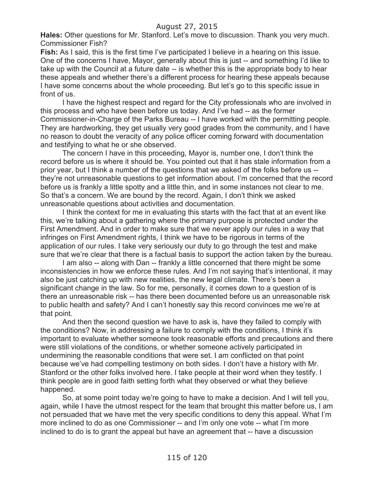**Hales:** Other questions for Mr. Stanford. Let's move to discussion. Thank you very much. Commissioner Fish?

**Fish:** As I said, this is the first time I've participated I believe in a hearing on this issue. One of the concerns I have, Mayor, generally about this is just -- and something I'd like to take up with the Council at a future date -- is whether this is the appropriate body to hear these appeals and whether there's a different process for hearing these appeals because I have some concerns about the whole proceeding. But let's go to this specific issue in front of us.

I have the highest respect and regard for the City professionals who are involved in this process and who have been before us today. And I've had -- as the former Commissioner-in-Charge of the Parks Bureau -- I have worked with the permitting people. They are hardworking, they get usually very good grades from the community, and I have no reason to doubt the veracity of any police officer coming forward with documentation and testifying to what he or she observed.

The concern I have in this proceeding, Mayor is, number one, I don't think the record before us is where it should be. You pointed out that it has stale information from a prior year, but I think a number of the questions that we asked of the folks before us - they're not unreasonable questions to get information about. I'm concerned that the record before us is frankly a little spotty and a little thin, and in some instances not clear to me. So that's a concern. We are bound by the record. Again, I don't think we asked unreasonable questions about activities and documentation.

I think the context for me in evaluating this starts with the fact that at an event like this, we're talking about a gathering where the primary purpose is protected under the First Amendment. And in order to make sure that we never apply our rules in a way that infringes on First Amendment rights, I think we have to be rigorous in terms of the application of our rules. I take very seriously our duty to go through the test and make sure that we're clear that there is a factual basis to support the action taken by the bureau.

I am also -- along with Dan -- frankly a little concerned that there might be some inconsistencies in how we enforce these rules. And I'm not saying that's intentional, it may also be just catching up with new realities, the new legal climate. There's been a significant change in the law. So for me, personally, it comes down to a question of is there an unreasonable risk -- has there been documented before us an unreasonable risk to public health and safety? And I can't honestly say this record convinces me we're at that point.

And then the second question we have to ask is, have they failed to comply with the conditions? Now, in addressing a failure to comply with the conditions, I think it's important to evaluate whether someone took reasonable efforts and precautions and there were still violations of the conditions, or whether someone actively participated in undermining the reasonable conditions that were set. I am conflicted on that point because we've had compelling testimony on both sides. I don't have a history with Mr. Stanford or the other folks involved here. I take people at their word when they testify. I think people are in good faith setting forth what they observed or what they believe happened.

So, at some point today we're going to have to make a decision. And I will tell you, again, while I have the utmost respect for the team that brought this matter before us, I am not persuaded that we have met the very specific conditions to deny this appeal. What I'm more inclined to do as one Commissioner -- and I'm only one vote -- what I'm more inclined to do is to grant the appeal but have an agreement that -- have a discussion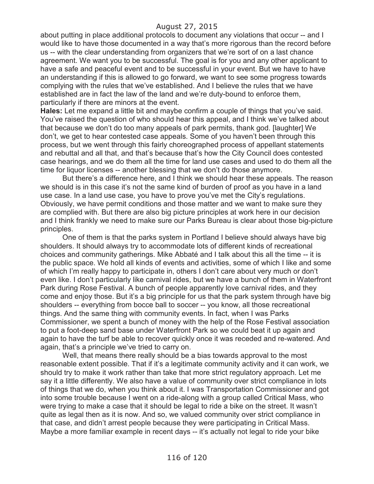about putting in place additional protocols to document any violations that occur -- and I would like to have those documented in a way that's more rigorous than the record before us -- with the clear understanding from organizers that we're sort of on a last chance agreement. We want you to be successful. The goal is for you and any other applicant to have a safe and peaceful event and to be successful in your event. But we have to have an understanding if this is allowed to go forward, we want to see some progress towards complying with the rules that we've established. And I believe the rules that we have established are in fact the law of the land and we're duty-bound to enforce them, particularly if there are minors at the event.

**Hales:** Let me expand a little bit and maybe confirm a couple of things that you've said. You've raised the question of who should hear this appeal, and I think we've talked about that because we don't do too many appeals of park permits, thank god. [laughter] We don't, we get to hear contested case appeals. Some of you haven't been through this process, but we went through this fairly choreographed process of appellant statements and rebuttal and all that, and that's because that's how the City Council does contested case hearings, and we do them all the time for land use cases and used to do them all the time for liquor licenses -- another blessing that we don't do those anymore.

But there's a difference here, and I think we should hear these appeals. The reason we should is in this case it's not the same kind of burden of proof as you have in a land use case. In a land use case, you have to prove you've met the City's regulations. Obviously, we have permit conditions and those matter and we want to make sure they are complied with. But there are also big picture principles at work here in our decision and I think frankly we need to make sure our Parks Bureau is clear about those big-picture principles.

One of them is that the parks system in Portland I believe should always have big shoulders. It should always try to accommodate lots of different kinds of recreational choices and community gatherings. Mike Abbaté and I talk about this all the time -- it is the public space. We hold all kinds of events and activities, some of which I like and some of which I'm really happy to participate in, others I don't care about very much or don't even like. I don't particularly like carnival rides, but we have a bunch of them in Waterfront Park during Rose Festival. A bunch of people apparently love carnival rides, and they come and enjoy those. But it's a big principle for us that the park system through have big shoulders -- everything from bocce ball to soccer -- you know, all those recreational things. And the same thing with community events. In fact, when I was Parks Commissioner, we spent a bunch of money with the help of the Rose Festival association to put a foot-deep sand base under Waterfront Park so we could beat it up again and again to have the turf be able to recover quickly once it was receded and re-watered. And again, that's a principle we've tried to carry on.

Well, that means there really should be a bias towards approval to the most reasonable extent possible. That if it's a legitimate community activity and it can work, we should try to make it work rather than take that more strict regulatory approach. Let me say it a little differently. We also have a value of community over strict compliance in lots of things that we do, when you think about it. I was Transportation Commissioner and got into some trouble because I went on a ride-along with a group called Critical Mass, who were trying to make a case that it should be legal to ride a bike on the street. It wasn't quite as legal then as it is now. And so, we valued community over strict compliance in that case, and didn't arrest people because they were participating in Critical Mass. Maybe a more familiar example in recent days -- it's actually not legal to ride your bike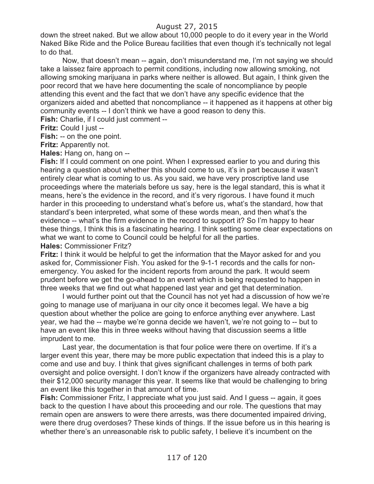down the street naked. But we allow about 10,000 people to do it every year in the World Naked Bike Ride and the Police Bureau facilities that even though it's technically not legal to do that.

Now, that doesn't mean -- again, don't misunderstand me, I'm not saying we should take a laissez faire approach to permit conditions, including now allowing smoking, not allowing smoking marijuana in parks where neither is allowed. But again, I think given the poor record that we have here documenting the scale of noncompliance by people attending this event and the fact that we don't have any specific evidence that the organizers aided and abetted that noncompliance -- it happened as it happens at other big community events -- I don't think we have a good reason to deny this.

**Fish:** Charlie, if I could just comment --

**Fritz:** Could I just --

**Fish:** -- on the one point.

**Fritz:** Apparently not.

**Hales:** Hang on, hang on --

**Fish:** If I could comment on one point. When I expressed earlier to you and during this hearing a question about whether this should come to us, it's in part because it wasn't entirely clear what is coming to us. As you said, we have very proscriptive land use proceedings where the materials before us say, here is the legal standard, this is what it means, here's the evidence in the record, and it's very rigorous. I have found it much harder in this proceeding to understand what's before us, what's the standard, how that standard's been interpreted, what some of these words mean, and then what's the evidence -- what's the firm evidence in the record to support it? So I'm happy to hear these things, I think this is a fascinating hearing. I think setting some clear expectations on what we want to come to Council could be helpful for all the parties. **Hales:** Commissioner Fritz?

**Fritz:** I think it would be helpful to get the information that the Mayor asked for and you asked for, Commissioner Fish. You asked for the 9-1-1 records and the calls for nonemergency. You asked for the incident reports from around the park. It would seem prudent before we get the go-ahead to an event which is being requested to happen in three weeks that we find out what happened last year and get that determination.

I would further point out that the Council has not yet had a discussion of how we're going to manage use of marijuana in our city once it becomes legal. We have a big question about whether the police are going to enforce anything ever anywhere. Last year, we had the -- maybe we're gonna decide we haven't, we're not going to -- but to have an event like this in three weeks without having that discussion seems a little imprudent to me.

Last year, the documentation is that four police were there on overtime. If it's a larger event this year, there may be more public expectation that indeed this is a play to come and use and buy. I think that gives significant challenges in terms of both park oversight and police oversight. I don't know if the organizers have already contracted with their \$12,000 security manager this year. It seems like that would be challenging to bring an event like this together in that amount of time.

**Fish:** Commissioner Fritz, I appreciate what you just said. And I guess -- again, it goes back to the question I have about this proceeding and our role. The questions that may remain open are answers to were there arrests, was there documented impaired driving, were there drug overdoses? These kinds of things. If the issue before us in this hearing is whether there's an unreasonable risk to public safety, I believe it's incumbent on the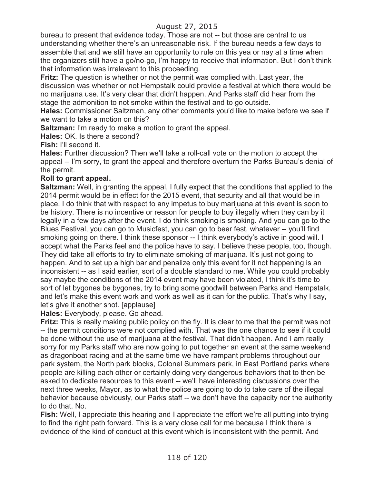bureau to present that evidence today. Those are not -- but those are central to us understanding whether there's an unreasonable risk. If the bureau needs a few days to assemble that and we still have an opportunity to rule on this yea or nay at a time when the organizers still have a go/no-go, I'm happy to receive that information. But I don't think that information was irrelevant to this proceeding.

**Fritz:** The question is whether or not the permit was complied with. Last year, the discussion was whether or not Hempstalk could provide a festival at which there would be no marijuana use. It's very clear that didn't happen. And Parks staff did hear from the stage the admonition to not smoke within the festival and to go outside.

**Hales:** Commissioner Saltzman, any other comments you'd like to make before we see if we want to take a motion on this?

**Saltzman:** I'm ready to make a motion to grant the appeal.

**Hales:** OK. Is there a second?

**Fish:** I'll second it.

**Hales:** Further discussion? Then we'll take a roll-call vote on the motion to accept the appeal -- I'm sorry, to grant the appeal and therefore overturn the Parks Bureau's denial of the permit.

### **Roll to grant appeal.**

**Saltzman:** Well, in granting the appeal, I fully expect that the conditions that applied to the 2014 permit would be in effect for the 2015 event, that security and all that would be in place. I do think that with respect to any impetus to buy marijuana at this event is soon to be history. There is no incentive or reason for people to buy illegally when they can by it legally in a few days after the event. I do think smoking is smoking. And you can go to the Blues Festival, you can go to Musicfest, you can go to beer fest, whatever -- you'll find smoking going on there. I think these sponsor -- I think everybody's active in good will. I accept what the Parks feel and the police have to say. I believe these people, too, though. They did take all efforts to try to eliminate smoking of marijuana. It's just not going to happen. And to set up a high bar and penalize only this event for it not happening is an inconsistent -- as I said earlier, sort of a double standard to me. While you could probably say maybe the conditions of the 2014 event may have been violated, I think it's time to sort of let bygones be bygones, try to bring some goodwill between Parks and Hempstalk, and let's make this event work and work as well as it can for the public. That's why I say, let's give it another shot. [applause]

**Hales:** Everybody, please. Go ahead.

**Fritz:** This is really making public policy on the fly. It is clear to me that the permit was not -- the permit conditions were not complied with. That was the one chance to see if it could be done without the use of marijuana at the festival. That didn't happen. And I am really sorry for my Parks staff who are now going to put together an event at the same weekend as dragonboat racing and at the same time we have rampant problems throughout our park system, the North park blocks, Colonel Summers park, in East Portland parks where people are killing each other or certainly doing very dangerous behaviors that to then be asked to dedicate resources to this event -- we'll have interesting discussions over the next three weeks, Mayor, as to what the police are going to do to take care of the illegal behavior because obviously, our Parks staff -- we don't have the capacity nor the authority to do that. No.

**Fish:** Well, I appreciate this hearing and I appreciate the effort we're all putting into trying to find the right path forward. This is a very close call for me because I think there is evidence of the kind of conduct at this event which is inconsistent with the permit. And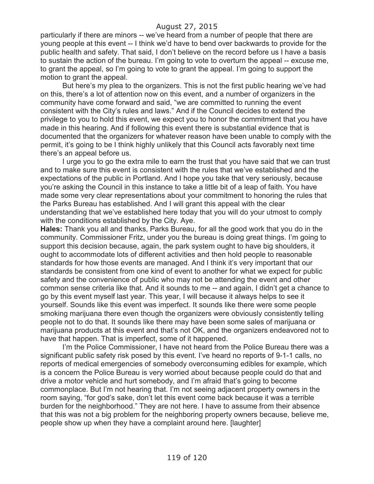particularly if there are minors -- we've heard from a number of people that there are young people at this event -- I think we'd have to bend over backwards to provide for the public health and safety. That said, I don't believe on the record before us I have a basis to sustain the action of the bureau. I'm going to vote to overturn the appeal -- excuse me, to grant the appeal, so I'm going to vote to grant the appeal. I'm going to support the motion to grant the appeal.

But here's my plea to the organizers. This is not the first public hearing we've had on this, there's a lot of attention now on this event, and a number of organizers in the community have come forward and said, "we are committed to running the event consistent with the City's rules and laws." And if the Council decides to extend the privilege to you to hold this event, we expect you to honor the commitment that you have made in this hearing. And if following this event there is substantial evidence that is documented that the organizers for whatever reason have been unable to comply with the permit, it's going to be I think highly unlikely that this Council acts favorably next time there's an appeal before us.

I urge you to go the extra mile to earn the trust that you have said that we can trust and to make sure this event is consistent with the rules that we've established and the expectations of the public in Portland. And I hope you take that very seriously, because you're asking the Council in this instance to take a little bit of a leap of faith. You have made some very clear representations about your commitment to honoring the rules that the Parks Bureau has established. And I will grant this appeal with the clear understanding that we've established here today that you will do your utmost to comply with the conditions established by the City. Aye.

**Hales:** Thank you all and thanks, Parks Bureau, for all the good work that you do in the community. Commissioner Fritz, under you the bureau is doing great things. I'm going to support this decision because, again, the park system ought to have big shoulders, it ought to accommodate lots of different activities and then hold people to reasonable standards for how those events are managed. And I think it's very important that our standards be consistent from one kind of event to another for what we expect for public safety and the convenience of public who may not be attending the event and other common sense criteria like that. And it sounds to me -- and again, I didn't get a chance to go by this event myself last year. This year, I will because it always helps to see it yourself. Sounds like this event was imperfect. It sounds like there were some people smoking marijuana there even though the organizers were obviously consistently telling people not to do that. It sounds like there may have been some sales of marijuana or marijuana products at this event and that's not OK, and the organizers endeavored not to have that happen. That is imperfect, some of it happened.

I'm the Police Commissioner, I have not heard from the Police Bureau there was a significant public safety risk posed by this event. I've heard no reports of 9-1-1 calls, no reports of medical emergencies of somebody overconsuming edibles for example, which is a concern the Police Bureau is very worried about because people could do that and drive a motor vehicle and hurt somebody, and I'm afraid that's going to become commonplace. But I'm not hearing that. I'm not seeing adjacent property owners in the room saying, "for god's sake, don't let this event come back because it was a terrible burden for the neighborhood." They are not here. I have to assume from their absence that this was not a big problem for the neighboring property owners because, believe me, people show up when they have a complaint around here. [laughter]